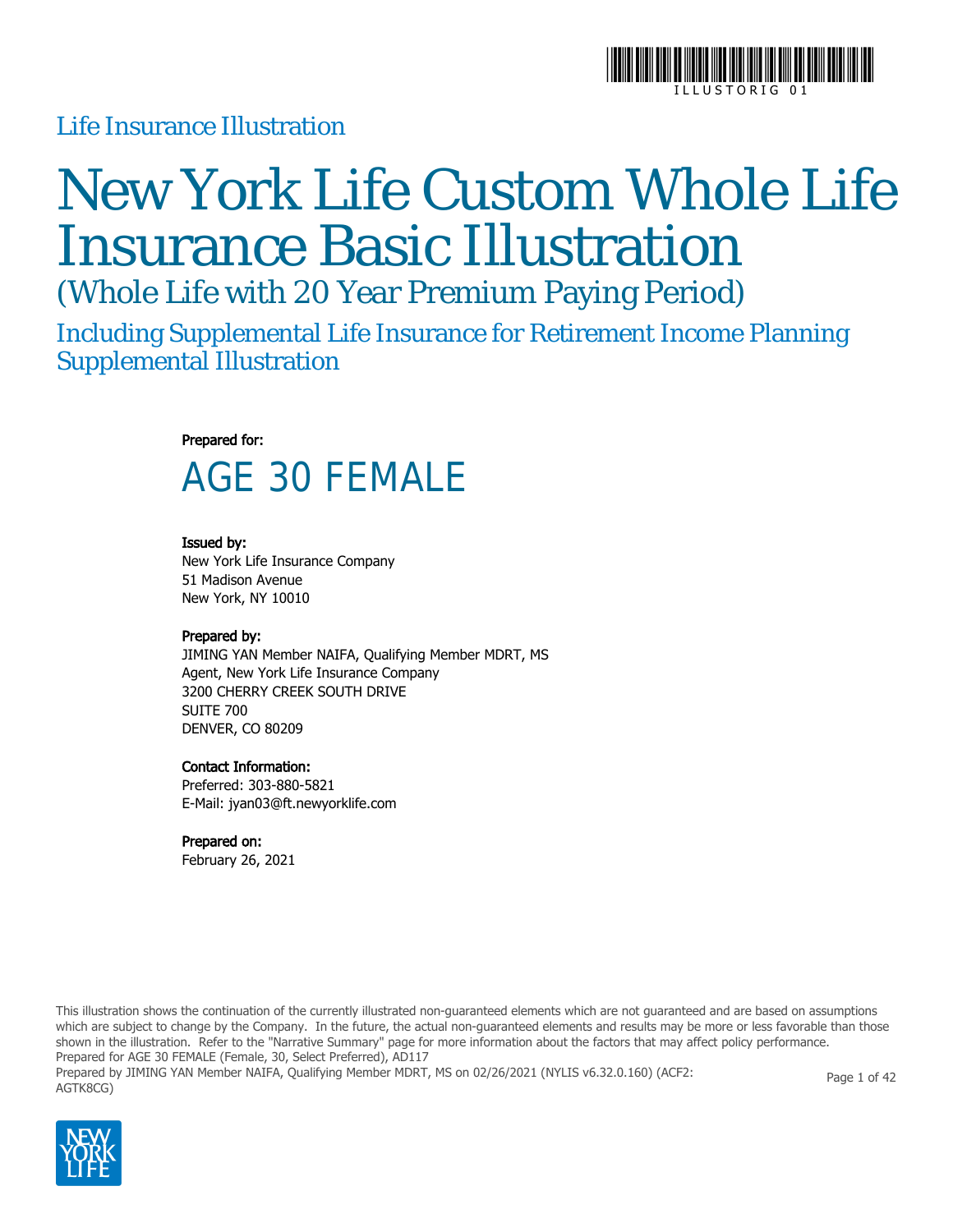

### Life Insurance Illustration

# New York Life Custom Whole Life Insurance Basic Illustration

(Whole Life with 20 Year Premium Paying Period)

Including Supplemental Life Insurance for Retirement Income Planning Supplemental Illustration

#### Prepared for:

# AGE 30 FEMALE

#### Issued by:

New York Life Insurance Company 51 Madison Avenue New York, NY 10010

#### Prepared by:

JIMING YAN Member NAIFA, Qualifying Member MDRT, MS Agent, New York Life Insurance Company 3200 CHERRY CREEK SOUTH DRIVE SUITE 700 DENVER, CO 80209

#### Contact Information:

Preferred: 303-880-5821 E-Mail: jyan03@ft.newyorklife.com

#### Prepared on:

February 26, 2021

This illustration shows the continuation of the currently illustrated non-guaranteed elements which are not guaranteed and are based on assumptions which are subject to change by the Company. In the future, the actual non-guaranteed elements and results may be more or less favorable than those shown in the illustration. Refer to the "Narrative Summary" page for more information about the factors that may affect policy performance. Prepared for AGE 30 FEMALE (Female, 30, Select Preferred), AD117 Prepared by JIMING YAN Member NAIFA, Qualifying Member MDRT, MS on 02/26/2021 (NYLIS v6.32.0.160) (ACF2: AGTK8CG) Page 1 of 42

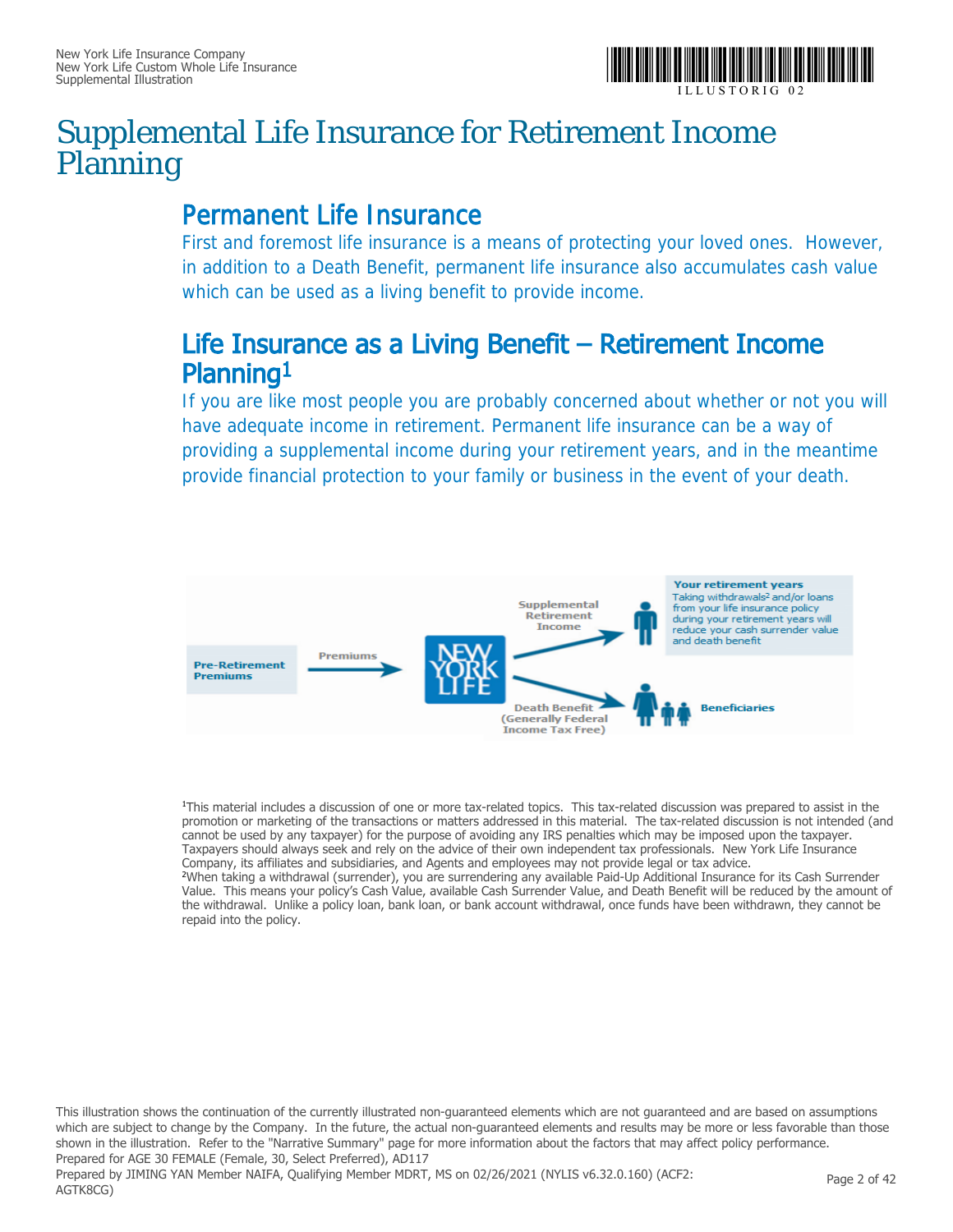

### Supplemental Life Insurance for Retirement Income Planning

### Permanent Life Insurance

First and foremost life insurance is a means of protecting your loved ones. However, in addition to a Death Benefit, permanent life insurance also accumulates cash value which can be used as a living benefit to provide income.

### Life Insurance as a Living Benefit – Retirement Income Planning1

If you are like most people you are probably concerned about whether or not you will have adequate income in retirement. Permanent life insurance can be a way of providing a supplemental income during your retirement years, and in the meantime provide financial protection to your family or business in the event of your death.



<sup>1</sup>This material includes a discussion of one or more tax-related topics. This tax-related discussion was prepared to assist in the promotion or marketing of the transactions or matters addressed in this material. The tax-related discussion is not intended (and cannot be used by any taxpayer) for the purpose of avoiding any IRS penalties which may be imposed upon the taxpayer. Taxpayers should always seek and rely on the advice of their own independent tax professionals. New York Life Insurance Company, its affiliates and subsidiaries, and Agents and employees may not provide legal or tax advice. <sup>2</sup>When taking a withdrawal (surrender), you are surrendering any available Paid-Up Additional Insurance for its Cash Surrender Value. This means your policy's Cash Value, available Cash Surrender Value, and Death Benefit will be reduced by the amount of the withdrawal. Unlike a policy loan, bank loan, or bank account withdrawal, once funds have been withdrawn, they cannot be repaid into the policy.

This illustration shows the continuation of the currently illustrated non-guaranteed elements which are not guaranteed and are based on assumptions which are subject to change by the Company. In the future, the actual non-guaranteed elements and results may be more or less favorable than those shown in the illustration. Refer to the "Narrative Summary" page for more information about the factors that may affect policy performance. Prepared for AGE 30 FEMALE (Female, 30, Select Preferred), AD117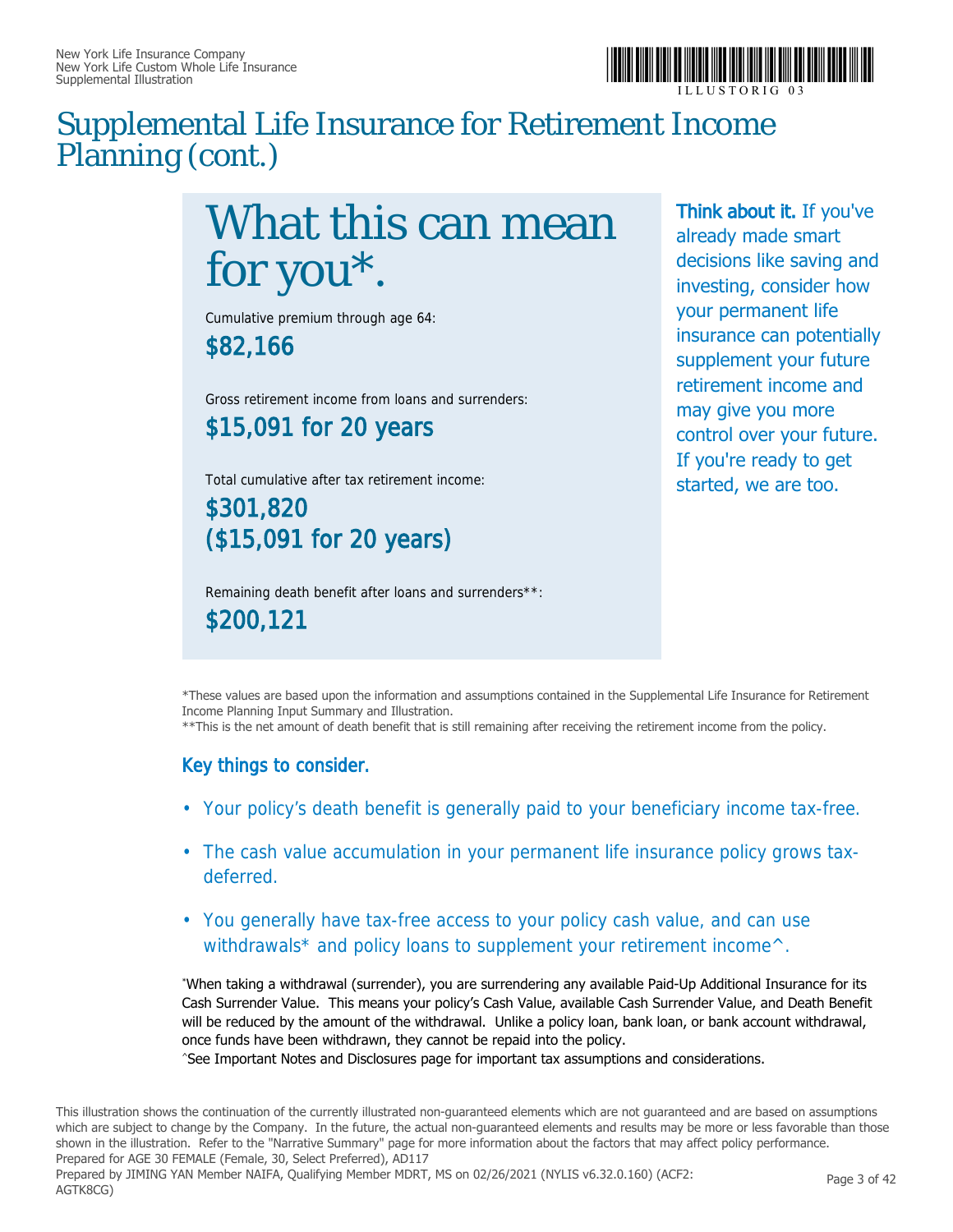

### Supplemental Life Insurance for Retirement Income Planning (cont.)

# What this can mean for you\*.

Cumulative premium through age 64:

\$82,166

Gross retirement income from loans and surrenders: \$15,091 for 20 years

Total cumulative after tax retirement income:

\$301,820 (\$15,091 for 20 years)

Remaining death benefit after loans and surrenders\*\*: \$200,121

Think about it. If you've already made smart decisions like saving and investing, consider how your permanent life insurance can potentially supplement your future retirement income and may give you more control over your future. If you're ready to get started, we are too.

\*These values are based upon the information and assumptions contained in the Supplemental Life Insurance for Retirement Income Planning Input Summary and Illustration.

\*\*This is the net amount of death benefit that is still remaining after receiving the retirement income from the policy.

#### Key things to consider.

- Your policy's death benefit is generally paid to your beneficiary income tax-free.
- The cash value accumulation in your permanent life insurance policy grows taxdeferred.
- You generally have tax-free access to your policy cash value, and can use withdrawals\* and policy loans to supplement your retirement income<sup> $\wedge$ </sup>.

\*When taking a withdrawal (surrender), you are surrendering any available Paid-Up Additional Insurance for its Cash Surrender Value. This means your policy's Cash Value, available Cash Surrender Value, and Death Benefit will be reduced by the amount of the withdrawal. Unlike a policy loan, bank loan, or bank account withdrawal, once funds have been withdrawn, they cannot be repaid into the policy.

^See Important Notes and Disclosures page for important tax assumptions and considerations.

This illustration shows the continuation of the currently illustrated non-guaranteed elements which are not guaranteed and are based on assumptions which are subject to change by the Company. In the future, the actual non-guaranteed elements and results may be more or less favorable than those shown in the illustration. Refer to the "Narrative Summary" page for more information about the factors that may affect policy performance. Prepared for AGE 30 FEMALE (Female, 30, Select Preferred), AD117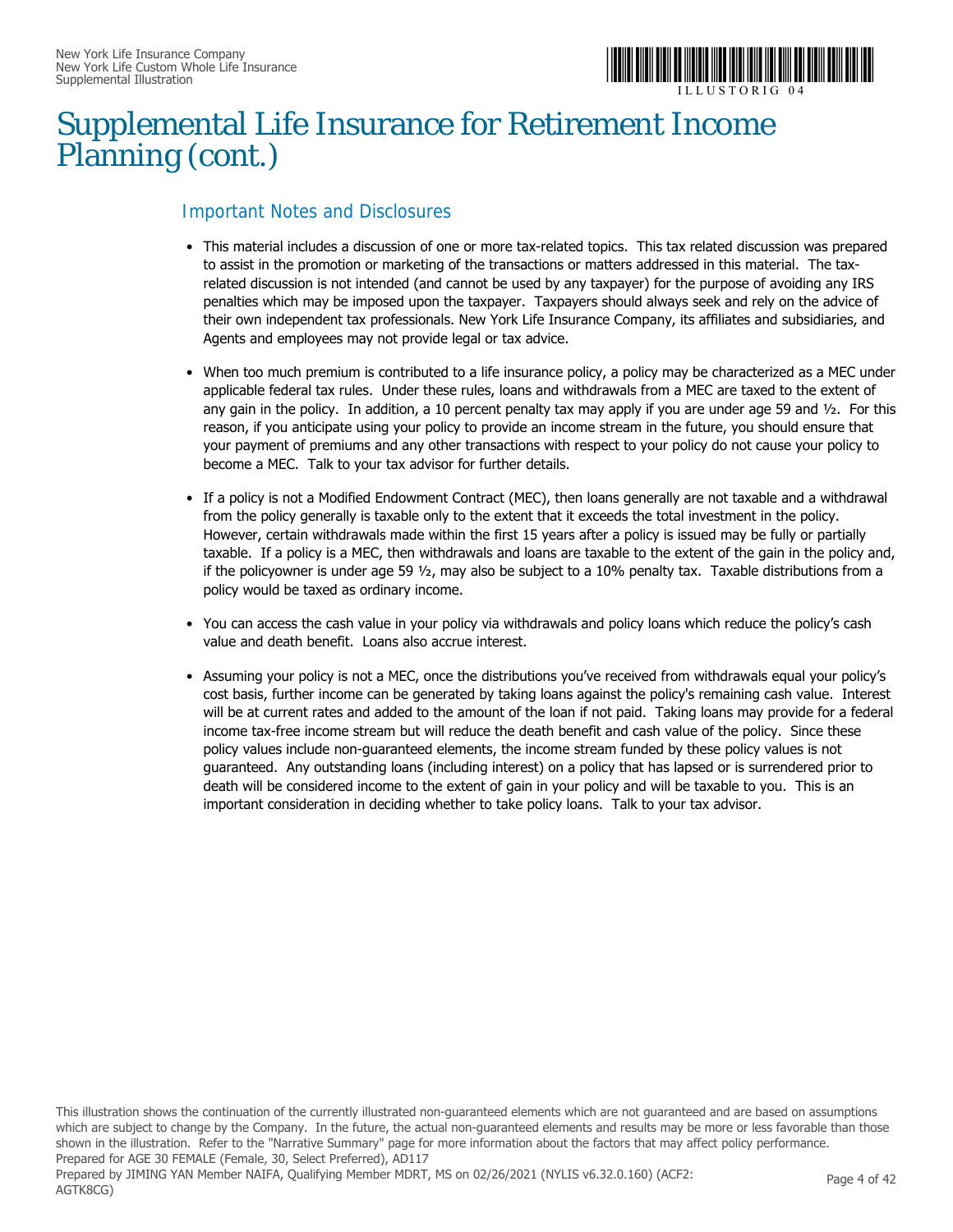

### Supplemental Life Insurance for Retirement Income Planning (cont.)

#### Important Notes and Disclosures

- This material includes a discussion of one or more tax-related topics. This tax related discussion was prepared to assist in the promotion or marketing of the transactions or matters addressed in this material. The taxrelated discussion is not intended (and cannot be used by any taxpayer) for the purpose of avoiding any IRS penalties which may be imposed upon the taxpayer. Taxpayers should always seek and rely on the advice of their own independent tax professionals. New York Life Insurance Company, its affiliates and subsidiaries, and Agents and employees may not provide legal or tax advice.
- When too much premium is contributed to a life insurance policy, a policy may be characterized as a MEC under applicable federal tax rules. Under these rules, loans and withdrawals from a MEC are taxed to the extent of any gain in the policy. In addition, a 10 percent penalty tax may apply if you are under age 59 and ½. For this reason, if you anticipate using your policy to provide an income stream in the future, you should ensure that your payment of premiums and any other transactions with respect to your policy do not cause your policy to become a MEC. Talk to your tax advisor for further details.
- If a policy is not a Modified Endowment Contract (MEC), then loans generally are not taxable and a withdrawal from the policy generally is taxable only to the extent that it exceeds the total investment in the policy. However, certain withdrawals made within the first 15 years after a policy is issued may be fully or partially taxable. If a policy is a MEC, then withdrawals and loans are taxable to the extent of the gain in the policy and, if the policyowner is under age 59 ½, may also be subject to a 10% penalty tax. Taxable distributions from a policy would be taxed as ordinary income.
- You can access the cash value in your policy via withdrawals and policy loans which reduce the policy's cash value and death benefit. Loans also accrue interest.
- Assuming your policy is not a MEC, once the distributions you've received from withdrawals equal your policy's cost basis, further income can be generated by taking loans against the policy's remaining cash value. Interest will be at current rates and added to the amount of the loan if not paid. Taking loans may provide for a federal income tax-free income stream but will reduce the death benefit and cash value of the policy. Since these policy values include non-guaranteed elements, the income stream funded by these policy values is not guaranteed. Any outstanding loans (including interest) on a policy that has lapsed or is surrendered prior to death will be considered income to the extent of gain in your policy and will be taxable to you. This is an important consideration in deciding whether to take policy loans. Talk to your tax advisor.

This illustration shows the continuation of the currently illustrated non-guaranteed elements which are not guaranteed and are based on assumptions which are subject to change by the Company. In the future, the actual non-guaranteed elements and results may be more or less favorable than those shown in the illustration. Refer to the "Narrative Summary" page for more information about the factors that may affect policy performance. Prepared for AGE 30 FEMALE (Female, 30, Select Preferred), AD117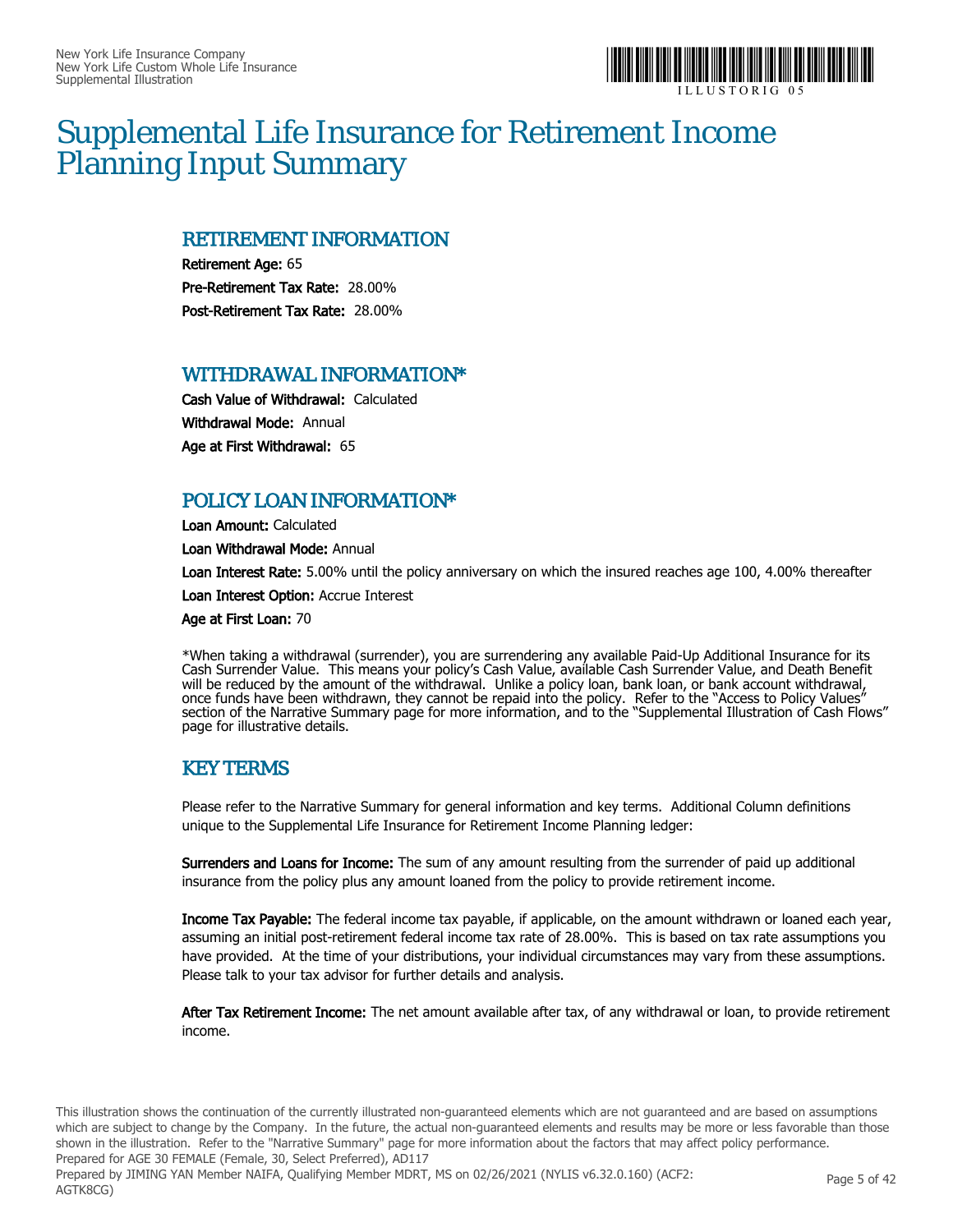

### Supplemental Life Insurance for Retirement Income Planning Input Summary

#### RETIREMENT INFORMATION

Retirement Age: 65 Pre-Retirement Tax Rate: 28.00% Post-Retirement Tax Rate: 28.00%

#### WITHDRAWAL INFORMATION\*

Cash Value of Withdrawal: Calculated Withdrawal Mode: Annual Age at First Withdrawal: 65

#### POLICY LOAN INFORMATION\*

Loan Amount: Calculated

Loan Withdrawal Mode: Annual

Loan Interest Rate: 5.00% until the policy anniversary on which the insured reaches age 100, 4.00% thereafter

Loan Interest Option: Accrue Interest

Age at First Loan: 70

\*When taking a withdrawal (surrender), you are surrendering any available Paid-Up Additional Insurance for its Cash Surrender Value. This means your policy's Cash Value, available Cash Surrender Value, and Death Benefit will be reduced by the amount of the withdrawal. Unlike a policy loan, bank loan, or bank account withdrawal, once funds have been withdrawn, they cannot be repaid into the policy. Refer to the "Access to Policy Values" section of the Narrative Summary page for more information, and to the "Supplemental Illustration of Cash Flows" page for illustrative details.

#### KEY TERMS

Please refer to the Narrative Summary for general information and key terms. Additional Column definitions unique to the Supplemental Life Insurance for Retirement Income Planning ledger:

Surrenders and Loans for Income: The sum of any amount resulting from the surrender of paid up additional insurance from the policy plus any amount loaned from the policy to provide retirement income.

Income Tax Payable: The federal income tax payable, if applicable, on the amount withdrawn or loaned each year, assuming an initial post-retirement federal income tax rate of 28.00%. This is based on tax rate assumptions you have provided. At the time of your distributions, your individual circumstances may vary from these assumptions. Please talk to your tax advisor for further details and analysis.

After Tax Retirement Income: The net amount available after tax, of any withdrawal or loan, to provide retirement income.

This illustration shows the continuation of the currently illustrated non-guaranteed elements which are not guaranteed and are based on assumptions which are subject to change by the Company. In the future, the actual non-guaranteed elements and results may be more or less favorable than those shown in the illustration. Refer to the "Narrative Summary" page for more information about the factors that may affect policy performance. Prepared for AGE 30 FEMALE (Female, 30, Select Preferred), AD117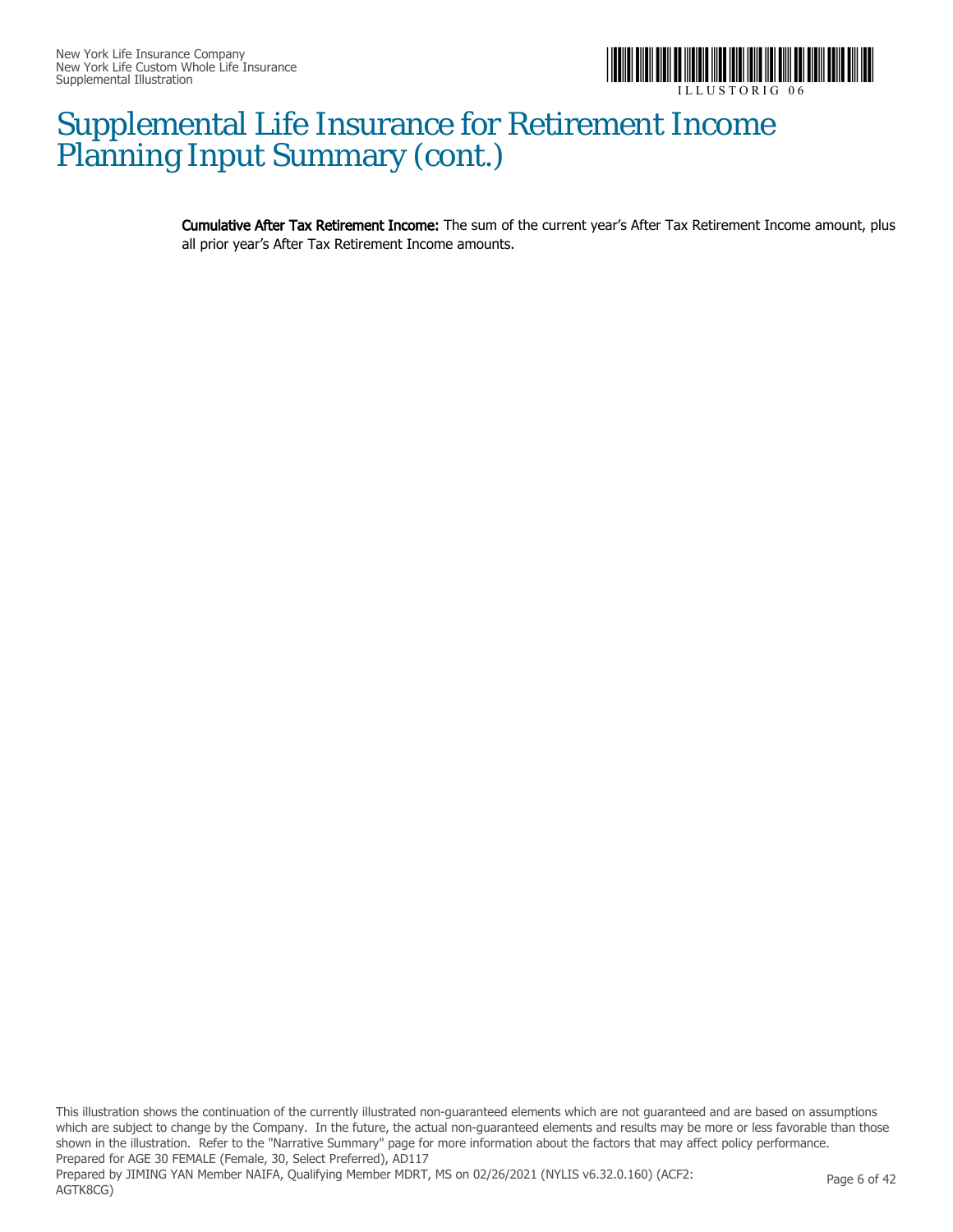

### Supplemental Life Insurance for Retirement Income Planning Input Summary (cont.)

Cumulative After Tax Retirement Income: The sum of the current year's After Tax Retirement Income amount, plus all prior year's After Tax Retirement Income amounts.

This illustration shows the continuation of the currently illustrated non-guaranteed elements which are not guaranteed and are based on assumptions which are subject to change by the Company. In the future, the actual non-guaranteed elements and results may be more or less favorable than those shown in the illustration. Refer to the "Narrative Summary" page for more information about the factors that may affect policy performance. Prepared for AGE 30 FEMALE (Female, 30, Select Preferred), AD117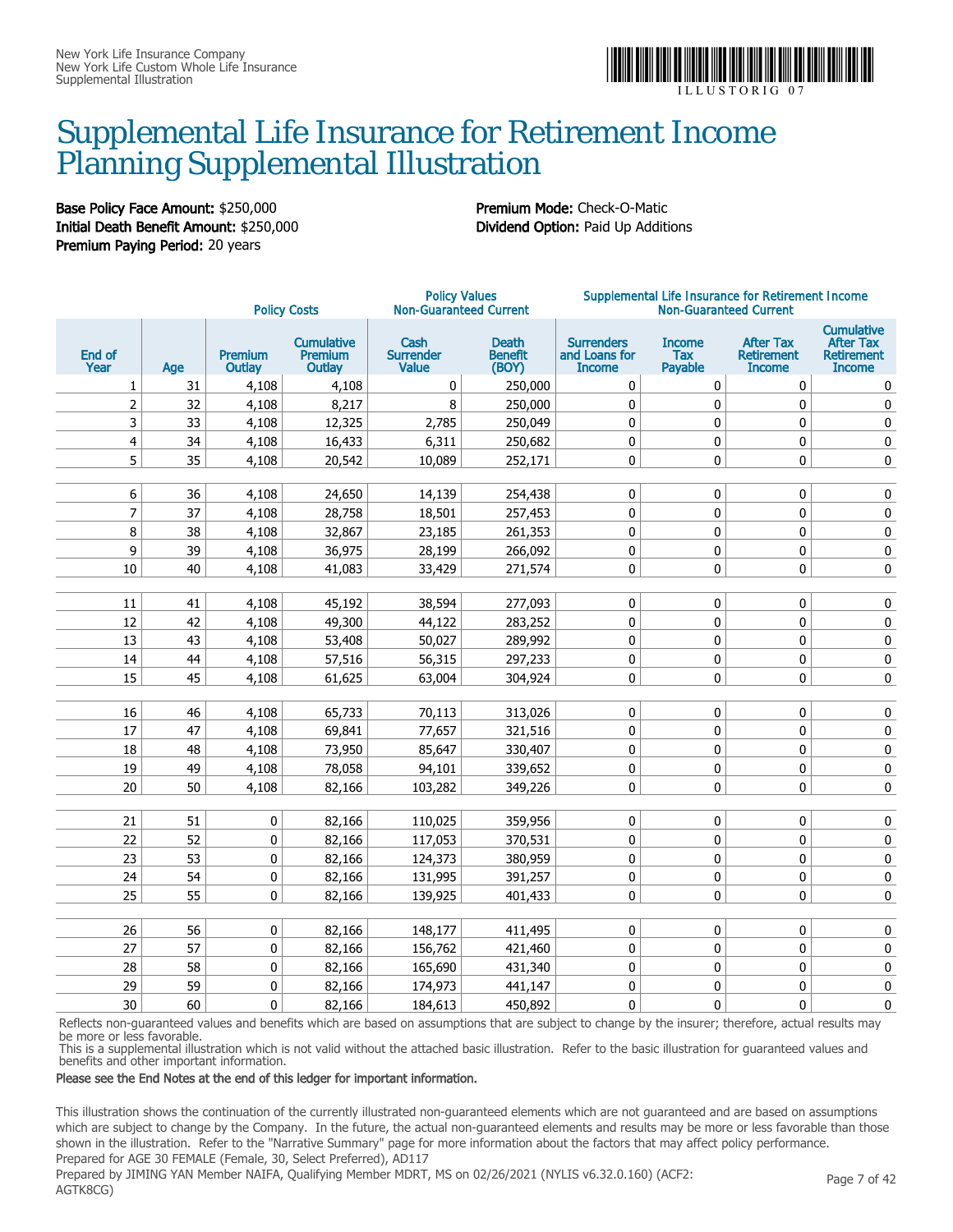

### Supplemental Life Insurance for Retirement Income Planning Supplemental Illustration

Base Policy Face Amount: \$250,000 Premium Mode: Check-O-Matic Initial Death Benefit Amount: \$250,000 Dividend Option: Paid Up Additions Premium Paying Period: 20 years

|                         |     |                          | <b>Policy Costs</b>                           | <b>Policy Values</b><br><b>Non-Guaranteed Current</b> |                                         |                                                     | Supplemental Life Insurance for Retirement Income<br><b>Non-Guaranteed Current</b> |                                                        |                                                                             |
|-------------------------|-----|--------------------------|-----------------------------------------------|-------------------------------------------------------|-----------------------------------------|-----------------------------------------------------|------------------------------------------------------------------------------------|--------------------------------------------------------|-----------------------------------------------------------------------------|
| End of<br>Year          | Age | <b>Premium</b><br>Outlay | <b>Cumulative</b><br><b>Premium</b><br>Outlay | Cash<br><b>Surrender</b><br><b>Value</b>              | <b>Death</b><br><b>Benefit</b><br>(BOY) | <b>Surrenders</b><br>and Loans for<br><b>Income</b> | <b>Income</b><br>Tax<br>Payable                                                    | <b>After Tax</b><br><b>Retirement</b><br><b>Income</b> | <b>Cumulative</b><br><b>After Tax</b><br><b>Retirement</b><br><b>Income</b> |
| 1                       | 31  | 4,108                    | 4,108                                         | 0                                                     | 250,000                                 | 0                                                   | 0                                                                                  | 0                                                      | 0                                                                           |
| $\overline{2}$          | 32  | 4,108                    | 8,217                                         | 8                                                     | 250,000                                 | 0                                                   | $\mathbf{0}$                                                                       | $\mathbf 0$                                            | 0                                                                           |
| 3                       | 33  | 4,108                    | 12,325                                        | 2,785                                                 | 250,049                                 | $\pmb{0}$                                           | 0                                                                                  | 0                                                      | 0                                                                           |
| $\overline{\mathbf{4}}$ | 34  | 4,108                    | 16,433                                        | 6,311                                                 | 250,682                                 | 0                                                   | $\mathbf 0$                                                                        | $\pmb{0}$                                              | 0                                                                           |
| 5                       | 35  | 4,108                    | 20,542                                        | 10,089                                                | 252,171                                 | $\mathbf 0$                                         | 0                                                                                  | 0                                                      | 0                                                                           |
|                         |     |                          |                                               |                                                       |                                         |                                                     |                                                                                    |                                                        |                                                                             |
| 6                       | 36  | 4,108                    | 24,650                                        | 14,139                                                | 254,438                                 | 0                                                   | 0                                                                                  | 0                                                      | 0                                                                           |
| $\overline{7}$          | 37  | 4,108                    | 28,758                                        | 18,501                                                | 257,453                                 | 0                                                   | 0                                                                                  | $\pmb{0}$                                              | 0                                                                           |
| 8                       | 38  | 4,108                    | 32,867                                        | 23,185                                                | 261,353                                 | $\pmb{0}$                                           | $\mathbf 0$                                                                        | $\pmb{0}$                                              | 0                                                                           |
| 9                       | 39  | 4,108                    | 36,975                                        | 28,199                                                | 266,092                                 | $\mathbf 0$                                         | $\mathbf 0$                                                                        | $\pmb{0}$                                              | 0                                                                           |
| 10                      | 40  | 4,108                    | 41,083                                        | 33,429                                                | 271,574                                 | 0                                                   | 0                                                                                  | $\pmb{0}$                                              | 0                                                                           |
|                         |     |                          |                                               |                                                       |                                         |                                                     |                                                                                    |                                                        |                                                                             |
| 11                      | 41  | 4,108                    | 45,192                                        | 38,594                                                | 277,093                                 | $\mathbf 0$                                         | $\mathbf 0$                                                                        | $\mathbf 0$                                            | 0                                                                           |
| 12                      | 42  | 4,108                    | 49,300                                        | 44,122                                                | 283,252                                 | 0                                                   | $\mathbf 0$                                                                        | $\pmb{0}$                                              | 0                                                                           |
| 13                      | 43  | 4,108                    | 53,408                                        | 50,027                                                | 289,992                                 | 0                                                   | 0                                                                                  | $\pmb{0}$                                              | $\pmb{0}$                                                                   |
| 14                      | 44  | 4,108                    | 57,516                                        | 56,315                                                | 297,233                                 | 0                                                   | 0                                                                                  | $\pmb{0}$                                              | $\pmb{0}$                                                                   |
| 15                      | 45  | 4,108                    | 61,625                                        | 63,004                                                | 304,924                                 | 0                                                   | 0                                                                                  | $\pmb{0}$                                              | 0                                                                           |
|                         |     |                          |                                               |                                                       |                                         |                                                     |                                                                                    |                                                        |                                                                             |
| 16                      | 46  | 4,108                    | 65,733                                        | 70,113                                                | 313,026                                 | 0                                                   | 0                                                                                  | $\pmb{0}$                                              | 0                                                                           |
| 17                      | 47  | 4,108                    | 69,841                                        | 77,657                                                | 321,516                                 | $\mathbf 0$                                         | $\mathbf 0$                                                                        | $\pmb{0}$                                              | 0                                                                           |
| 18                      | 48  | 4,108                    | 73,950                                        | 85,647                                                | 330,407                                 | 0                                                   | 0                                                                                  | 0                                                      | 0                                                                           |
| 19                      | 49  | 4,108                    | 78,058                                        | 94,101                                                | 339,652                                 | $\mathbf 0$                                         | $\mathbf 0$                                                                        | 0                                                      | 0                                                                           |
| 20                      | 50  | 4,108                    | 82,166                                        | 103,282                                               | 349,226                                 | 0                                                   | 0                                                                                  | 0                                                      | 0                                                                           |
|                         |     |                          |                                               |                                                       |                                         |                                                     |                                                                                    |                                                        |                                                                             |
| 21                      | 51  | 0                        | 82,166                                        | 110,025                                               | 359,956                                 | 0                                                   | $\pmb{0}$                                                                          | $\pmb{0}$                                              | $\pmb{0}$                                                                   |
| 22                      | 52  | 0                        | 82,166                                        | 117,053                                               | 370,531                                 | $\mathbf 0$                                         | 0                                                                                  | 0                                                      | 0                                                                           |
| 23                      | 53  | 0                        | 82,166                                        | 124,373                                               | 380,959                                 | $\mathbf 0$                                         | $\mathbf 0$                                                                        | $\pmb{0}$                                              | 0                                                                           |
| 24                      | 54  | 0                        | 82,166                                        | 131,995                                               | 391,257                                 | $\mathbf 0$                                         | $\mathbf 0$                                                                        | $\pmb{0}$                                              | $\pmb{0}$                                                                   |
| 25                      | 55  | 0                        | 82,166                                        | 139,925                                               | 401,433                                 | 0                                                   | 0                                                                                  | 0                                                      | 0                                                                           |
|                         |     |                          |                                               |                                                       |                                         |                                                     |                                                                                    |                                                        |                                                                             |
| 26                      | 56  | 0                        | 82,166                                        | 148,177                                               | 411,495                                 | $\mathbf 0$                                         | $\mathbf 0$                                                                        | 0                                                      | 0                                                                           |
| 27                      | 57  | 0                        | 82,166                                        | 156,762                                               | 421,460                                 | 0                                                   | $\pmb{0}$                                                                          | 0                                                      | 0                                                                           |
| 28                      | 58  | $\pmb{0}$                | 82,166                                        | 165,690                                               | 431,340                                 | 0                                                   | $\pmb{0}$                                                                          | $\pmb{0}$                                              | $\pmb{0}$                                                                   |
| 29                      | 59  | 0                        | 82,166                                        | 174,973                                               | 441,147                                 | $\pmb{0}$                                           | 0                                                                                  | 0                                                      | 0                                                                           |
| 30                      | 60  | 0                        | 82,166                                        | 184,613                                               | 450,892                                 | $\mathbf 0$                                         | 0                                                                                  | 0                                                      | 0                                                                           |

Reflects non-guaranteed values and benefits which are based on assumptions that are subject to change by the insurer; therefore, actual results may be more or less favorable.

This is a supplemental illustration which is not valid without the attached basic illustration. Refer to the basic illustration for guaranteed values and benefits and other important information.

#### Please see the End Notes at the end of this ledger for important information.

This illustration shows the continuation of the currently illustrated non-guaranteed elements which are not guaranteed and are based on assumptions which are subject to change by the Company. In the future, the actual non-guaranteed elements and results may be more or less favorable than those shown in the illustration. Refer to the "Narrative Summary" page for more information about the factors that may affect policy performance. Prepared for AGE 30 FEMALE (Female, 30, Select Preferred), AD117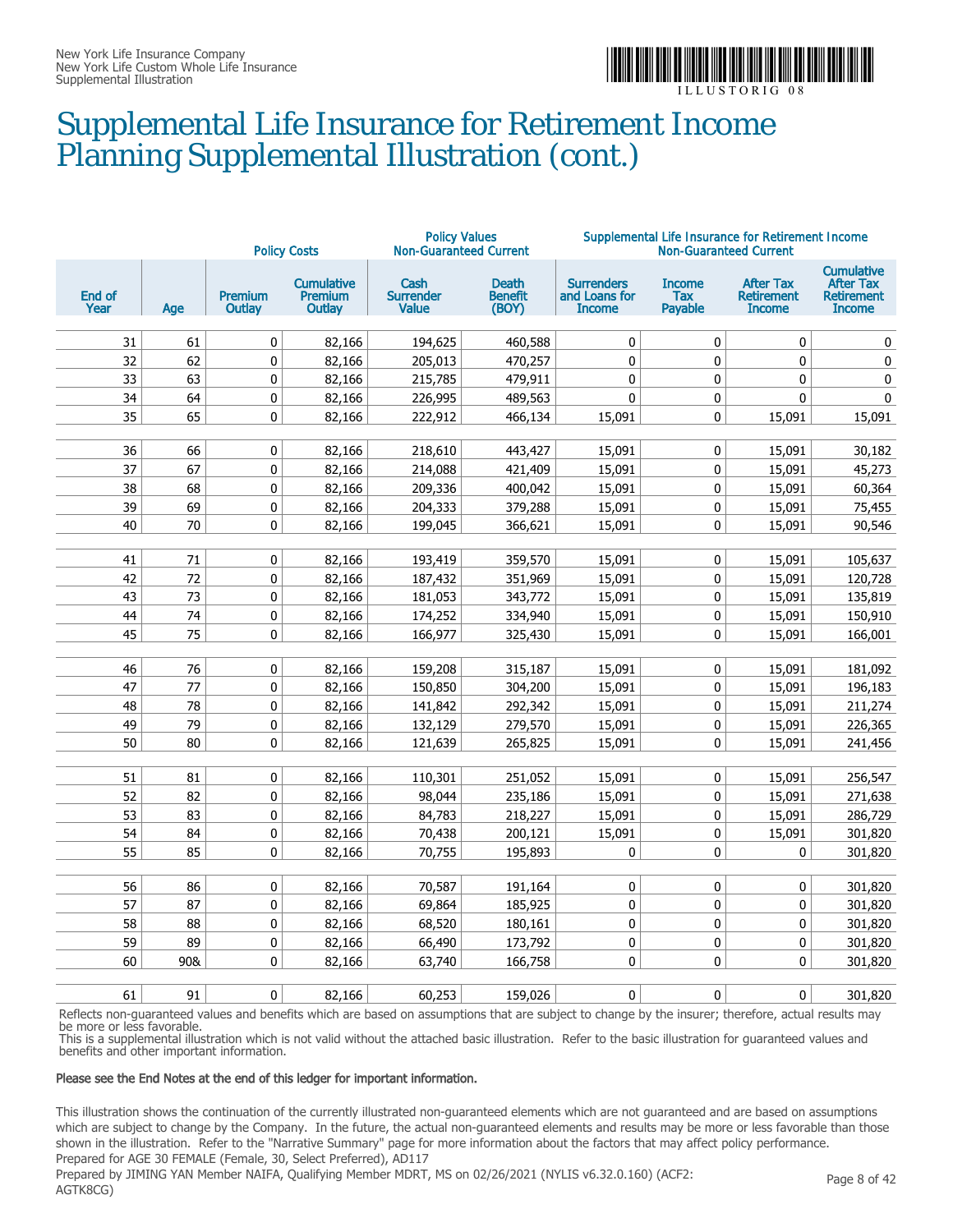

### Supplemental Life Insurance for Retirement Income Planning Supplemental Illustration (cont.)

| <b>Policy Costs</b> |          |                   |                                        | <b>Policy Values</b><br><b>Non-Guaranteed Current</b> |                                         | Supplemental Life Insurance for Retirement Income<br><b>Non-Guaranteed Current</b> |                                        |                                                        |                                                                             |  |
|---------------------|----------|-------------------|----------------------------------------|-------------------------------------------------------|-----------------------------------------|------------------------------------------------------------------------------------|----------------------------------------|--------------------------------------------------------|-----------------------------------------------------------------------------|--|
| End of<br>Year      | Age      | Premium<br>Outlay | <b>Cumulative</b><br>Premium<br>Outlay | Cash<br><b>Surrender</b><br><b>Value</b>              | <b>Death</b><br><b>Benefit</b><br>(BOY) | <b>Surrenders</b><br>and Loans for<br><b>Income</b>                                | <b>Income</b><br><b>Tax</b><br>Payable | <b>After Tax</b><br><b>Retirement</b><br><b>Income</b> | <b>Cumulative</b><br><b>After Tax</b><br><b>Retirement</b><br><b>Income</b> |  |
| 31                  | 61       | 0                 | 82,166                                 | 194,625                                               | 460,588                                 | $\mathbf 0$                                                                        | 0                                      | $\mathbf 0$                                            | $\mathbf 0$                                                                 |  |
| 32                  | 62       | $\pmb{0}$         | 82,166                                 | 205,013                                               | 470,257                                 | 0                                                                                  | 0                                      | $\pmb{0}$                                              | $\pmb{0}$                                                                   |  |
| 33                  | 63       | 0                 | 82,166                                 | 215,785                                               | 479,911                                 | 0                                                                                  | 0                                      | 0                                                      | 0                                                                           |  |
| 34                  | 64       | $\pmb{0}$         | 82,166                                 | 226,995                                               | 489,563                                 | 0                                                                                  | 0                                      | $\pmb{0}$                                              | $\pmb{0}$                                                                   |  |
| 35                  | 65       | 0                 | 82,166                                 | 222,912                                               | 466,134                                 | 15,091                                                                             | 0                                      | 15,091                                                 | 15,091                                                                      |  |
|                     |          |                   |                                        |                                                       |                                         |                                                                                    |                                        |                                                        |                                                                             |  |
| 36                  | 66       | 0                 | 82,166                                 | 218,610                                               | 443,427                                 | 15,091                                                                             | 0                                      | 15,091                                                 | 30,182                                                                      |  |
| 37                  | 67       | 0                 | 82,166                                 | 214,088                                               | 421,409                                 | 15,091                                                                             | $\pmb{0}$                              | 15,091                                                 | 45,273                                                                      |  |
| 38                  | 68       | $\pmb{0}$         | 82,166                                 | 209,336                                               | 400,042                                 | 15,091                                                                             | 0                                      | 15,091                                                 | 60,364                                                                      |  |
| 39                  | 69       | $\pmb{0}$         | 82,166                                 | 204,333                                               | 379,288                                 | 15,091                                                                             | 0                                      | 15,091                                                 | 75,455                                                                      |  |
| 40                  | 70       | 0                 | 82,166                                 | 199,045                                               | 366,621                                 | 15,091                                                                             | 0                                      | 15,091                                                 | 90,546                                                                      |  |
|                     |          |                   |                                        |                                                       |                                         |                                                                                    |                                        |                                                        |                                                                             |  |
| 41                  | 71       | 0                 | 82,166                                 | 193,419                                               | 359,570                                 | 15,091                                                                             | 0                                      | 15,091                                                 | 105,637                                                                     |  |
| 42                  | 72       | 0                 | 82,166                                 | 187,432                                               | 351,969                                 | 15,091                                                                             | $\pmb{0}$                              | 15,091                                                 | 120,728                                                                     |  |
| 43                  | 73       | 0                 | 82,166                                 | 181,053                                               | 343,772                                 | 15,091                                                                             | 0                                      | 15,091                                                 | 135,819                                                                     |  |
| 44<br>45            | 74<br>75 | $\pmb{0}$<br>0    | 82,166                                 | 174,252<br>166,977                                    | 334,940                                 | 15,091                                                                             | 0<br>0                                 | 15,091                                                 | 150,910                                                                     |  |
|                     |          |                   | 82,166                                 |                                                       | 325,430                                 | 15,091                                                                             |                                        | 15,091                                                 | 166,001                                                                     |  |
| 46                  | 76       | 0                 | 82,166                                 | 159,208                                               | 315,187                                 | 15,091                                                                             | 0                                      | 15,091                                                 | 181,092                                                                     |  |
| 47                  | 77       | 0                 | 82,166                                 | 150,850                                               | 304,200                                 | 15,091                                                                             | 0                                      | 15,091                                                 | 196,183                                                                     |  |
| 48                  | 78       | $\pmb{0}$         | 82,166                                 | 141,842                                               | 292,342                                 | 15,091                                                                             | 0                                      | 15,091                                                 | 211,274                                                                     |  |
| 49                  | 79       | $\pmb{0}$         | 82,166                                 | 132,129                                               | 279,570                                 | 15,091                                                                             | 0                                      | 15,091                                                 | 226,365                                                                     |  |
| 50                  | 80       | 0                 | 82,166                                 | 121,639                                               | 265,825                                 | 15,091                                                                             | 0                                      | 15,091                                                 | 241,456                                                                     |  |
|                     |          |                   |                                        |                                                       |                                         |                                                                                    |                                        |                                                        |                                                                             |  |
| 51                  | 81       | 0                 | 82,166                                 | 110,301                                               | 251,052                                 | 15,091                                                                             | 0                                      | 15,091                                                 | 256,547                                                                     |  |
| 52                  | 82       | 0                 | 82,166                                 | 98,044                                                | 235,186                                 | 15,091                                                                             | 0                                      | 15,091                                                 | 271,638                                                                     |  |
| 53                  | 83       | 0                 | 82,166                                 | 84,783                                                | 218,227                                 | 15,091                                                                             | 0                                      | 15,091                                                 | 286,729                                                                     |  |
| 54                  | 84       | $\pmb{0}$         | 82,166                                 | 70,438                                                | 200,121                                 | 15,091                                                                             | $\pmb{0}$                              | 15,091                                                 | 301,820                                                                     |  |
| 55                  | 85       | $\mathbf 0$       | 82,166                                 | 70,755                                                | 195,893                                 | 0                                                                                  | 0                                      | 0                                                      | 301,820                                                                     |  |
|                     |          |                   |                                        |                                                       |                                         |                                                                                    |                                        |                                                        |                                                                             |  |
| 56                  | 86       | 0                 | 82,166                                 | 70,587                                                | 191,164                                 | $\mathbf 0$                                                                        | 0                                      | 0                                                      | 301,820                                                                     |  |
| 57                  | 87       | 0                 | 82,166                                 | 69,864                                                | 185,925                                 | 0                                                                                  | $\pmb{0}$                              | 0                                                      | 301,820                                                                     |  |
| 58                  | 88       | $\pmb{0}$         | 82,166                                 | 68,520                                                | 180,161                                 | $\pmb{0}$                                                                          | 0                                      | $\pmb{0}$                                              | 301,820                                                                     |  |
| 59                  | 89       | 0                 | 82,166                                 | 66,490                                                | 173,792                                 | 0                                                                                  | $\pmb{0}$                              | 0                                                      | 301,820                                                                     |  |
| 60                  | 90&      | 0                 | 82,166                                 | 63,740                                                | 166,758                                 | $\mathbf 0$                                                                        | 0                                      | 0                                                      | 301,820                                                                     |  |
| 61                  | 91       | 0                 | 82,166                                 | 60,253                                                | 159,026                                 | $\mathbf{0}$                                                                       | $\mathbf{0}$                           | 0                                                      | 301,820                                                                     |  |
|                     |          |                   |                                        |                                                       |                                         |                                                                                    |                                        |                                                        |                                                                             |  |

Reflects non-guaranteed values and benefits which are based on assumptions that are subject to change by the insurer; therefore, actual results may be more or less favorable.

This is a supplemental illustration which is not valid without the attached basic illustration. Refer to the basic illustration for guaranteed values and benefits and other important information.

#### Please see the End Notes at the end of this ledger for important information.

This illustration shows the continuation of the currently illustrated non-guaranteed elements which are not guaranteed and are based on assumptions which are subject to change by the Company. In the future, the actual non-guaranteed elements and results may be more or less favorable than those shown in the illustration. Refer to the "Narrative Summary" page for more information about the factors that may affect policy performance. Prepared for AGE 30 FEMALE (Female, 30, Select Preferred), AD117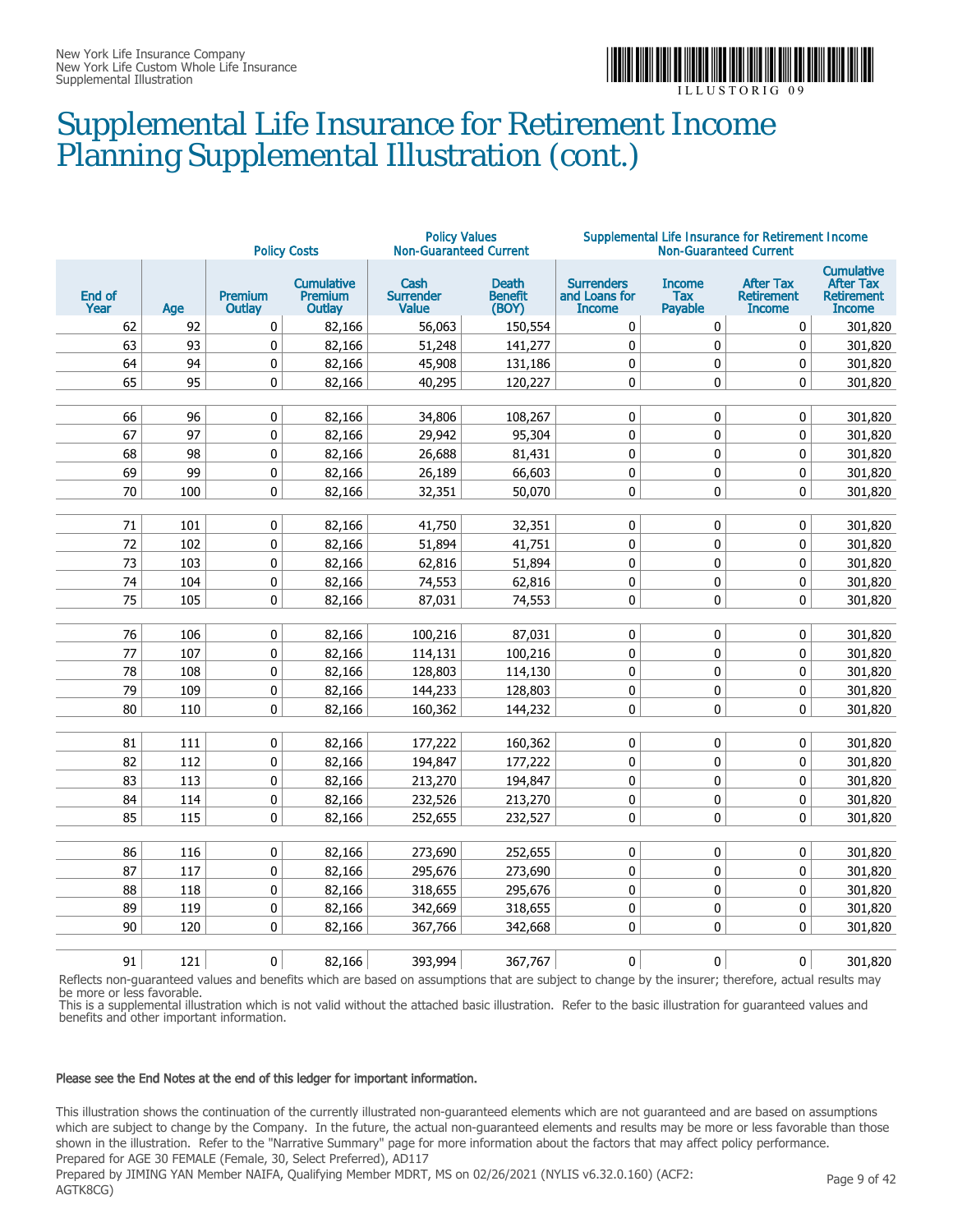

### Supplemental Life Insurance for Retirement Income Planning Supplemental Illustration (cont.)

|                |     |                          | <b>Policy Costs</b>                           | <b>Policy Values</b><br><b>Non-Guaranteed Current</b> |                                         |                                                     | <b>Non-Guaranteed Current</b>   | Supplemental Life Insurance for Retirement Income      |                                                                             |
|----------------|-----|--------------------------|-----------------------------------------------|-------------------------------------------------------|-----------------------------------------|-----------------------------------------------------|---------------------------------|--------------------------------------------------------|-----------------------------------------------------------------------------|
| End of<br>Year | Age | <b>Premium</b><br>Outlay | <b>Cumulative</b><br><b>Premium</b><br>Outlay | Cash<br><b>Surrender</b><br><b>Value</b>              | <b>Death</b><br><b>Benefit</b><br>(BOY) | <b>Surrenders</b><br>and Loans for<br><b>Income</b> | <b>Income</b><br>Tax<br>Payable | <b>After Tax</b><br><b>Retirement</b><br><b>Income</b> | <b>Cumulative</b><br><b>After Tax</b><br><b>Retirement</b><br><b>Income</b> |
| 62             | 92  | 0                        | 82,166                                        | 56,063                                                | 150,554                                 | 0                                                   | 0                               | 0                                                      | 301,820                                                                     |
| 63             | 93  | 0                        | 82,166                                        | 51,248                                                | 141,277                                 | $\mathbf 0$                                         | 0                               | 0                                                      | 301,820                                                                     |
| 64             | 94  | 0                        | 82,166                                        | 45,908                                                | 131,186                                 | 0                                                   | 0                               | 0                                                      | 301,820                                                                     |
| 65             | 95  | 0                        | 82,166                                        | 40,295                                                | 120,227                                 | $\mathbf 0$                                         | 0                               | $\mathbf 0$                                            | 301,820                                                                     |
|                |     |                          |                                               |                                                       |                                         |                                                     |                                 |                                                        |                                                                             |
| 66             | 96  | 0                        | 82,166                                        | 34,806                                                | 108,267                                 | $\pmb{0}$                                           | 0                               | 0                                                      | 301,820                                                                     |
| 67             | 97  | $\mathbf 0$              | 82,166                                        | 29,942                                                | 95,304                                  | $\mathbf 0$                                         | 0                               | $\pmb{0}$                                              | 301,820                                                                     |
| 68             | 98  | $\pmb{0}$                | 82,166                                        | 26,688                                                | 81,431                                  | $\mathbf 0$                                         | 0                               | 0                                                      | 301,820                                                                     |
| 69             | 99  | 0                        | 82,166                                        | 26,189                                                | 66,603                                  | 0                                                   | 0                               | 0                                                      | 301,820                                                                     |
| 70             | 100 | 0                        | 82,166                                        | 32,351                                                | 50,070                                  | 0                                                   | 0                               | 0                                                      | 301,820                                                                     |
|                |     |                          |                                               |                                                       |                                         |                                                     |                                 |                                                        |                                                                             |
| 71             | 101 | 0                        | 82,166                                        | 41,750                                                | 32,351                                  | 0                                                   | 0                               | 0                                                      | 301,820                                                                     |
| 72             | 102 | $\mathbf 0$              | 82,166                                        | 51,894                                                | 41,751                                  | $\mathbf 0$                                         | 0                               | 0                                                      | 301,820                                                                     |
| 73             | 103 | 0                        | 82,166                                        | 62,816                                                | 51,894                                  | $\mathbf 0$                                         | 0                               | 0                                                      | 301,820                                                                     |
| 74             | 104 | 0                        | 82,166                                        | 74,553                                                | 62,816                                  | $\mathbf 0$                                         | 0                               | 0                                                      | 301,820                                                                     |
| 75             | 105 | 0                        | 82,166                                        | 87,031                                                | 74,553                                  | 0                                                   | 0                               | 0                                                      | 301,820                                                                     |
|                |     |                          |                                               |                                                       |                                         |                                                     |                                 |                                                        |                                                                             |
| 76             | 106 | 0                        | 82,166                                        | 100,216                                               | 87,031                                  | 0                                                   | 0                               | 0                                                      | 301,820                                                                     |
| 77             | 107 | 0                        | 82,166                                        | 114,131                                               | 100,216                                 | $\pmb{0}$                                           | 0                               | 0                                                      | 301,820                                                                     |
| 78             | 108 | $\pmb{0}$                | 82,166                                        | 128,803                                               | 114,130                                 | $\mathbf 0$                                         | 0                               | 0                                                      | 301,820                                                                     |
| 79             | 109 | 0                        | 82,166                                        | 144,233                                               | 128,803                                 | $\mathbf 0$                                         | 0                               | 0                                                      | 301,820                                                                     |
| 80             | 110 | $\mathbf 0$              | 82,166                                        | 160,362                                               | 144,232                                 | $\mathbf 0$                                         | 0                               | $\mathbf 0$                                            | 301,820                                                                     |
|                |     |                          |                                               |                                                       |                                         |                                                     |                                 |                                                        |                                                                             |
| 81             | 111 | 0                        | 82,166                                        | 177,222                                               | 160,362                                 | 0                                                   | 0                               | 0                                                      | 301,820                                                                     |
| 82             | 112 | $\pmb{0}$                | 82,166                                        | 194,847                                               | 177,222                                 | $\pmb{0}$                                           | 0                               | 0                                                      | 301,820                                                                     |
| 83             | 113 | $\mathbf 0$              | 82,166                                        | 213,270                                               | 194,847                                 | $\mathbf 0$                                         | 0                               | 0                                                      | 301,820                                                                     |
| 84             | 114 | 0                        | 82,166                                        | 232,526                                               | 213,270                                 | $\mathbf 0$                                         | 0                               | 0                                                      | 301,820                                                                     |
| 85             | 115 | 0                        | 82,166                                        | 252,655                                               | 232,527                                 | $\mathbf 0$                                         | 0                               | $\mathbf 0$                                            | 301,820                                                                     |
|                |     |                          |                                               |                                                       |                                         |                                                     |                                 |                                                        |                                                                             |
| 86             | 116 | 0                        | 82,166                                        | 273,690                                               | 252,655                                 | 0                                                   | 0                               | 0                                                      | 301,820                                                                     |
| 87             | 117 | $\pmb{0}$                | 82,166                                        | 295,676                                               | 273,690                                 | $\pmb{0}$                                           | 0                               | 0                                                      | 301,820                                                                     |
| 88             | 118 | 0                        | 82,166                                        | 318,655                                               | 295,676                                 | 0                                                   | 0                               | 0                                                      | 301,820                                                                     |
| 89             | 119 | $\pmb{0}$                | 82,166                                        | 342,669                                               | 318,655                                 | $\mathbf 0$                                         | 0                               | 0                                                      | 301,820                                                                     |
| 90             | 120 | 0                        | 82,166                                        | 367,766                                               | 342,668                                 | $\mathbf 0$                                         | 0                               | $\mathbf 0$                                            | 301,820                                                                     |
|                |     |                          |                                               |                                                       |                                         |                                                     |                                 |                                                        |                                                                             |
| 91             | 121 | $\mathbf{0}$             | 82,166                                        | 393,994                                               | 367,767                                 | $\mathbf{0}$                                        | 0                               | $\mathbf{0}$                                           | 301,820                                                                     |

Reflects non-guaranteed values and benefits which are based on assumptions that are subject to change by the insurer; therefore, actual results may be more or less favorable.

This is a supplemental illustration which is not valid without the attached basic illustration. Refer to the basic illustration for guaranteed values and benefits and other important information.

#### Please see the End Notes at the end of this ledger for important information.

This illustration shows the continuation of the currently illustrated non-guaranteed elements which are not guaranteed and are based on assumptions which are subject to change by the Company. In the future, the actual non-guaranteed elements and results may be more or less favorable than those shown in the illustration. Refer to the "Narrative Summary" page for more information about the factors that may affect policy performance. Prepared for AGE 30 FEMALE (Female, 30, Select Preferred), AD117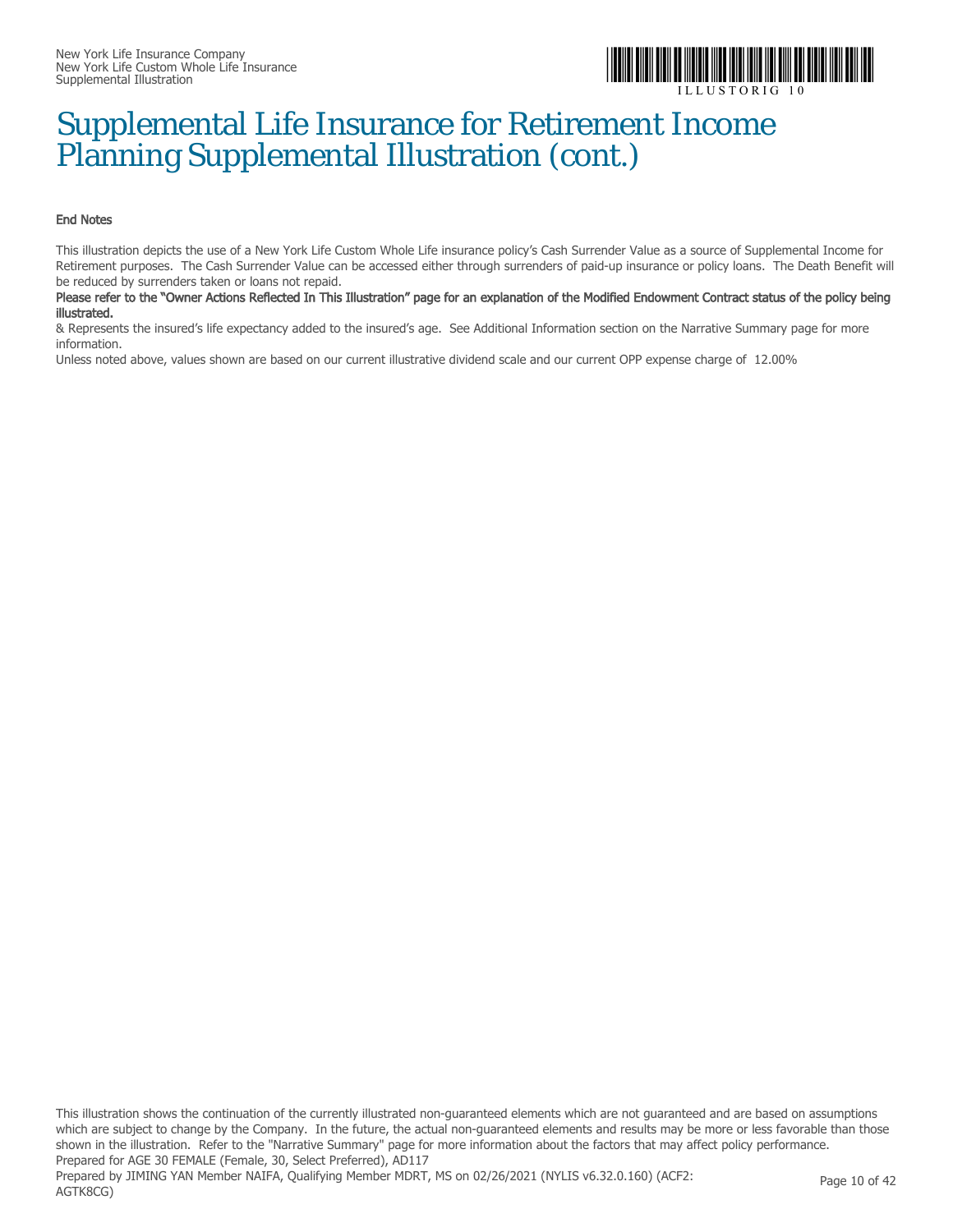

### Supplemental Life Insurance for Retirement Income Planning Supplemental Illustration (cont.)

#### End Notes

This illustration depicts the use of a New York Life Custom Whole Life insurance policy's Cash Surrender Value as a source of Supplemental Income for Retirement purposes. The Cash Surrender Value can be accessed either through surrenders of paid-up insurance or policy loans. The Death Benefit will be reduced by surrenders taken or loans not repaid.

#### Please refer to the "Owner Actions Reflected In This Illustration" page for an explanation of the Modified Endowment Contract status of the policy being illustrated.

& Represents the insured's life expectancy added to the insured's age. See Additional Information section on the Narrative Summary page for more information.

Unless noted above, values shown are based on our current illustrative dividend scale and our current OPP expense charge of 12.00%

This illustration shows the continuation of the currently illustrated non-guaranteed elements which are not guaranteed and are based on assumptions which are subject to change by the Company. In the future, the actual non-guaranteed elements and results may be more or less favorable than those shown in the illustration. Refer to the "Narrative Summary" page for more information about the factors that may affect policy performance. Prepared for AGE 30 FEMALE (Female, 30, Select Preferred), AD117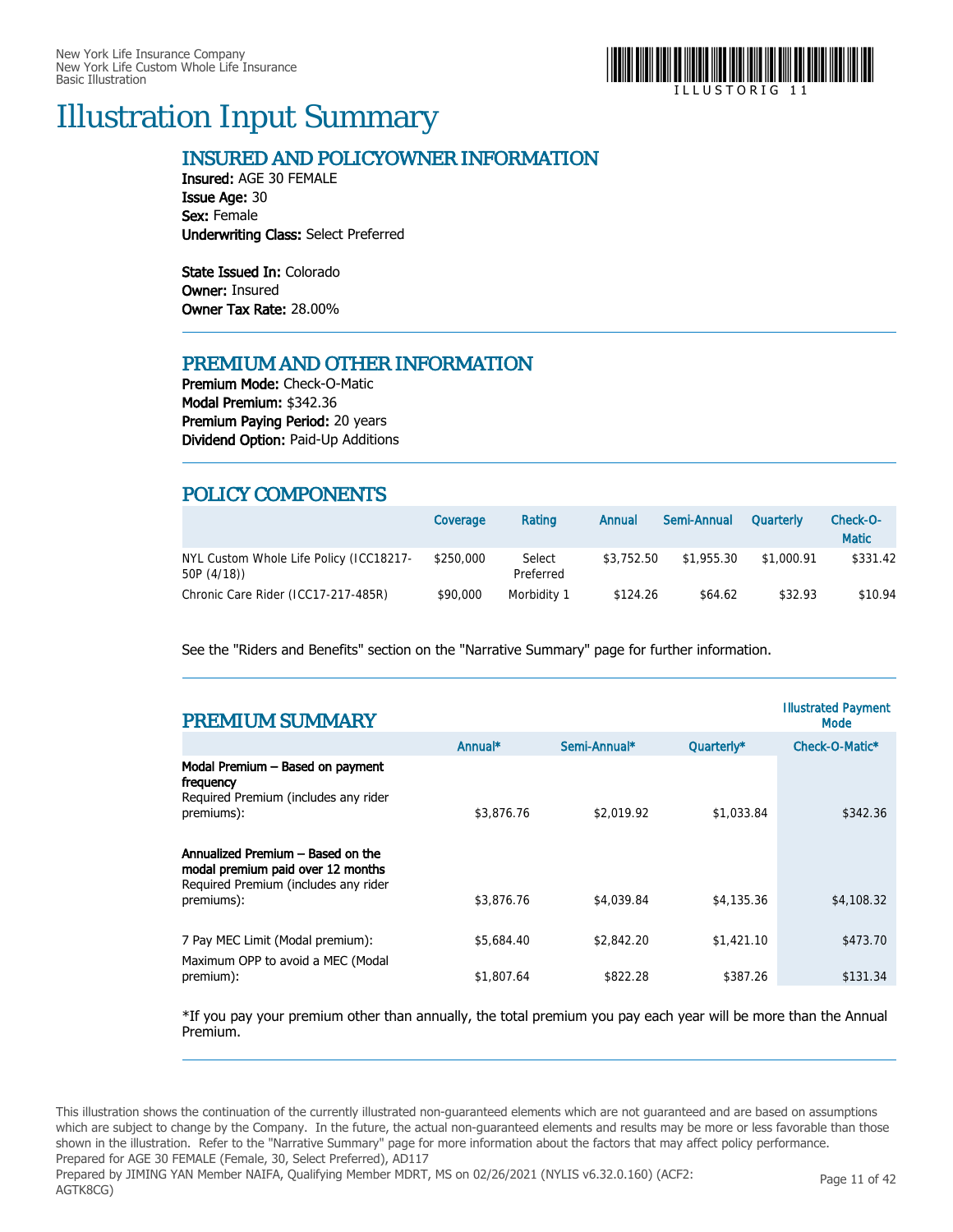

### Illustration Input Summary

#### INSURED AND POLICYOWNER INFORMATION

Insured: AGE 30 FEMALE Issue Age: 30 Sex: Female Underwriting Class: Select Preferred

State Issued In: Colorado Owner: Insured Owner Tax Rate: 28.00%

#### PREMIUM AND OTHER INFORMATION

Premium Mode: Check-O-Matic Modal Premium: \$342.36 Premium Paying Period: 20 years Dividend Option: Paid-Up Additions

#### POLICY COMPONENTS

|                                                        | Coverage  | Rating              | Annual     | Semi-Annual | <b>Quarterly</b> | Check-O-<br><b>Matic</b> |
|--------------------------------------------------------|-----------|---------------------|------------|-------------|------------------|--------------------------|
| NYL Custom Whole Life Policy (ICC18217-<br>50P (4/18)) | \$250,000 | Select<br>Preferred | \$3,752.50 | \$1.955.30  | \$1.000.91       | \$331.42                 |
| Chronic Care Rider (ICC17-217-485R)                    | \$90,000  | Morbidity 1         | \$124.26   | \$64.62     | \$32.93          | \$10.94                  |

See the "Riders and Benefits" section on the "Narrative Summary" page for further information.

| <b>PREMIUM SUMMARY</b>                                                                                                                   |            |              |            | <b>Illustrated Payment</b><br>Mode |
|------------------------------------------------------------------------------------------------------------------------------------------|------------|--------------|------------|------------------------------------|
|                                                                                                                                          | Annual*    | Semi-Annual* | Quarterly* | Check-O-Matic*                     |
| Modal Premium - Based on payment<br>frequency<br>Required Premium (includes any rider<br>premiums):<br>Annualized Premium - Based on the | \$3,876.76 | \$2,019.92   | \$1,033.84 | \$342.36                           |
| modal premium paid over 12 months<br>Required Premium (includes any rider<br>premiums):                                                  | \$3,876.76 | \$4,039.84   | \$4,135,36 | \$4,108.32                         |
| 7 Pay MEC Limit (Modal premium):<br>Maximum OPP to avoid a MEC (Modal                                                                    | \$5,684.40 | \$2,842.20   | \$1,421.10 | \$473.70                           |
| premium):                                                                                                                                | \$1,807.64 | \$822.28     | \$387.26   | \$131.34                           |

\*If you pay your premium other than annually, the total premium you pay each year will be more than the Annual Premium.

This illustration shows the continuation of the currently illustrated non-guaranteed elements which are not guaranteed and are based on assumptions which are subject to change by the Company. In the future, the actual non-guaranteed elements and results may be more or less favorable than those shown in the illustration. Refer to the "Narrative Summary" page for more information about the factors that may affect policy performance. Prepared for AGE 30 FEMALE (Female, 30, Select Preferred), AD117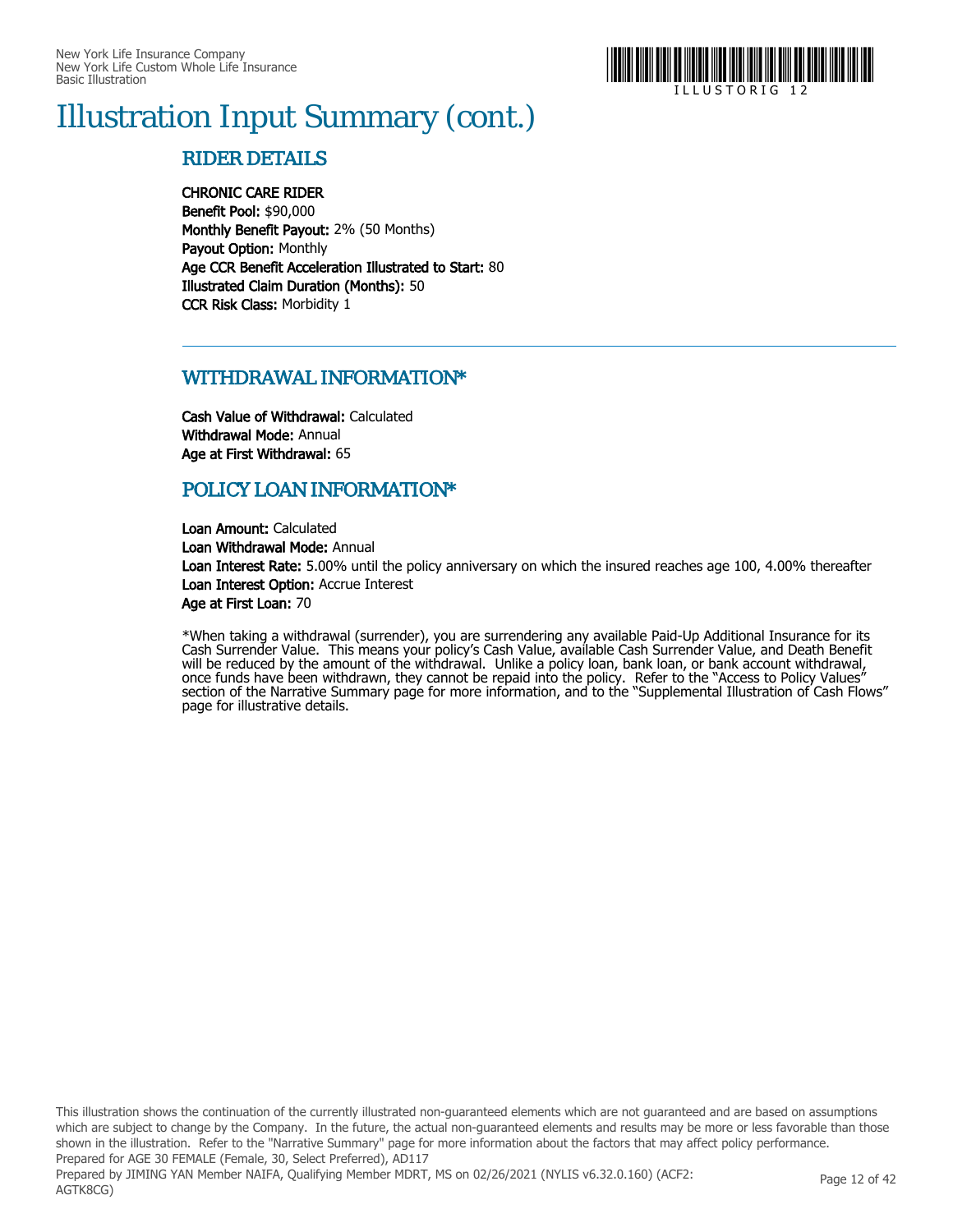

# Illustration Input Summary (cont.)

#### RIDER DETAILS

CHRONIC CARE RIDER

Benefit Pool: \$90,000 Monthly Benefit Payout: 2% (50 Months) Payout Option: Monthly Age CCR Benefit Acceleration Illustrated to Start: 80 Illustrated Claim Duration (Months): 50 CCR Risk Class: Morbidity 1

#### WITHDRAWAL INFORMATION\*

Cash Value of Withdrawal: Calculated Withdrawal Mode: Annual Age at First Withdrawal: 65

#### POLICY LOAN INFORMATION\*

Loan Amount: Calculated Loan Withdrawal Mode: Annual Loan Interest Rate: 5.00% until the policy anniversary on which the insured reaches age 100, 4.00% thereafter Loan Interest Option: Accrue Interest Age at First Loan: 70

\*When taking a withdrawal (surrender), you are surrendering any available Paid-Up Additional Insurance for its Cash Surrender Value. This means your policy's Cash Value, available Cash Surrender Value, and Death Benefit will be reduced by the amount of the withdrawal. Unlike a policy loan, bank loan, or bank account withdrawal, once funds have been withdrawn, they cannot be repaid into the policy. Refer to the "Access to Policy Values" section of the Narrative Summary page for more information, and to the "Supplemental Illustration of Cash Flows" page for illustrative details.

This illustration shows the continuation of the currently illustrated non-guaranteed elements which are not guaranteed and are based on assumptions which are subject to change by the Company. In the future, the actual non-guaranteed elements and results may be more or less favorable than those shown in the illustration. Refer to the "Narrative Summary" page for more information about the factors that may affect policy performance. Prepared for AGE 30 FEMALE (Female, 30, Select Preferred), AD117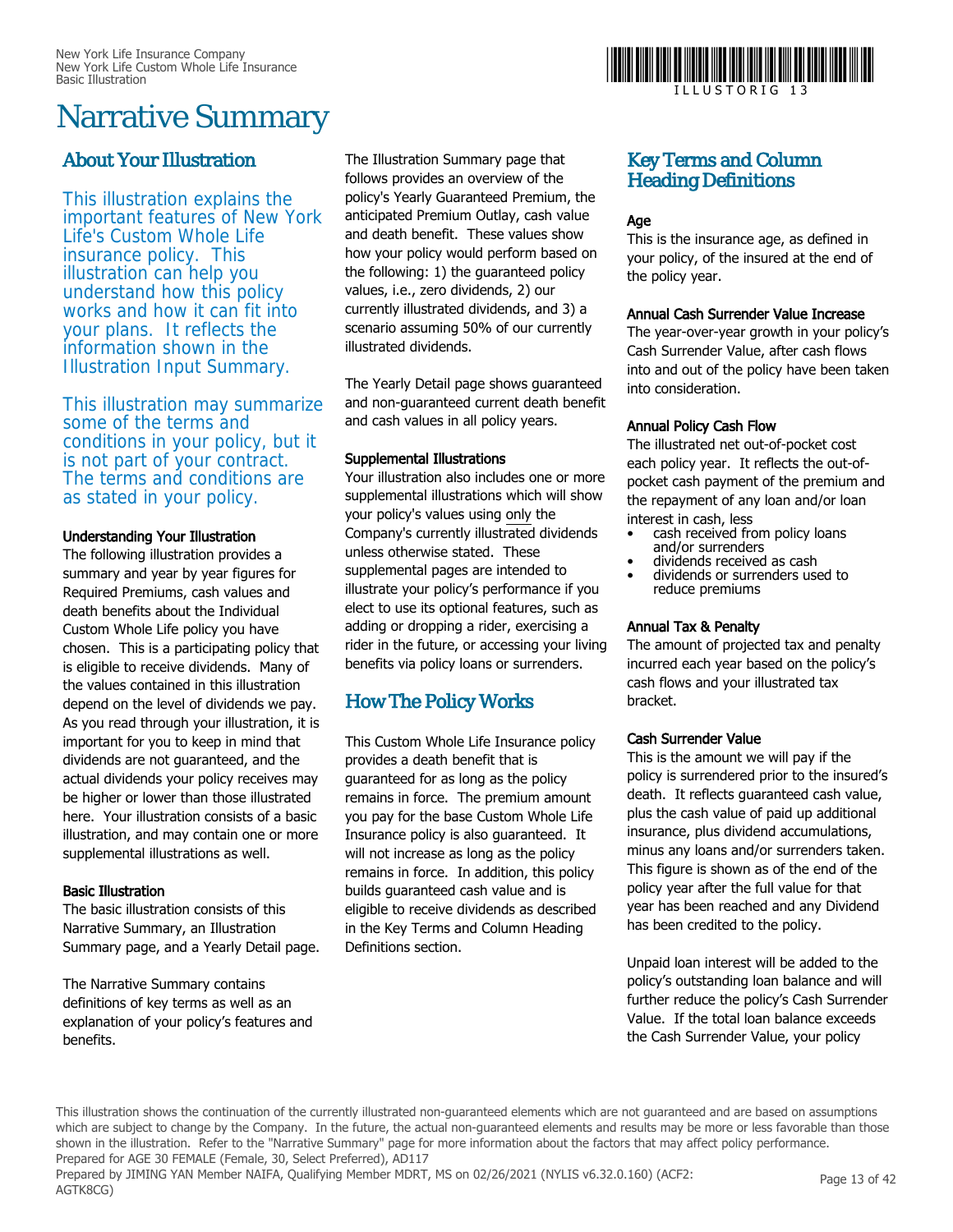## Narrative Summary

#### About Your Illustration

This illustration explains the important features of New York Life's Custom Whole Life insurance policy. This illustration can help you understand how this policy works and how it can fit into your plans. It reflects the information shown in the Illustration Input Summary.

This illustration may summarize some of the terms and conditions in your policy, but it is not part of your contract. The terms and conditions are as stated in your policy.

#### Understanding Your Illustration

The following illustration provides a summary and year by year figures for Required Premiums, cash values and death benefits about the Individual Custom Whole Life policy you have chosen. This is a participating policy that is eligible to receive dividends. Many of the values contained in this illustration depend on the level of dividends we pay. As you read through your illustration, it is important for you to keep in mind that dividends are not guaranteed, and the actual dividends your policy receives may be higher or lower than those illustrated here. Your illustration consists of a basic illustration, and may contain one or more supplemental illustrations as well.

#### Basic Illustration

The basic illustration consists of this Narrative Summary, an Illustration Summary page, and a Yearly Detail page.

The Narrative Summary contains definitions of key terms as well as an explanation of your policy's features and benefits.

The Illustration Summary page that follows provides an overview of the policy's Yearly Guaranteed Premium, the anticipated Premium Outlay, cash value and death benefit. These values show how your policy would perform based on the following: 1) the guaranteed policy values, i.e., zero dividends, 2) our currently illustrated dividends, and 3) a scenario assuming 50% of our currently illustrated dividends.

The Yearly Detail page shows guaranteed and non-guaranteed current death benefit and cash values in all policy years.

#### Supplemental Illustrations

Your illustration also includes one or more supplemental illustrations which will show your policy's values using only the Company's currently illustrated dividends unless otherwise stated. These supplemental pages are intended to illustrate your policy's performance if you elect to use its optional features, such as adding or dropping a rider, exercising a rider in the future, or accessing your living benefits via policy loans or surrenders.

#### How The Policy Works

This Custom Whole Life Insurance policy provides a death benefit that is guaranteed for as long as the policy remains in force. The premium amount you pay for the base Custom Whole Life Insurance policy is also guaranteed. It will not increase as long as the policy remains in force. In addition, this policy builds guaranteed cash value and is eligible to receive dividends as described in the Key Terms and Column Heading Definitions section.



#### Key Terms and Column Heading Definitions

#### Age

This is the insurance age, as defined in your policy, of the insured at the end of the policy year.

#### Annual Cash Surrender Value Increase

The year-over-year growth in your policy's Cash Surrender Value, after cash flows into and out of the policy have been taken into consideration.

#### Annual Policy Cash Flow

The illustrated net out-of-pocket cost each policy year. It reflects the out-ofpocket cash payment of the premium and the repayment of any loan and/or loan interest in cash, less

- cash received from policy loans and/or surrenders
- dividends received as cash • dividends or surrenders used to
- reduce premiums

#### Annual Tax & Penalty

The amount of projected tax and penalty incurred each year based on the policy's cash flows and your illustrated tax bracket.

#### Cash Surrender Value

This is the amount we will pay if the policy is surrendered prior to the insured's death. It reflects guaranteed cash value, plus the cash value of paid up additional insurance, plus dividend accumulations, minus any loans and/or surrenders taken. This figure is shown as of the end of the policy year after the full value for that year has been reached and any Dividend has been credited to the policy.

Unpaid loan interest will be added to the policy's outstanding loan balance and will further reduce the policy's Cash Surrender Value. If the total loan balance exceeds the Cash Surrender Value, your policy

This illustration shows the continuation of the currently illustrated non-guaranteed elements which are not guaranteed and are based on assumptions which are subject to change by the Company. In the future, the actual non-guaranteed elements and results may be more or less favorable than those shown in the illustration. Refer to the "Narrative Summary" page for more information about the factors that may affect policy performance. Prepared for AGE 30 FEMALE (Female, 30, Select Preferred), AD117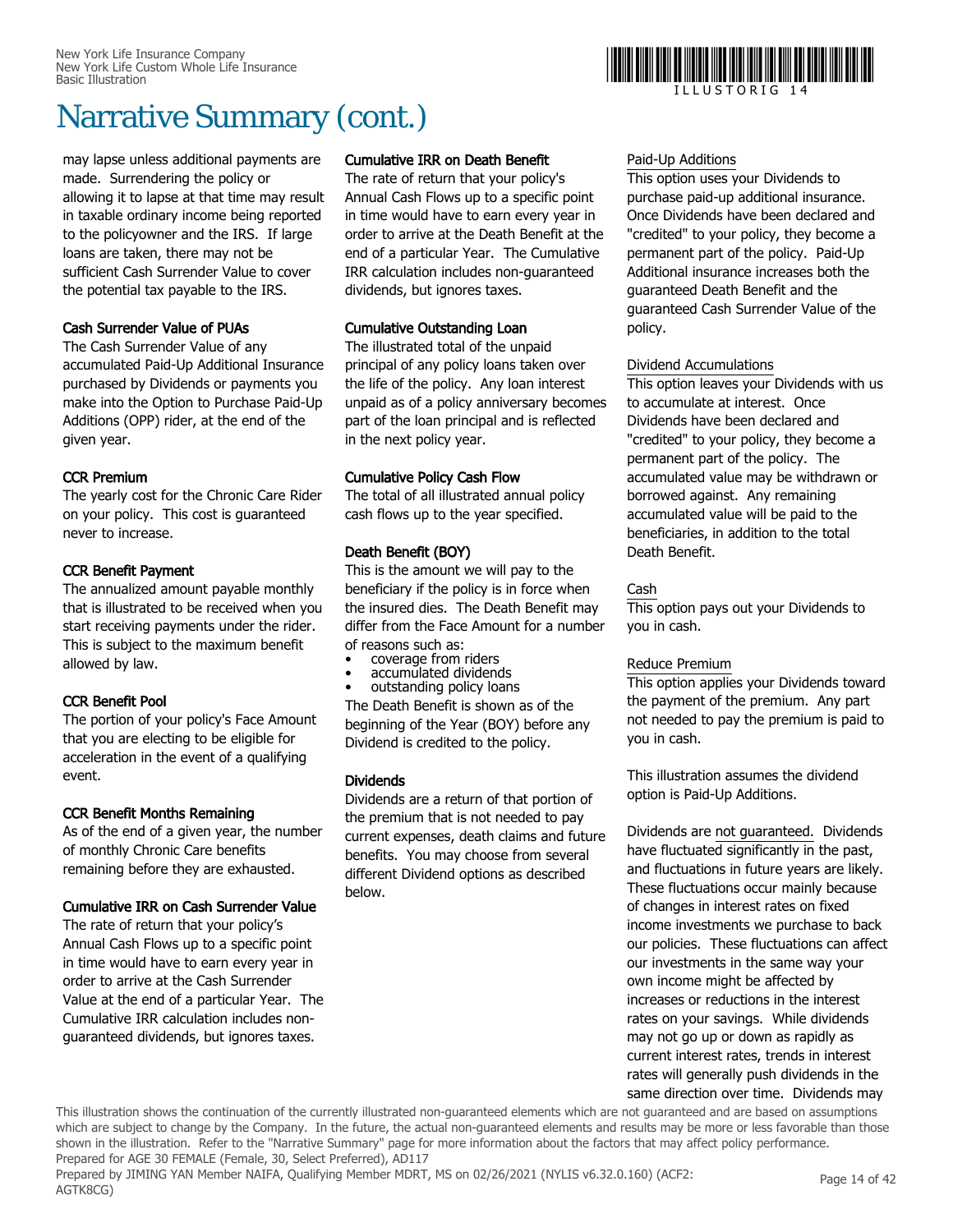may lapse unless additional payments are made. Surrendering the policy or allowing it to lapse at that time may result in taxable ordinary income being reported to the policyowner and the IRS. If large loans are taken, there may not be sufficient Cash Surrender Value to cover the potential tax payable to the IRS.

#### Cash Surrender Value of PUAs

The Cash Surrender Value of any accumulated Paid-Up Additional Insurance purchased by Dividends or payments you make into the Option to Purchase Paid-Up Additions (OPP) rider, at the end of the given year.

#### CCR Premium

The yearly cost for the Chronic Care Rider on your policy. This cost is guaranteed never to increase.

#### CCR Benefit Payment

The annualized amount payable monthly that is illustrated to be received when you start receiving payments under the rider. This is subject to the maximum benefit allowed by law.

#### CCR Benefit Pool

The portion of your policy's Face Amount that you are electing to be eligible for acceleration in the event of a qualifying event.

#### CCR Benefit Months Remaining

As of the end of a given year, the number of monthly Chronic Care benefits remaining before they are exhausted.

#### Cumulative IRR on Cash Surrender Value

The rate of return that your policy's Annual Cash Flows up to a specific point in time would have to earn every year in order to arrive at the Cash Surrender Value at the end of a particular Year. The Cumulative IRR calculation includes nonguaranteed dividends, but ignores taxes.

#### Cumulative IRR on Death Benefit

The rate of return that your policy's Annual Cash Flows up to a specific point in time would have to earn every year in order to arrive at the Death Benefit at the end of a particular Year. The Cumulative IRR calculation includes non-guaranteed dividends, but ignores taxes.

#### Cumulative Outstanding Loan

The illustrated total of the unpaid principal of any policy loans taken over the life of the policy. Any loan interest unpaid as of a policy anniversary becomes part of the loan principal and is reflected in the next policy year.

#### Cumulative Policy Cash Flow

The total of all illustrated annual policy cash flows up to the year specified.

#### Death Benefit (BOY)

This is the amount we will pay to the beneficiary if the policy is in force when the insured dies. The Death Benefit may differ from the Face Amount for a number of reasons such as:

- coverage from riders
- accumulated dividends
- outstanding policy loans

The Death Benefit is shown as of the beginning of the Year (BOY) before any Dividend is credited to the policy.

#### Dividends

Dividends are a return of that portion of the premium that is not needed to pay current expenses, death claims and future benefits. You may choose from several different Dividend options as described below.

#### Paid-Up Additions

This option uses your Dividends to purchase paid-up additional insurance. Once Dividends have been declared and "credited" to your policy, they become a permanent part of the policy. Paid-Up Additional insurance increases both the guaranteed Death Benefit and the guaranteed Cash Surrender Value of the policy.

#### Dividend Accumulations

This option leaves your Dividends with us to accumulate at interest. Once Dividends have been declared and "credited" to your policy, they become a permanent part of the policy. The accumulated value may be withdrawn or borrowed against. Any remaining accumulated value will be paid to the beneficiaries, in addition to the total Death Benefit.

#### Cash

This option pays out your Dividends to you in cash.

#### Reduce Premium

This option applies your Dividends toward the payment of the premium. Any part not needed to pay the premium is paid to you in cash.

This illustration assumes the dividend option is Paid-Up Additions.

Dividends are not guaranteed. Dividends have fluctuated significantly in the past, and fluctuations in future years are likely. These fluctuations occur mainly because of changes in interest rates on fixed income investments we purchase to back our policies. These fluctuations can affect our investments in the same way your own income might be affected by increases or reductions in the interest rates on your savings. While dividends may not go up or down as rapidly as current interest rates, trends in interest rates will generally push dividends in the same direction over time. Dividends may

Prepared by JIMING YAN Member NAIFA, Qualifying Member MDRT, MS on 02/26/2021 (NYLIS v6.32.0.160) (ACF2: AGTK8CG)



I L L U S T O R I G 1 4

This illustration shows the continuation of the currently illustrated non-guaranteed elements which are not guaranteed and are based on assumptions which are subject to change by the Company. In the future, the actual non-guaranteed elements and results may be more or less favorable than those shown in the illustration. Refer to the "Narrative Summary" page for more information about the factors that may affect policy performance. Prepared for AGE 30 FEMALE (Female, 30, Select Preferred), AD117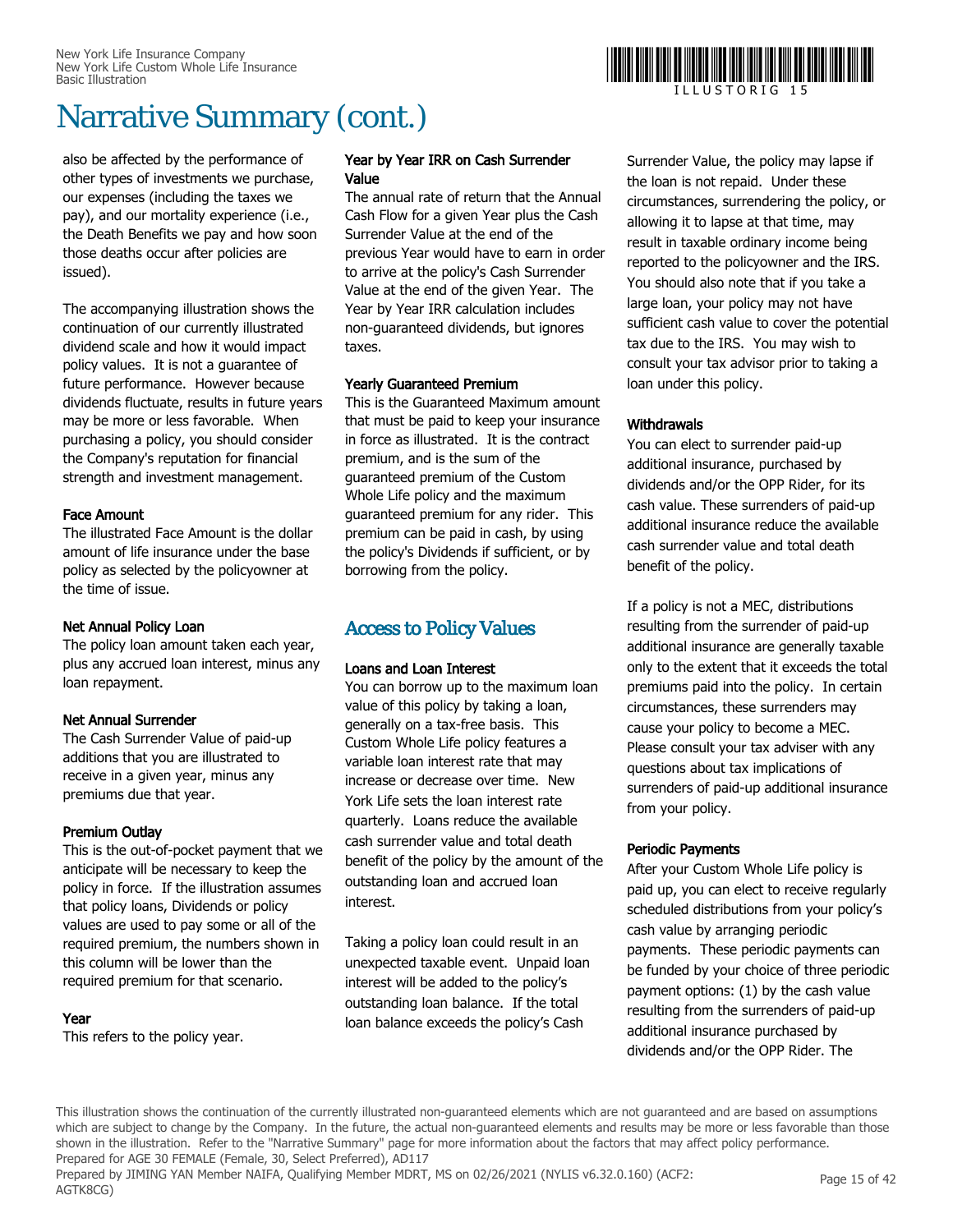also be affected by the performance of other types of investments we purchase, our expenses (including the taxes we pay), and our mortality experience (i.e., the Death Benefits we pay and how soon those deaths occur after policies are issued).

The accompanying illustration shows the continuation of our currently illustrated dividend scale and how it would impact policy values. It is not a guarantee of future performance. However because dividends fluctuate, results in future years may be more or less favorable. When purchasing a policy, you should consider the Company's reputation for financial strength and investment management.

#### Face Amount

The illustrated Face Amount is the dollar amount of life insurance under the base policy as selected by the policyowner at the time of issue.

#### Net Annual Policy Loan

The policy loan amount taken each year, plus any accrued loan interest, minus any loan repayment.

#### Net Annual Surrender

The Cash Surrender Value of paid-up additions that you are illustrated to receive in a given year, minus any premiums due that year.

#### Premium Outlay

This is the out-of-pocket payment that we anticipate will be necessary to keep the policy in force. If the illustration assumes that policy loans, Dividends or policy values are used to pay some or all of the required premium, the numbers shown in this column will be lower than the required premium for that scenario.

#### Year

This refers to the policy year.

#### Year by Year IRR on Cash Surrender Value

The annual rate of return that the Annual Cash Flow for a given Year plus the Cash Surrender Value at the end of the previous Year would have to earn in order to arrive at the policy's Cash Surrender Value at the end of the given Year. The Year by Year IRR calculation includes non-guaranteed dividends, but ignores taxes.

#### Yearly Guaranteed Premium

This is the Guaranteed Maximum amount that must be paid to keep your insurance in force as illustrated. It is the contract premium, and is the sum of the guaranteed premium of the Custom Whole Life policy and the maximum guaranteed premium for any rider. This premium can be paid in cash, by using the policy's Dividends if sufficient, or by borrowing from the policy.

#### Access to Policy Values

#### Loans and Loan Interest

You can borrow up to the maximum loan value of this policy by taking a loan, generally on a tax-free basis. This Custom Whole Life policy features a variable loan interest rate that may increase or decrease over time. New York Life sets the loan interest rate quarterly. Loans reduce the available cash surrender value and total death benefit of the policy by the amount of the outstanding loan and accrued loan interest.

Taking a policy loan could result in an unexpected taxable event. Unpaid loan interest will be added to the policy's outstanding loan balance. If the total loan balance exceeds the policy's Cash

Surrender Value, the policy may lapse if the loan is not repaid. Under these circumstances, surrendering the policy, or allowing it to lapse at that time, may result in taxable ordinary income being reported to the policyowner and the IRS. You should also note that if you take a large loan, your policy may not have sufficient cash value to cover the potential tax due to the IRS. You may wish to consult your tax advisor prior to taking a loan under this policy.

#### **Withdrawals**

You can elect to surrender paid-up additional insurance, purchased by dividends and/or the OPP Rider, for its cash value. These surrenders of paid-up additional insurance reduce the available cash surrender value and total death benefit of the policy.

If a policy is not a MEC, distributions resulting from the surrender of paid-up additional insurance are generally taxable only to the extent that it exceeds the total premiums paid into the policy. In certain circumstances, these surrenders may cause your policy to become a MEC. Please consult your tax adviser with any questions about tax implications of surrenders of paid-up additional insurance from your policy.

#### Periodic Payments

After your Custom Whole Life policy is paid up, you can elect to receive regularly scheduled distributions from your policy's cash value by arranging periodic payments. These periodic payments can be funded by your choice of three periodic payment options: (1) by the cash value resulting from the surrenders of paid-up additional insurance purchased by dividends and/or the OPP Rider. The

This illustration shows the continuation of the currently illustrated non-guaranteed elements which are not guaranteed and are based on assumptions which are subject to change by the Company. In the future, the actual non-guaranteed elements and results may be more or less favorable than those shown in the illustration. Refer to the "Narrative Summary" page for more information about the factors that may affect policy performance. Prepared for AGE 30 FEMALE (Female, 30, Select Preferred), AD117

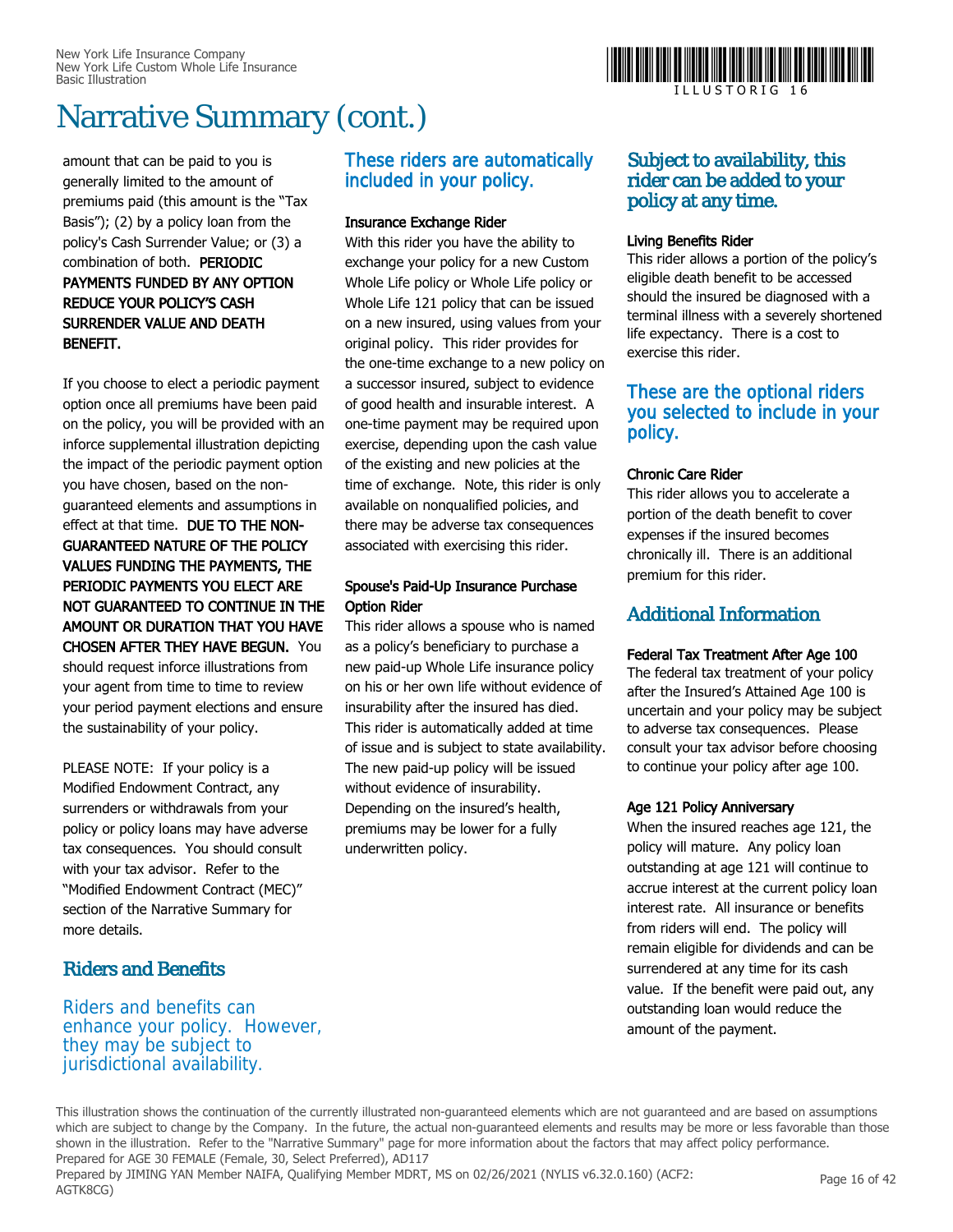amount that can be paid to you is generally limited to the amount of premiums paid (this amount is the "Tax Basis"); (2) by a policy loan from the policy's Cash Surrender Value; or (3) a combination of both. PERIODIC PAYMENTS FUNDED BY ANY OPTION REDUCE YOUR POLICY'S CASH SURRENDER VALUE AND DEATH BENEFIT.

If you choose to elect a periodic payment option once all premiums have been paid on the policy, you will be provided with an inforce supplemental illustration depicting the impact of the periodic payment option you have chosen, based on the nonguaranteed elements and assumptions in effect at that time. DUE TO THE NON-GUARANTEED NATURE OF THE POLICY VALUES FUNDING THE PAYMENTS, THE PERIODIC PAYMENTS YOU ELECT ARE NOT GUARANTEED TO CONTINUE IN THE AMOUNT OR DURATION THAT YOU HAVE CHOSEN AFTER THEY HAVE BEGUN. You

should request inforce illustrations from your agent from time to time to review your period payment elections and ensure the sustainability of your policy.

PLEASE NOTE: If your policy is a Modified Endowment Contract, any surrenders or withdrawals from your policy or policy loans may have adverse tax consequences. You should consult with your tax advisor. Refer to the "Modified Endowment Contract (MEC)" section of the Narrative Summary for more details.

#### Riders and Benefits

Riders and benefits can enhance your policy. However, they may be subject to jurisdictional availability.

#### These riders are automatically included in your policy.

#### Insurance Exchange Rider

With this rider you have the ability to exchange your policy for a new Custom Whole Life policy or Whole Life policy or Whole Life 121 policy that can be issued on a new insured, using values from your original policy. This rider provides for the one-time exchange to a new policy on a successor insured, subject to evidence of good health and insurable interest. A one-time payment may be required upon exercise, depending upon the cash value of the existing and new policies at the time of exchange. Note, this rider is only available on nonqualified policies, and there may be adverse tax consequences associated with exercising this rider.

#### Spouse's Paid-Up Insurance Purchase Option Rider

This rider allows a spouse who is named as a policy's beneficiary to purchase a new paid-up Whole Life insurance policy on his or her own life without evidence of insurability after the insured has died. This rider is automatically added at time of issue and is subject to state availability. The new paid-up policy will be issued without evidence of insurability. Depending on the insured's health, premiums may be lower for a fully underwritten policy.



#### Living Benefits Rider

This rider allows a portion of the policy's eligible death benefit to be accessed should the insured be diagnosed with a terminal illness with a severely shortened life expectancy. There is a cost to exercise this rider.

#### These are the optional riders you selected to include in your policy.

#### Chronic Care Rider

This rider allows you to accelerate a portion of the death benefit to cover expenses if the insured becomes chronically ill. There is an additional premium for this rider.

#### Additional Information

#### Federal Tax Treatment After Age 100

The federal tax treatment of your policy after the Insured's Attained Age 100 is uncertain and your policy may be subject to adverse tax consequences. Please consult your tax advisor before choosing to continue your policy after age 100.

#### Age 121 Policy Anniversary

When the insured reaches age 121, the policy will mature. Any policy loan outstanding at age 121 will continue to accrue interest at the current policy loan interest rate. All insurance or benefits from riders will end. The policy will remain eligible for dividends and can be surrendered at any time for its cash value. If the benefit were paid out, any outstanding loan would reduce the amount of the payment.

This illustration shows the continuation of the currently illustrated non-guaranteed elements which are not guaranteed and are based on assumptions which are subject to change by the Company. In the future, the actual non-guaranteed elements and results may be more or less favorable than those shown in the illustration. Refer to the "Narrative Summary" page for more information about the factors that may affect policy performance. Prepared for AGE 30 FEMALE (Female, 30, Select Preferred), AD117 Prepared by JIMING YAN Member NAIFA, Qualifying Member MDRT, MS on 02/26/2021 (NYLIS v6.32.0.160) (ACF2: AGTK8CG)



I L L U S T O R I G 1 6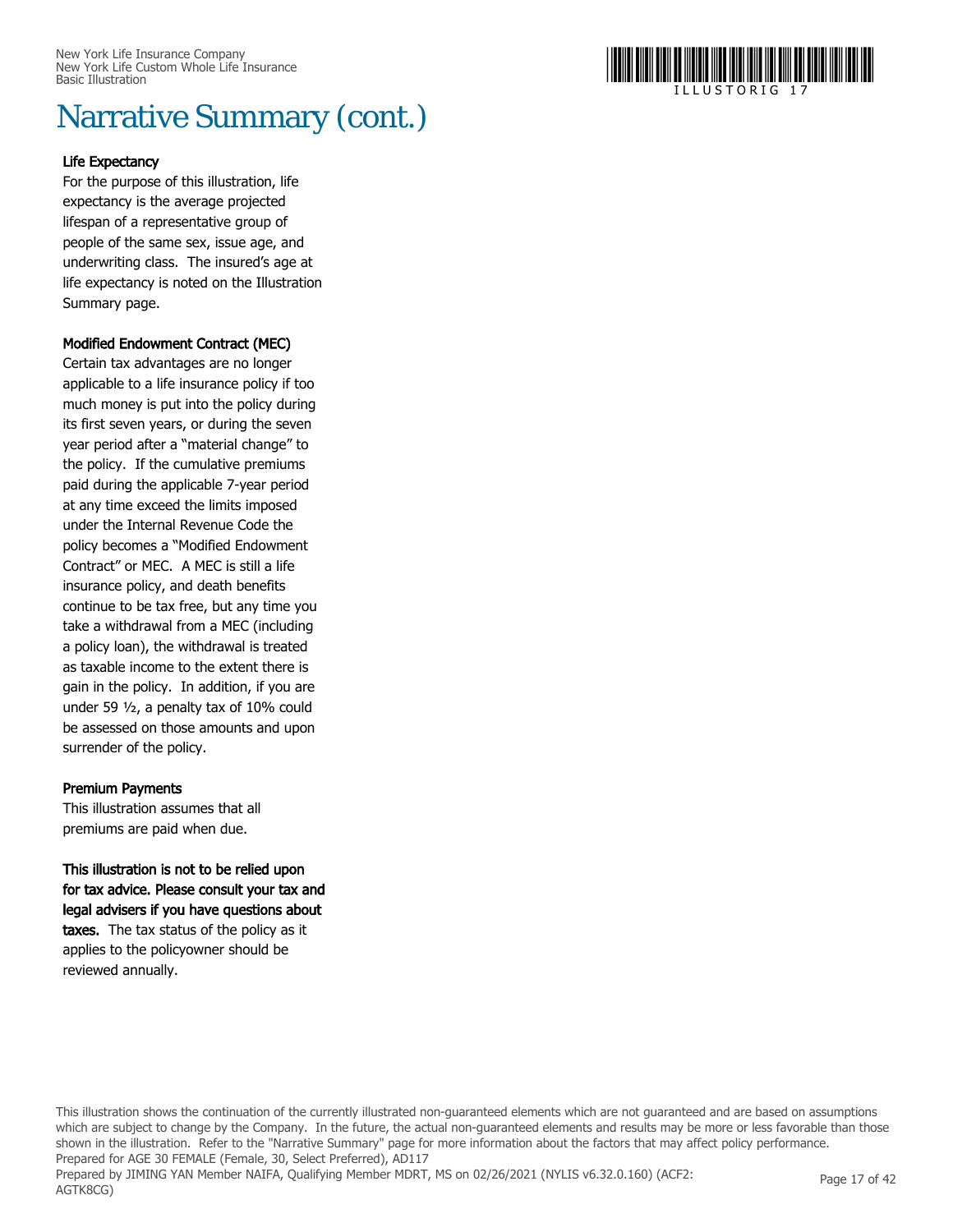

#### Life Expectancy

For the purpose of this illustration, life expectancy is the average projected lifespan of a representative group of people of the same sex, issue age, and underwriting class. The insured's age at life expectancy is noted on the Illustration Summary page.

#### Modified Endowment Contract (MEC)

Certain tax advantages are no longer applicable to a life insurance policy if too much money is put into the policy during its first seven years, or during the seven year period after a "material change" to the policy. If the cumulative premiums paid during the applicable 7-year period at any time exceed the limits imposed under the Internal Revenue Code the policy becomes a "Modified Endowment Contract" or MEC. A MEC is still a life insurance policy, and death benefits continue to be tax free, but any time you take a withdrawal from a MEC (including a policy loan), the withdrawal is treated as taxable income to the extent there is gain in the policy. In addition, if you are under 59 ½, a penalty tax of 10% could be assessed on those amounts and upon surrender of the policy.

#### Premium Payments

This illustration assumes that all premiums are paid when due.

#### This illustration is not to be relied upon for tax advice. Please consult your tax and legal advisers if you have questions about taxes. The tax status of the policy as it applies to the policyowner should be reviewed annually.

This illustration shows the continuation of the currently illustrated non-guaranteed elements which are not guaranteed and are based on assumptions which are subject to change by the Company. In the future, the actual non-guaranteed elements and results may be more or less favorable than those shown in the illustration. Refer to the "Narrative Summary" page for more information about the factors that may affect policy performance. Prepared for AGE 30 FEMALE (Female, 30, Select Preferred), AD117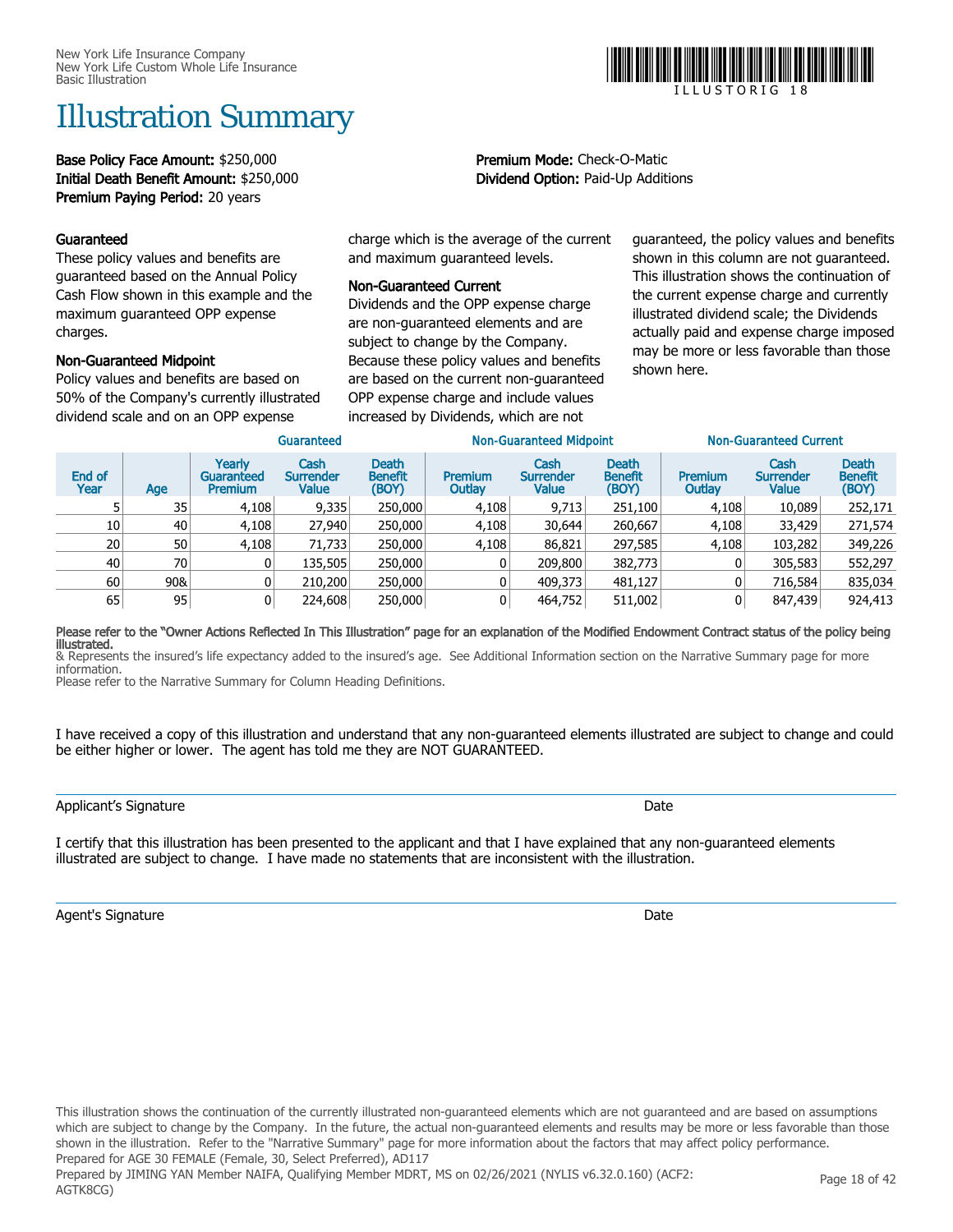# Illustration Summary

Base Policy Face Amount: \$250,000 Premium Mode: Check-O-Matic Initial Death Benefit Amount: \$250,000 Dividend Option: Paid-Up Additions Premium Paying Period: 20 years

#### Guaranteed

These policy values and benefits are guaranteed based on the Annual Policy Cash Flow shown in this example and the maximum guaranteed OPP expense charges.

#### Non-Guaranteed Midpoint

Policy values and benefits are based on 50% of the Company's currently illustrated dividend scale and on an OPP expense

charge which is the average of the current and maximum guaranteed levels.

#### Non-Guaranteed Current

Dividends and the OPP expense charge are non-guaranteed elements and are subject to change by the Company. Because these policy values and benefits are based on the current non-guaranteed OPP expense charge and include values increased by Dividends, which are not

guaranteed, the policy values and benefits shown in this column are not guaranteed. This illustration shows the continuation of the current expense charge and currently illustrated dividend scale; the Dividends actually paid and expense charge imposed may be more or less favorable than those shown here.

|                | Guaranteed      |                                        |                                   |                                         |                          | <b>Non-Guaranteed Midpoint</b>    |                                  | Non-Guaranteed Current |                                   |                                         |  |
|----------------|-----------------|----------------------------------------|-----------------------------------|-----------------------------------------|--------------------------|-----------------------------------|----------------------------------|------------------------|-----------------------------------|-----------------------------------------|--|
| End of<br>Year | Age             | Yearly<br>Guaranteed<br><b>Premium</b> | Cash<br><b>Surrender</b><br>Value | <b>Death</b><br><b>Benefit</b><br>(BOY) | <b>Premium</b><br>Outlay | Cash<br><b>Surrender</b><br>Value | Death<br><b>Benefit</b><br>(BOY) | Premium<br>Outlay      | Cash<br><b>Surrender</b><br>Value | <b>Death</b><br><b>Benefit</b><br>(BOY) |  |
|                | 35              | 4,108                                  | 9,335                             | 250,000                                 | 4,108                    | 9,713                             | 251,100                          | 4,108                  | 10,089                            | 252,171                                 |  |
| 10             | 40              | 4,108                                  | 27,940                            | 250,000                                 | 4,108                    | 30,644                            | 260,667                          | 4,108                  | 33,429                            | 271,574                                 |  |
| 20             | 50 <sup>1</sup> | 4,108                                  | 71,733                            | 250,000                                 | 4,108                    | 86,821                            | 297,585                          | 4,108                  | 103,282                           | 349,226                                 |  |
| 40             | 70              |                                        | 135,505                           | 250,000                                 |                          | 209,800                           | 382,773                          |                        | 305,583                           | 552,297                                 |  |
| 60             | 90&             |                                        | 210,200                           | 250,000                                 | 0                        | 409,373                           | 481,127                          |                        | 716,584                           | 835,034                                 |  |
| 65             | 95              | 0                                      | 224,608                           | 250,000                                 | 0                        | 464,752                           | 511,002                          |                        | 847,439                           | 924,413                                 |  |
|                |                 |                                        |                                   |                                         |                          |                                   |                                  |                        |                                   |                                         |  |

#### Please refer to the "Owner Actions Reflected In This Illustration" page for an explanation of the Modified Endowment Contract status of the policy being illustrated.

& Represents the insured's life expectancy added to the insured's age. See Additional Information section on the Narrative Summary page for more information.

Please refer to the Narrative Summary for Column Heading Definitions.

I have received a copy of this illustration and understand that any non-guaranteed elements illustrated are subject to change and could be either higher or lower. The agent has told me they are NOT GUARANTEED.

I certify that this illustration has been presented to the applicant and that I have explained that any non-guaranteed elements illustrated are subject to change. I have made no statements that are inconsistent with the illustration.

Agent's Signature Date of the Date of the Date of the Date of the Date of the Date of the Date of the Date of the Date of the Date of the Date of the Date of the Date of the Date of the Date of the Date of the Date of the





I L L U S T O R I G 1 8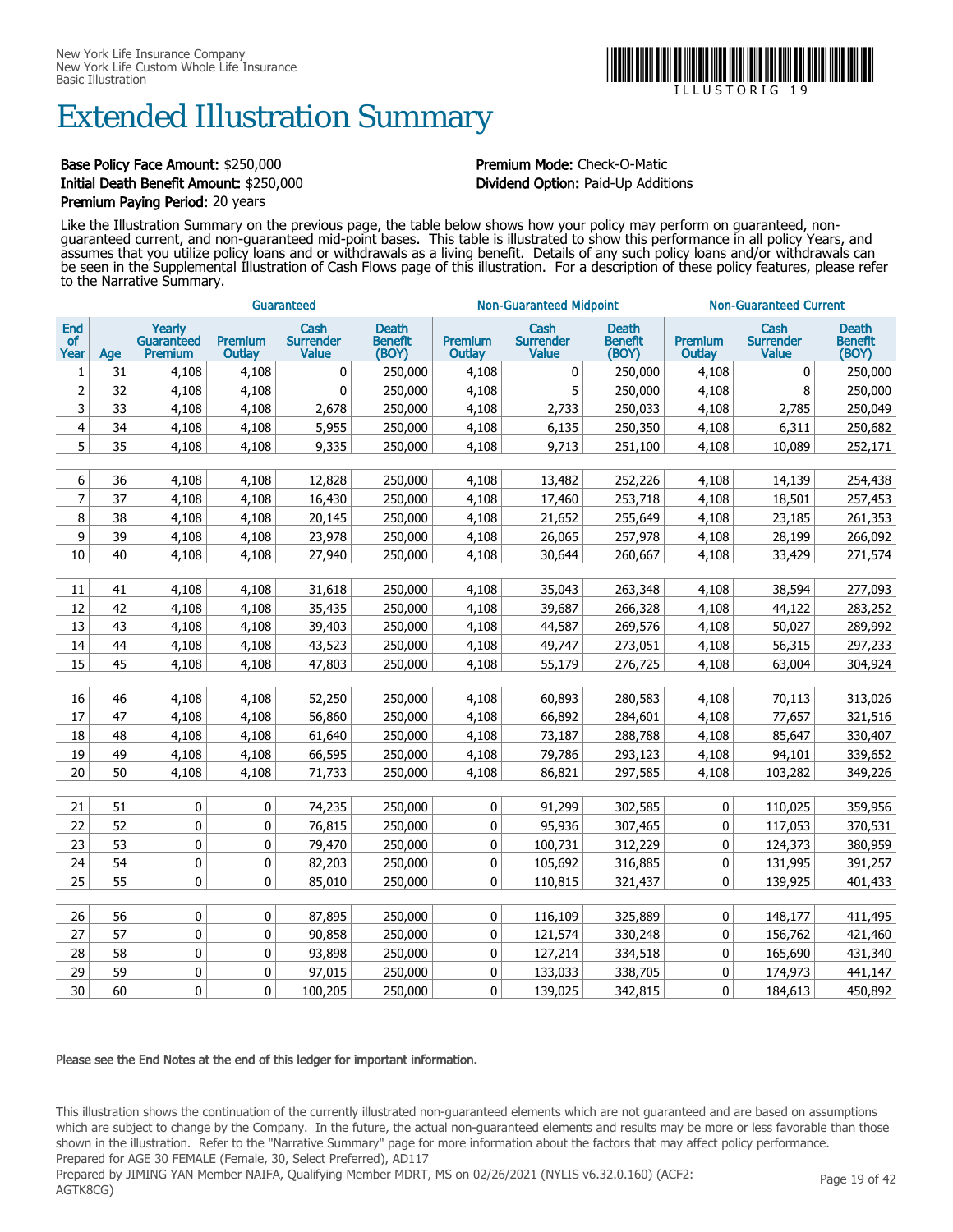### Extended Illustration Summary

#### Base Policy Face Amount: \$250,000 **Premium Mode:** Check-O-Matic Initial Death Benefit Amount: \$250,000 Dividend Option: Paid-Up Additions Premium Paying Period: 20 years

Like the Illustration Summary on the previous page, the table below shows how your policy may perform on guaranteed, nonguaranteed current, and non-guaranteed mid-point bases. This table is illustrated to show this performance in all policy Years, and assumes that you utilize policy loans and or withdrawals as a living benefit. Details of any such policy loans and/or withdrawals can be seen in the Supplemental Illustration of Cash Flows page of this illustration. For a description of these policy features, please refer to the Narrative Summary.

|                          |     |                                               |                          | Guaranteed                               |                                  |                   | <b>Non-Guaranteed Midpoint</b>           |                                  | <b>Non-Guaranteed Current</b> |                                   |                                  |
|--------------------------|-----|-----------------------------------------------|--------------------------|------------------------------------------|----------------------------------|-------------------|------------------------------------------|----------------------------------|-------------------------------|-----------------------------------|----------------------------------|
| End<br><b>of</b><br>Year | Age | Yearly<br><b>Guaranteed</b><br><b>Premium</b> | <b>Premium</b><br>Outlay | Cash<br><b>Surrender</b><br><b>Value</b> | Death<br><b>Benefit</b><br>(BOY) | Premium<br>Outlay | Cash<br><b>Surrender</b><br><b>Value</b> | <b>Death</b><br>Benefit<br>(BOY) | Premium<br>Outlay             | Cash<br><b>Surrender</b><br>Value | <b>Death</b><br>Benefit<br>(BOY) |
| 1                        | 31  | 4,108                                         | 4,108                    | $\mathbf{0}$                             | 250,000                          | 4,108             | 0                                        | 250,000                          | 4,108                         | 0                                 | 250,000                          |
| 2                        | 32  | 4,108                                         | 4,108                    | $\mathbf 0$                              | 250,000                          | 4,108             | 5                                        | 250,000                          | 4,108                         | 8                                 | 250,000                          |
| 3                        | 33  | 4,108                                         | 4,108                    | 2,678                                    | 250,000                          | 4,108             | 2,733                                    | 250,033                          | 4,108                         | 2,785                             | 250,049                          |
| $\overline{4}$           | 34  | 4,108                                         | 4,108                    | 5,955                                    | 250,000                          | 4,108             | 6,135                                    | 250,350                          | 4,108                         | 6,311                             | 250,682                          |
| 5                        | 35  | 4,108                                         | 4,108                    | 9,335                                    | 250,000                          | 4,108             | 9,713                                    | 251,100                          | 4,108                         | 10,089                            | 252,171                          |
|                          |     |                                               |                          |                                          |                                  |                   |                                          |                                  |                               |                                   |                                  |
| 6                        | 36  | 4,108                                         | 4,108                    | 12,828                                   | 250,000                          | 4,108             | 13,482                                   | 252,226                          | 4,108                         | 14,139                            | 254,438                          |
| $\overline{7}$           | 37  | 4,108                                         | 4,108                    | 16,430                                   | 250,000                          | 4,108             | 17,460                                   | 253,718                          | 4,108                         | 18,501                            | 257,453                          |
| 8                        | 38  | 4,108                                         | 4,108                    | 20,145                                   | 250,000                          | 4,108             | 21,652                                   | 255,649                          | 4,108                         | 23,185                            | 261,353                          |
| 9                        | 39  | 4,108                                         | 4,108                    | 23,978                                   | 250,000                          | 4,108             | 26,065                                   | 257,978                          | 4,108                         | 28,199                            | 266,092                          |
| 10                       | 40  | 4,108                                         | 4,108                    | 27,940                                   | 250,000                          | 4,108             | 30,644                                   | 260,667                          | 4,108                         | 33,429                            | 271,574                          |
|                          |     |                                               |                          |                                          |                                  |                   |                                          |                                  |                               |                                   |                                  |
| 11                       | 41  | 4,108                                         | 4,108                    | 31,618                                   | 250,000                          | 4,108             | 35,043                                   | 263,348                          | 4,108                         | 38,594                            | 277,093                          |
| 12                       | 42  | 4,108                                         | 4,108                    | 35,435                                   | 250,000                          | 4,108             | 39,687                                   | 266,328                          | 4,108                         | 44,122                            | 283,252                          |
| 13                       | 43  | 4,108                                         | 4,108                    | 39,403                                   | 250,000                          | 4,108             | 44,587                                   | 269,576                          | 4,108                         | 50,027                            | 289,992                          |
| 14                       | 44  | 4,108                                         | 4,108                    | 43,523                                   | 250,000                          | 4,108             | 49,747                                   | 273,051                          | 4,108                         | 56,315                            | 297,233                          |
| 15                       | 45  | 4,108                                         | 4,108                    | 47,803                                   | 250,000                          | 4,108             | 55,179                                   | 276,725                          | 4,108                         | 63,004                            | 304,924                          |
|                          |     |                                               |                          |                                          |                                  |                   |                                          |                                  |                               |                                   |                                  |
| 16                       | 46  | 4,108                                         | 4,108                    | 52,250                                   | 250,000                          | 4,108             | 60,893                                   | 280,583                          | 4,108                         | 70,113                            | 313,026                          |
| 17                       | 47  | 4,108                                         | 4,108                    | 56,860                                   | 250,000                          | 4,108             | 66,892                                   | 284,601                          | 4,108                         | 77,657                            | 321,516                          |
| 18                       | 48  | 4,108                                         | 4,108                    | 61,640                                   | 250,000                          | 4,108             | 73,187                                   | 288,788                          | 4,108                         | 85,647                            | 330,407                          |
| 19                       | 49  | 4,108                                         | 4,108                    | 66,595                                   | 250,000                          | 4,108             | 79,786                                   | 293,123                          | 4,108                         | 94,101                            | 339,652                          |
| 20                       | 50  | 4,108                                         | 4,108                    | 71,733                                   | 250,000                          | 4,108             | 86,821                                   | 297,585                          | 4,108                         | 103,282                           | 349,226                          |
|                          |     |                                               |                          |                                          |                                  |                   |                                          |                                  |                               |                                   |                                  |
| 21                       | 51  | 0                                             | 0                        | 74,235                                   | 250,000                          | 0                 | 91,299                                   | 302,585                          | 0                             | 110,025                           | 359,956                          |
| 22                       | 52  | 0                                             | 0                        | 76,815                                   | 250,000                          | 0                 | 95,936                                   | 307,465                          | 0                             | 117,053                           | 370,531                          |
| 23                       | 53  | 0                                             | 0                        | 79,470                                   | 250,000                          | 0                 | 100,731                                  | 312,229                          | $\pmb{0}$                     | 124,373                           | 380,959                          |
| 24                       | 54  | 0                                             | $\mathbf 0$              | 82,203                                   | 250,000                          | 0                 | 105,692                                  | 316,885                          | 0                             | 131,995                           | 391,257                          |
| 25                       | 55  | 0                                             | 0                        | 85,010                                   | 250,000                          | 0                 | 110,815                                  | 321,437                          | 0                             | 139,925                           | 401,433                          |
|                          |     |                                               |                          |                                          |                                  |                   |                                          |                                  |                               |                                   |                                  |
| 26                       | 56  | 0                                             | 0                        | 87,895                                   | 250,000                          | 0                 | 116,109                                  | 325,889                          | $\pmb{0}$                     | 148,177                           | 411,495                          |
| 27                       | 57  | 0                                             | 0                        | 90,858                                   | 250,000                          | 0                 | 121,574                                  | 330,248                          | 0                             | 156,762                           | 421,460                          |
| 28                       | 58  | 0                                             | $\mathbf 0$              | 93,898                                   | 250,000                          | 0                 | 127,214                                  | 334,518                          | 0                             | 165,690                           | 431,340                          |
| 29                       | 59  | 0                                             | 0                        | 97,015                                   | 250,000                          | 0                 | 133,033                                  | 338,705                          | 0                             | 174,973                           | 441,147                          |
| 30                       | 60  | 0                                             | 0                        | 100,205                                  | 250,000                          | $\mathbf{0}$      | 139,025                                  | 342,815                          | 0                             | 184,613                           | 450,892                          |

#### Please see the End Notes at the end of this ledger for important information.

This illustration shows the continuation of the currently illustrated non-guaranteed elements which are not guaranteed and are based on assumptions which are subject to change by the Company. In the future, the actual non-guaranteed elements and results may be more or less favorable than those shown in the illustration. Refer to the "Narrative Summary" page for more information about the factors that may affect policy performance. Prepared for AGE 30 FEMALE (Female, 30, Select Preferred), AD117

Prepared by JIMING YAN Member NAIFA, Qualifying Member MDRT, MS on 02/26/2021 (NYLIS v6.32.0.160) (ACF2: AGTK8CG)



I L L U S T O R I G 1 9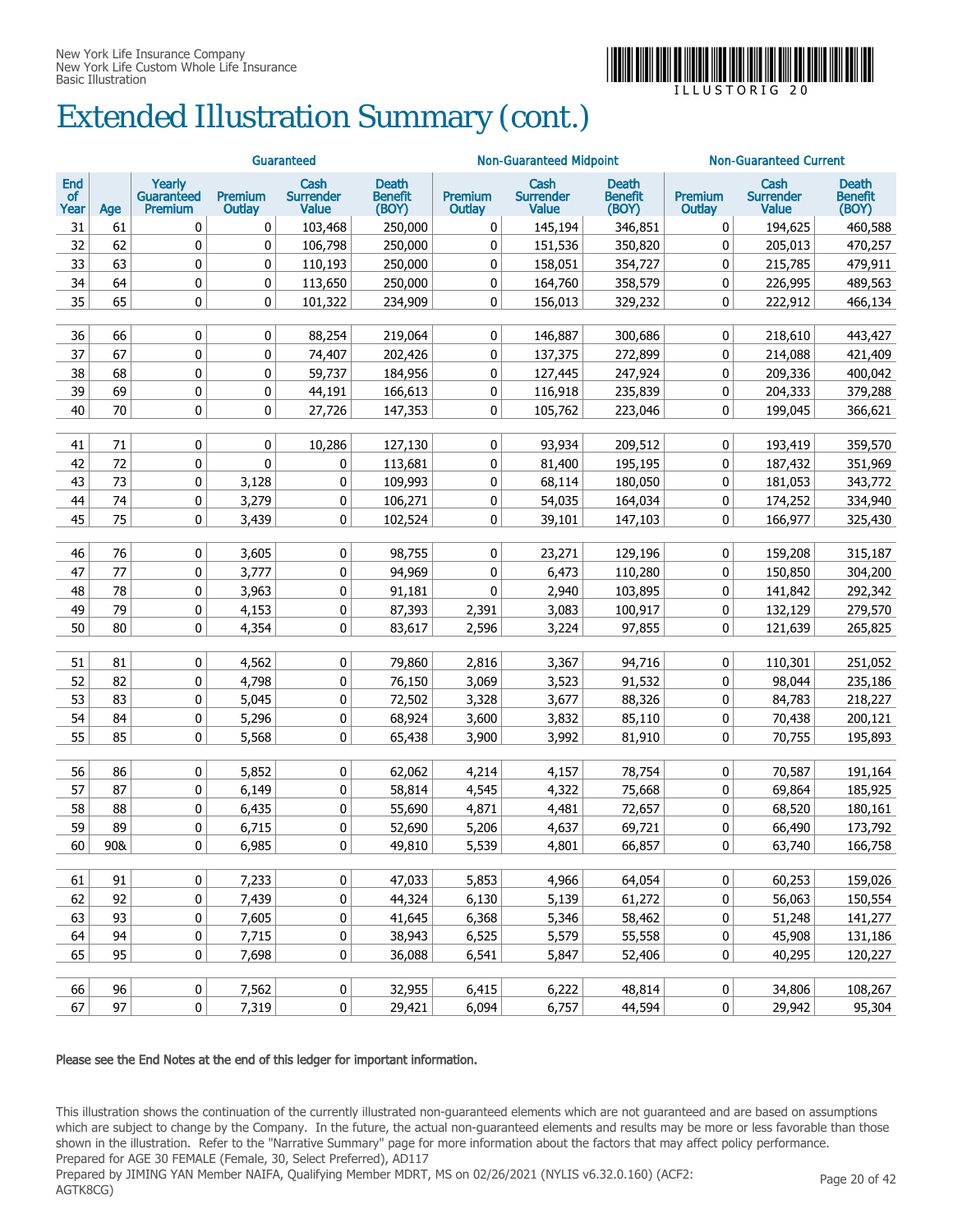

 $\Box$  L L U S T O R I G

# Extended Illustration Summary (cont.)

|                   |     | Guaranteed                      |                          |                                          |                                         |                          | <b>Non-Guaranteed Midpoint</b>           |                                         | <b>Non-Guaranteed Current</b> |                                          |                                         |  |
|-------------------|-----|---------------------------------|--------------------------|------------------------------------------|-----------------------------------------|--------------------------|------------------------------------------|-----------------------------------------|-------------------------------|------------------------------------------|-----------------------------------------|--|
| End<br>of<br>Year | Age | Yearly<br>Guaranteed<br>Premium | <b>Premium</b><br>Outlay | Cash<br><b>Surrender</b><br><b>Value</b> | <b>Death</b><br><b>Benefit</b><br>(BOY) | <b>Premium</b><br>Outlay | Cash<br><b>Surrender</b><br><b>Value</b> | <b>Death</b><br><b>Benefit</b><br>(BOY) | Premium<br>Outlay             | Cash<br><b>Surrender</b><br><b>Value</b> | <b>Death</b><br><b>Benefit</b><br>(BOY) |  |
| 31                | 61  | 0                               | 0                        | 103,468                                  | 250,000                                 | 0                        | 145,194                                  | 346,851                                 | 0                             | 194,625                                  | 460,588                                 |  |
| 32                | 62  | 0                               | 0                        | 106,798                                  | 250,000                                 | 0                        | 151,536                                  | 350,820                                 | 0                             | 205,013                                  | 470,257                                 |  |
| 33                | 63  | 0                               | 0                        | 110,193                                  | 250,000                                 | 0                        | 158,051                                  | 354,727                                 | 0                             | 215,785                                  | 479,911                                 |  |
| 34                | 64  | 0                               | $\bf{0}$                 | 113,650                                  | 250,000                                 | 0                        | 164,760                                  | 358,579                                 | 0                             | 226,995                                  | 489,563                                 |  |
| 35                | 65  | 0                               | 0                        | 101,322                                  | 234,909                                 | 0                        | 156,013                                  | 329,232                                 | 0                             | 222,912                                  | 466,134                                 |  |
| 36                | 66  | 0                               | 0                        | 88,254                                   | 219,064                                 | 0                        | 146,887                                  | 300,686                                 | 0                             | 218,610                                  | 443,427                                 |  |
| 37                | 67  | 0                               | 0                        | 74,407                                   | 202,426                                 | 0                        | 137,375                                  | 272,899                                 | 0                             | 214,088                                  | 421,409                                 |  |
| 38                | 68  | 0                               | 0                        | 59,737                                   | 184,956                                 | 0                        | 127,445                                  | 247,924                                 | 0                             | 209,336                                  | 400,042                                 |  |
| 39                | 69  | 0                               | 0                        | 44,191                                   | 166,613                                 | 0                        | 116,918                                  | 235,839                                 | 0                             | 204,333                                  | 379,288                                 |  |
| 40                | 70  | 0                               | 0                        | 27,726                                   | 147,353                                 | 0                        | 105,762                                  | 223,046                                 | 0                             | 199,045                                  | 366,621                                 |  |
| 41                | 71  | 0                               | $\mathbf 0$              | 10,286                                   | 127,130                                 | $\mathbf 0$              | 93,934                                   | 209,512                                 | 0                             | 193,419                                  | 359,570                                 |  |
| 42                | 72  | 0                               | $\mathbf{0}$             | 0                                        | 113,681                                 | $\mathbf 0$              | 81,400                                   | 195,195                                 | 0                             | 187,432                                  | 351,969                                 |  |
| 43                | 73  | 0                               | 3,128                    | 0                                        | 109,993                                 | $\mathbf 0$              | 68,114                                   | 180,050                                 | 0                             | 181,053                                  | 343,772                                 |  |
| 44                | 74  | 0                               | 3,279                    | 0                                        | 106,271                                 | $\mathbf 0$              | 54,035                                   | 164,034                                 | 0                             | 174,252                                  | 334,940                                 |  |
| 45                | 75  | 0                               | 3,439                    | 0                                        | 102,524                                 | 0                        | 39,101                                   | 147,103                                 | 0                             | 166,977                                  | 325,430                                 |  |
|                   |     |                                 |                          |                                          |                                         |                          |                                          |                                         |                               |                                          |                                         |  |
| 46                | 76  | 0                               | 3,605                    | 0                                        | 98,755                                  | $\mathbf 0$              | 23,271                                   | 129,196                                 | 0                             | 159,208                                  | 315,187                                 |  |
| 47                | 77  | 0                               | 3,777                    | 0                                        | 94,969                                  | $\mathbf 0$              | 6,473                                    | 110,280                                 | 0                             | 150,850                                  | 304,200                                 |  |
| 48                | 78  | 0                               | 3,963                    | 0                                        | 91,181                                  | 0                        | 2,940                                    | 103,895                                 | 0                             | 141,842                                  | 292,342                                 |  |
| 49                | 79  | 0                               | 4,153                    | 0                                        | 87,393                                  | 2,391                    | 3,083                                    | 100,917                                 | 0                             | 132,129                                  | 279,570                                 |  |
| 50                | 80  | 0                               | 4,354                    | 0                                        | 83,617                                  | 2,596                    | 3,224                                    | 97,855                                  | 0                             | 121,639                                  | 265,825                                 |  |
| 51                | 81  | 0                               | 4,562                    | 0                                        | 79,860                                  | 2,816                    | 3,367                                    | 94,716                                  | 0                             | 110,301                                  | 251,052                                 |  |
| 52                | 82  | 0                               | 4,798                    | 0                                        | 76,150                                  | 3,069                    | 3,523                                    | 91,532                                  | 0                             | 98,044                                   | 235,186                                 |  |
| 53                | 83  | 0                               | 5,045                    | 0                                        | 72,502                                  | 3,328                    | 3,677                                    | 88,326                                  | 0                             | 84,783                                   | 218,227                                 |  |
| 54                | 84  | 0                               | 5,296                    | 0                                        | 68,924                                  | 3,600                    | 3,832                                    | 85,110                                  | 0                             | 70,438                                   | 200,121                                 |  |
| 55                | 85  | 0                               | 5,568                    | 0                                        | 65,438                                  | 3,900                    | 3,992                                    | 81,910                                  | 0                             | 70,755                                   | 195,893                                 |  |
| 56                | 86  | 0                               | 5,852                    | 0                                        | 62,062                                  | 4,214                    | 4,157                                    | 78,754                                  | 0                             | 70,587                                   | 191,164                                 |  |
| 57                | 87  | 0                               | 6,149                    | 0                                        | 58,814                                  | 4,545                    | 4,322                                    | 75,668                                  | 0                             | 69,864                                   | 185,925                                 |  |
| 58                | 88  | 0                               | 6,435                    | 0                                        | 55,690                                  | 4,871                    | 4,481                                    | 72,657                                  | 0                             | 68,520                                   | 180,161                                 |  |
| 59                | 89  | 0                               | 6,715                    | 0                                        | 52,690                                  | 5,206                    | 4,637                                    | 69,721                                  | 0                             | 66,490                                   | 173,792                                 |  |
| 60                | 90& | $\overline{0}$                  | 6,985                    | $\pmb{0}$                                | 49,810                                  | 5,539                    | 4,801                                    | 66,857                                  | 0                             | 63,740                                   | 166,758                                 |  |
|                   |     |                                 |                          |                                          |                                         |                          |                                          |                                         |                               |                                          |                                         |  |
| 61                | 91  | 0                               | 7,233                    | $\pmb{0}$                                | 47,033                                  | 5,853                    | 4,966                                    | 64,054                                  | 0                             | 60,253                                   | 159,026                                 |  |
| 62                | 92  | 0                               | 7,439                    | 0                                        | 44,324                                  | 6,130                    | 5,139                                    | 61,272                                  | 0                             | 56,063                                   | 150,554                                 |  |
| 63                | 93  | 0                               | 7,605                    | 0                                        | 41,645                                  | 6,368                    | 5,346                                    | 58,462                                  | 0                             | 51,248                                   | 141,277                                 |  |
| 64                | 94  | 0                               | 7,715                    | 0                                        | 38,943                                  | 6,525                    | 5,579                                    | 55,558                                  | 0                             | 45,908                                   | 131,186                                 |  |
| 65                | 95  | 0                               | 7,698                    | 0                                        | 36,088                                  | 6,541                    | 5,847                                    | 52,406                                  | 0                             | 40,295                                   | 120,227                                 |  |
| 66                | 96  | $\pmb{0}$                       | 7,562                    | 0                                        | 32,955                                  | 6,415                    | 6,222                                    | 48,814                                  | 0                             | 34,806                                   | 108,267                                 |  |
| 67                | 97  | $\pmb{0}$                       | 7,319                    | $\overline{0}$                           | 29,421                                  | 6,094                    | 6,757                                    | 44,594                                  | 0                             | 29,942                                   | 95,304                                  |  |
|                   |     |                                 |                          |                                          |                                         |                          |                                          |                                         |                               |                                          |                                         |  |

#### Please see the End Notes at the end of this ledger for important information.

This illustration shows the continuation of the currently illustrated non-guaranteed elements which are not guaranteed and are based on assumptions which are subject to change by the Company. In the future, the actual non-guaranteed elements and results may be more or less favorable than those shown in the illustration. Refer to the "Narrative Summary" page for more information about the factors that may affect policy performance. Prepared for AGE 30 FEMALE (Female, 30, Select Preferred), AD117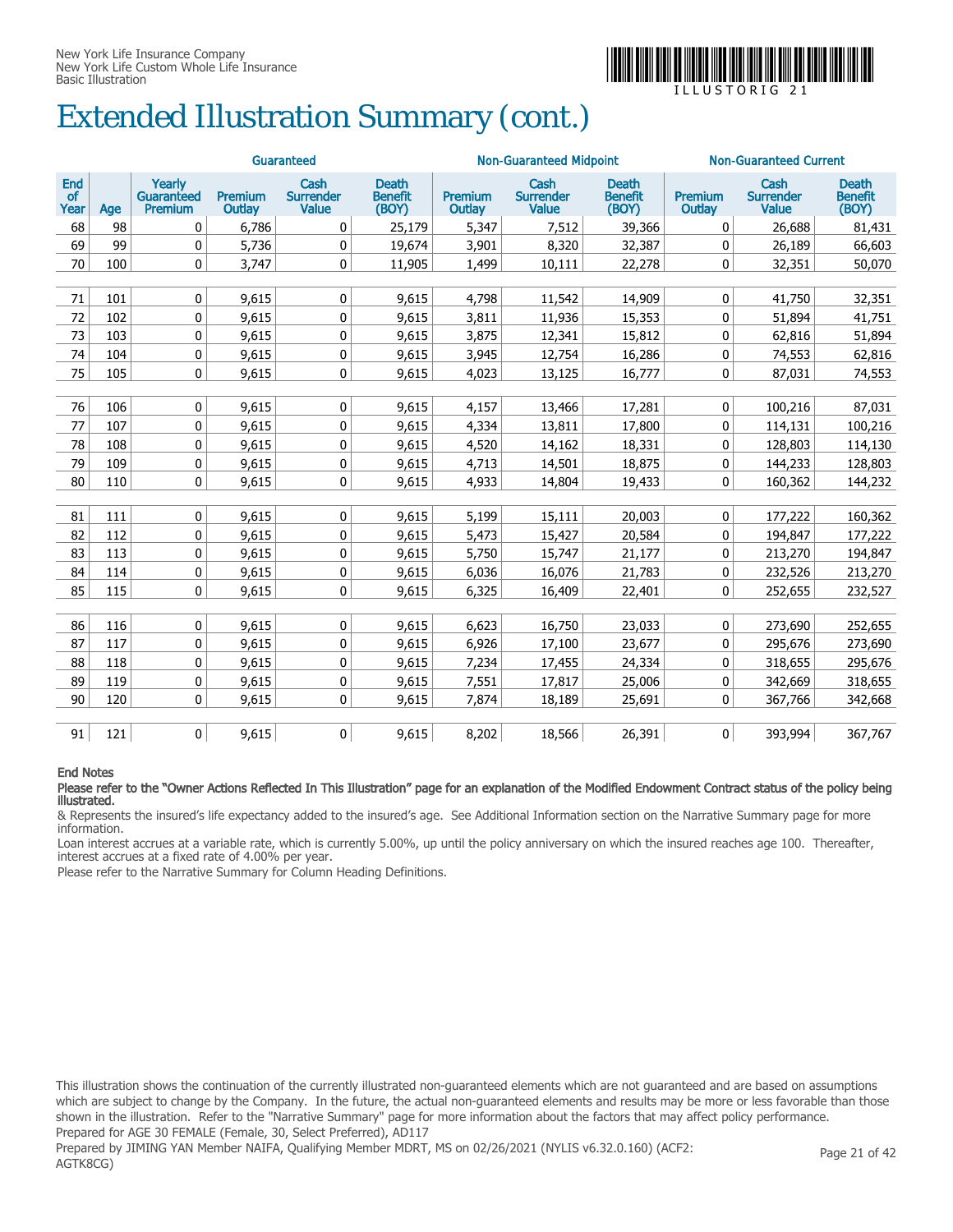

# Extended Illustration Summary (cont.)

|                          |     |                                        |                   | Guaranteed                               |                                         |                   | <b>Non-Guaranteed Midpoint</b>           |                                         | <b>Non-Guaranteed Current</b> |                                          |                                         |
|--------------------------|-----|----------------------------------------|-------------------|------------------------------------------|-----------------------------------------|-------------------|------------------------------------------|-----------------------------------------|-------------------------------|------------------------------------------|-----------------------------------------|
| End<br><b>of</b><br>Year | Age | Yearly<br><b>Guaranteed</b><br>Premium | Premium<br>Outlay | Cash<br><b>Surrender</b><br><b>Value</b> | <b>Death</b><br><b>Benefit</b><br>(BOY) | Premium<br>Outlay | Cash<br><b>Surrender</b><br><b>Value</b> | <b>Death</b><br><b>Benefit</b><br>(BOY) | Premium<br><b>Outlay</b>      | Cash<br><b>Surrender</b><br><b>Value</b> | <b>Death</b><br><b>Benefit</b><br>(BOY) |
| 68                       | 98  | 0                                      | 6,786             | 0                                        | 25,179                                  | 5,347             | 7,512                                    | 39,366                                  | 0                             | 26,688                                   | 81,431                                  |
| 69                       | 99  | 0                                      | 5,736             | 0                                        | 19,674                                  | 3,901             | 8,320                                    | 32,387                                  | 0                             | 26,189                                   | 66,603                                  |
| 70                       | 100 | 0                                      | 3,747             | 0                                        | 11,905                                  | 1,499             | 10,111                                   | 22,278                                  | 0                             | 32,351                                   | 50,070                                  |
|                          |     |                                        |                   |                                          |                                         |                   |                                          |                                         |                               |                                          |                                         |
| 71                       | 101 | 0                                      | 9,615             | 0                                        | 9,615                                   | 4,798             | 11,542                                   | 14,909                                  | 0                             | 41,750                                   | 32,351                                  |
| 72                       | 102 | $\mathbf 0$                            | 9,615             | 0                                        | 9,615                                   | 3,811             | 11,936                                   | 15,353                                  | 0                             | 51,894                                   | 41,751                                  |
| 73                       | 103 | 0                                      | 9,615             | 0                                        | 9,615                                   | 3,875             | 12,341                                   | 15,812                                  | 0                             | 62,816                                   | 51,894                                  |
| 74                       | 104 | $\mathbf 0$                            | 9,615             | $\mathbf 0$                              | 9,615                                   | 3,945             | 12,754                                   | 16,286                                  | $\mathbf 0$                   | 74,553                                   | 62,816                                  |
| 75                       | 105 | 0                                      | 9,615             | 0                                        | 9,615                                   | 4,023             | 13,125                                   | 16,777                                  | 0                             | 87,031                                   | 74,553                                  |
|                          |     |                                        |                   |                                          |                                         |                   |                                          |                                         |                               |                                          |                                         |
| 76                       | 106 | 0                                      | 9,615             | 0                                        | 9,615                                   | 4,157             | 13,466                                   | 17,281                                  | $\mathbf 0$                   | 100,216                                  | 87,031                                  |
| 77                       | 107 | $\mathbf 0$                            | 9,615             | $\mathbf 0$                              | 9,615                                   | 4,334             | 13,811                                   | 17,800                                  | 0                             | 114,131                                  | 100,216                                 |
| 78                       | 108 | $\mathbf 0$                            | 9,615             | 0                                        | 9,615                                   | 4,520             | 14,162                                   | 18,331                                  | 0                             | 128,803                                  | 114,130                                 |
| 79                       | 109 | 0                                      | 9,615             | 0                                        | 9,615                                   | 4,713             | 14,501                                   | 18,875                                  | 0                             | 144,233                                  | 128,803                                 |
| 80                       | 110 | 0                                      | 9,615             | $\mathbf 0$                              | 9,615                                   | 4,933             | 14,804                                   | 19,433                                  | $\mathbf{0}$                  | 160,362                                  | 144,232                                 |
|                          |     |                                        |                   |                                          |                                         |                   |                                          |                                         |                               |                                          |                                         |
| 81                       | 111 | $\mathbf 0$                            | 9,615             | 0                                        | 9,615                                   | 5,199             | 15,111                                   | 20,003                                  | 0                             | 177,222                                  | 160,362                                 |
| 82                       | 112 | 0                                      | 9,615             | 0                                        | 9,615                                   | 5,473             | 15,427                                   | 20,584                                  | 0                             | 194,847                                  | 177,222                                 |
| 83                       | 113 | $\mathbf 0$                            | 9,615             | $\mathbf{0}$                             | 9,615                                   | 5,750             | 15,747                                   | 21,177                                  | $\mathbf{0}$                  | 213,270                                  | 194,847                                 |
| 84                       | 114 | 0                                      | 9,615             | 0                                        | 9,615                                   | 6,036             | 16,076                                   | 21,783                                  | 0                             | 232,526                                  | 213,270                                 |
| 85                       | 115 | 0                                      | 9,615             | 0                                        | 9,615                                   | 6,325             | 16,409                                   | 22,401                                  | 0                             | 252,655                                  | 232,527                                 |
|                          |     |                                        |                   |                                          |                                         |                   |                                          |                                         |                               |                                          |                                         |
| 86                       | 116 | 0                                      | 9,615             | $\mathbf 0$                              | 9,615                                   | 6,623             | 16,750                                   | 23,033                                  | 0                             | 273,690                                  | 252,655                                 |
| 87                       | 117 | $\mathbf 0$                            | 9.615             | 0                                        | 9,615                                   | 6,926             | 17,100                                   | 23,677                                  | 0                             | 295,676                                  | 273,690                                 |
| 88                       | 118 | 0                                      | 9,615             | 0                                        | 9,615                                   | 7,234             | 17,455                                   | 24,334                                  | 0                             | 318,655                                  | 295,676                                 |
| 89                       | 119 | $\mathbf 0$                            | 9,615             | $\mathbf 0$                              | 9,615                                   | 7,551             | 17,817                                   | 25,006                                  | 0                             | 342,669                                  | 318,655                                 |
| 90                       | 120 | 0                                      | 9,615             | 0                                        | 9,615                                   | 7,874             | 18,189                                   | 25,691                                  | 0                             | 367,766                                  | 342,668                                 |
|                          |     |                                        |                   |                                          |                                         |                   |                                          |                                         |                               |                                          |                                         |
| 91                       | 121 | 0                                      | 9,615             | 0                                        | 9,615                                   | 8,202             | 18,566                                   | 26,391                                  | 0                             | 393,994                                  | 367,767                                 |

#### End Notes

Please refer to the "Owner Actions Reflected In This Illustration" page for an explanation of the Modified Endowment Contract status of the policy being illustrated.

& Represents the insured's life expectancy added to the insured's age. See Additional Information section on the Narrative Summary page for more information.

Loan interest accrues at a variable rate, which is currently 5.00%, up until the policy anniversary on which the insured reaches age 100. Thereafter, interest accrues at a fixed rate of 4.00% per year.

Please refer to the Narrative Summary for Column Heading Definitions.

This illustration shows the continuation of the currently illustrated non-guaranteed elements which are not guaranteed and are based on assumptions which are subject to change by the Company. In the future, the actual non-guaranteed elements and results may be more or less favorable than those shown in the illustration. Refer to the "Narrative Summary" page for more information about the factors that may affect policy performance. Prepared for AGE 30 FEMALE (Female, 30, Select Preferred), AD117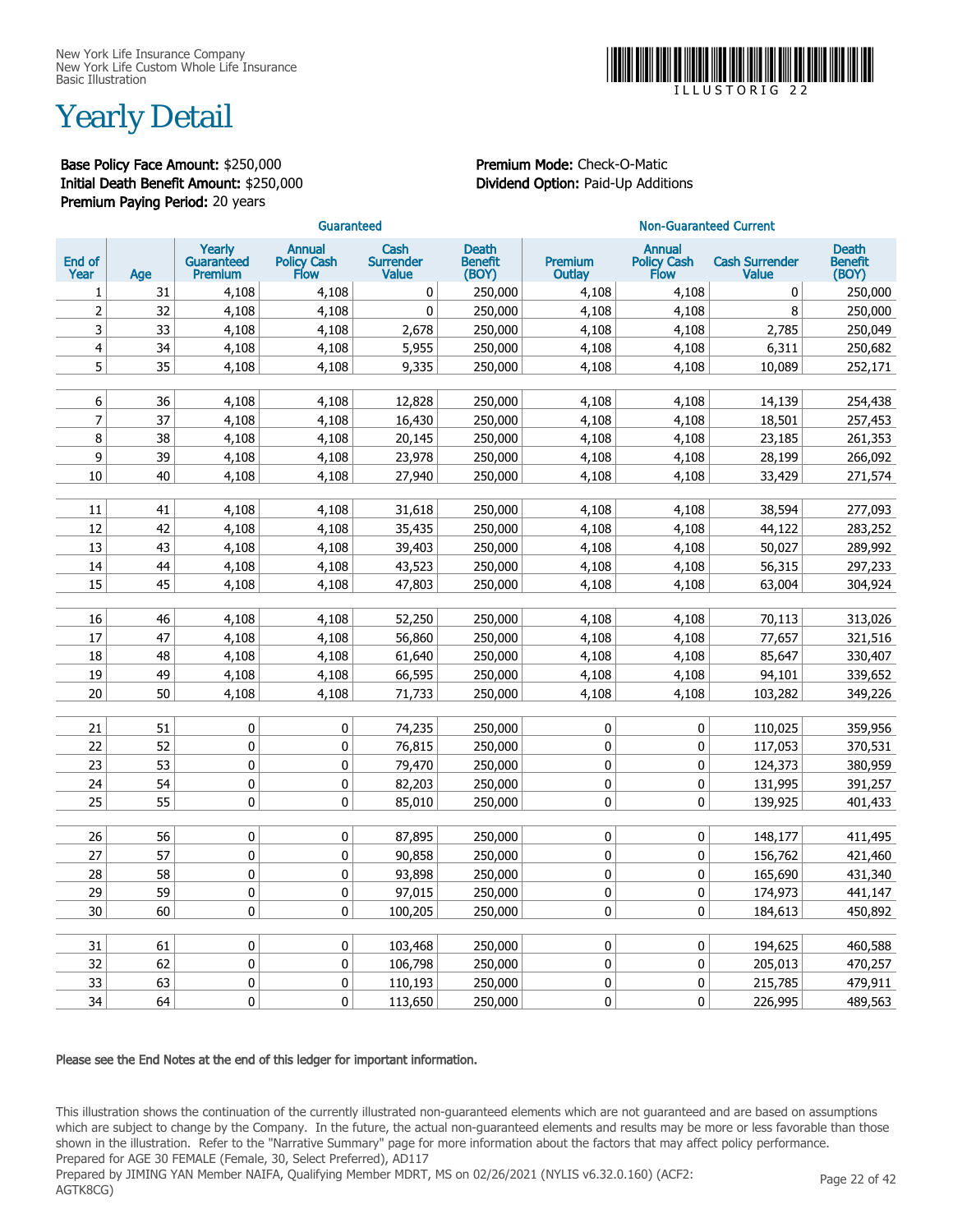

### Yearly Detail

Base Policy Face Amount: \$250,000 Premium Mode: Check-O-Matic Initial Death Benefit Amount: \$250,000 Dividend Option: Paid-Up Additions Premium Paying Period: 20 years

|                |          |                                        | Guaranteed                           |                                          |                                         | <b>Non-Guaranteed Current</b> |                                                    |                                       |                                         |  |  |
|----------------|----------|----------------------------------------|--------------------------------------|------------------------------------------|-----------------------------------------|-------------------------------|----------------------------------------------------|---------------------------------------|-----------------------------------------|--|--|
| End of<br>Year | Age      | Yearly<br>Guaranteed<br><b>Premium</b> | <b>Annual</b><br>Policy Cash<br>Flow | Cash<br><b>Surrender</b><br><b>Value</b> | <b>Death</b><br><b>Benefit</b><br>(BOY) | Premium<br><b>Outlay</b>      | <b>Annual</b><br><b>Policy Cash</b><br><b>Flow</b> | <b>Cash Surrender</b><br><b>Value</b> | <b>Death</b><br><b>Benefit</b><br>(BOY) |  |  |
| 1              | 31       | 4,108                                  | 4,108                                | 0                                        | 250,000                                 | 4,108                         | 4,108                                              | 0                                     | 250,000                                 |  |  |
| $\overline{2}$ | 32       | 4,108                                  | 4,108                                | $\mathbf 0$                              | 250,000                                 | 4,108                         | 4,108                                              | 8                                     | 250,000                                 |  |  |
| 3              | 33       | 4,108                                  | 4,108                                | 2,678                                    | 250,000                                 | 4,108                         | 4,108                                              | 2,785                                 | 250,049                                 |  |  |
| 4              | 34       | 4,108                                  | 4,108                                | 5,955                                    | 250,000                                 | 4,108                         | 4,108                                              | 6,311                                 | 250,682                                 |  |  |
| 5              | 35       | 4,108                                  | 4,108                                | 9,335                                    | 250,000                                 | 4,108                         | 4,108                                              | 10,089                                | 252,171                                 |  |  |
|                |          |                                        |                                      |                                          |                                         |                               |                                                    |                                       |                                         |  |  |
| 6              | 36       | 4,108                                  | 4,108                                | 12,828                                   | 250,000                                 | 4,108                         | 4,108                                              | 14,139                                | 254,438                                 |  |  |
| 7              | 37       | 4,108                                  | 4,108                                | 16,430                                   | 250,000                                 | 4,108                         | 4,108                                              | 18,501                                | 257,453                                 |  |  |
| 8              | 38       | 4,108                                  | 4,108                                | 20,145                                   | 250,000                                 | 4,108                         | 4,108                                              | 23,185                                | 261,353                                 |  |  |
| 9              | 39       | 4,108                                  | 4,108                                | 23,978                                   | 250,000                                 | 4,108                         | 4,108                                              | 28,199                                | 266,092                                 |  |  |
| 10             | 40       | 4,108                                  | 4,108                                | 27,940                                   | 250,000                                 | 4,108                         | 4,108                                              | 33,429                                | 271,574                                 |  |  |
|                |          |                                        |                                      |                                          |                                         |                               |                                                    |                                       |                                         |  |  |
| 11             | 41       | 4,108                                  | 4,108                                | 31,618                                   | 250,000                                 | 4,108                         | 4,108                                              | 38,594                                | 277,093                                 |  |  |
| 12             | 42       | 4,108                                  | 4,108                                | 35,435                                   | 250,000                                 | 4,108                         | 4,108                                              | 44,122                                | 283,252                                 |  |  |
| 13             | 43       | 4,108                                  | 4,108                                | 39,403                                   | 250,000                                 | 4,108                         | 4,108                                              | 50,027                                | 289,992                                 |  |  |
| 14             | 44       | 4,108                                  | 4,108                                | 43,523                                   | 250,000                                 | 4,108                         | 4,108                                              | 56,315                                | 297,233                                 |  |  |
| 15             | 45       | 4,108                                  | 4,108                                | 47,803                                   | 250,000                                 | 4,108                         | 4,108                                              | 63,004                                | 304,924                                 |  |  |
| 16             | 46       |                                        |                                      |                                          |                                         |                               |                                                    |                                       |                                         |  |  |
| 17             |          | 4,108                                  | 4,108                                | 52,250                                   | 250,000                                 | 4,108                         | 4,108                                              | 70,113                                | 313,026                                 |  |  |
|                | 47       | 4,108                                  | 4,108                                | 56,860                                   | 250,000                                 | 4,108                         | 4,108                                              | 77,657                                | 321,516                                 |  |  |
| 18             | 48       | 4,108                                  | 4,108                                | 61,640                                   | 250,000                                 | 4,108                         | 4,108                                              | 85,647                                | 330,407                                 |  |  |
| 19             | 49<br>50 | 4,108                                  | 4,108                                | 66,595                                   | 250,000                                 | 4,108                         | 4,108                                              | 94,101                                | 339,652                                 |  |  |
| 20             |          | 4,108                                  | 4,108                                | 71,733                                   | 250,000                                 | 4,108                         | 4,108                                              | 103,282                               | 349,226                                 |  |  |
| 21             | 51       | 0                                      | 0                                    | 74,235                                   | 250,000                                 | 0                             | $\mathbf 0$                                        | 110,025                               | 359,956                                 |  |  |
| 22             | 52       | 0                                      | 0                                    | 76,815                                   | 250,000                                 | 0                             | $\mathbf 0$                                        | 117,053                               | 370,531                                 |  |  |
| 23             | 53       | 0                                      | 0                                    | 79,470                                   | 250,000                                 | 0                             | 0                                                  | 124,373                               | 380,959                                 |  |  |
| 24             | 54       | $\pmb{0}$                              | 0                                    | 82,203                                   | 250,000                                 | 0                             | 0                                                  | 131,995                               | 391,257                                 |  |  |
| 25             | 55       | $\mathbf 0$                            | 0                                    | 85,010                                   | 250,000                                 | 0                             | 0                                                  | 139,925                               | 401,433                                 |  |  |
|                |          |                                        |                                      |                                          |                                         |                               |                                                    |                                       |                                         |  |  |
| 26             | 56       | 0                                      | 0                                    | 87,895                                   | 250,000                                 | 0                             | 0                                                  | 148,177                               | 411,495                                 |  |  |
| 27             | 57       | 0                                      | 0                                    | 90,858                                   | 250,000                                 | 0                             | 0                                                  | 156,762                               | 421,460                                 |  |  |
| 28             | 58       | $\pmb{0}$                              | $\pmb{0}$                            | 93,898                                   | 250,000                                 | 0                             | $\pmb{0}$                                          | 165,690                               | 431,340                                 |  |  |
| 29             | 59       | $\pmb{0}$                              | $\pmb{0}$                            | 97,015                                   | 250,000                                 | 0                             | $\mathbf 0$                                        | 174,973                               | 441,147                                 |  |  |
| 30             | 60       | 0                                      | 0                                    | 100,205                                  | 250,000                                 | 0                             | 0                                                  | 184,613                               | 450,892                                 |  |  |
|                |          |                                        |                                      |                                          |                                         |                               |                                                    |                                       |                                         |  |  |
| 31             | 61       | 0                                      | 0                                    | 103,468                                  | 250,000                                 | 0                             | 0                                                  | 194,625                               | 460,588                                 |  |  |
| 32             | 62       | $\pmb{0}$                              | 0                                    | 106,798                                  | 250,000                                 | 0                             | $\bf{0}$                                           | 205,013                               | 470,257                                 |  |  |
| 33             | 63       | $\mathbf 0$                            | $\mathbf 0$                          | 110,193                                  | 250,000                                 | 0                             | $\mathbf 0$                                        | 215,785                               | 479,911                                 |  |  |
| 34             | 64       | $\mathbf{0}$                           | 0                                    | 113,650                                  | 250,000                                 | 0                             | $\mathbf{0}$                                       | 226,995                               | 489,563                                 |  |  |

#### Please see the End Notes at the end of this ledger for important information.

This illustration shows the continuation of the currently illustrated non-guaranteed elements which are not guaranteed and are based on assumptions which are subject to change by the Company. In the future, the actual non-guaranteed elements and results may be more or less favorable than those shown in the illustration. Refer to the "Narrative Summary" page for more information about the factors that may affect policy performance. Prepared for AGE 30 FEMALE (Female, 30, Select Preferred), AD117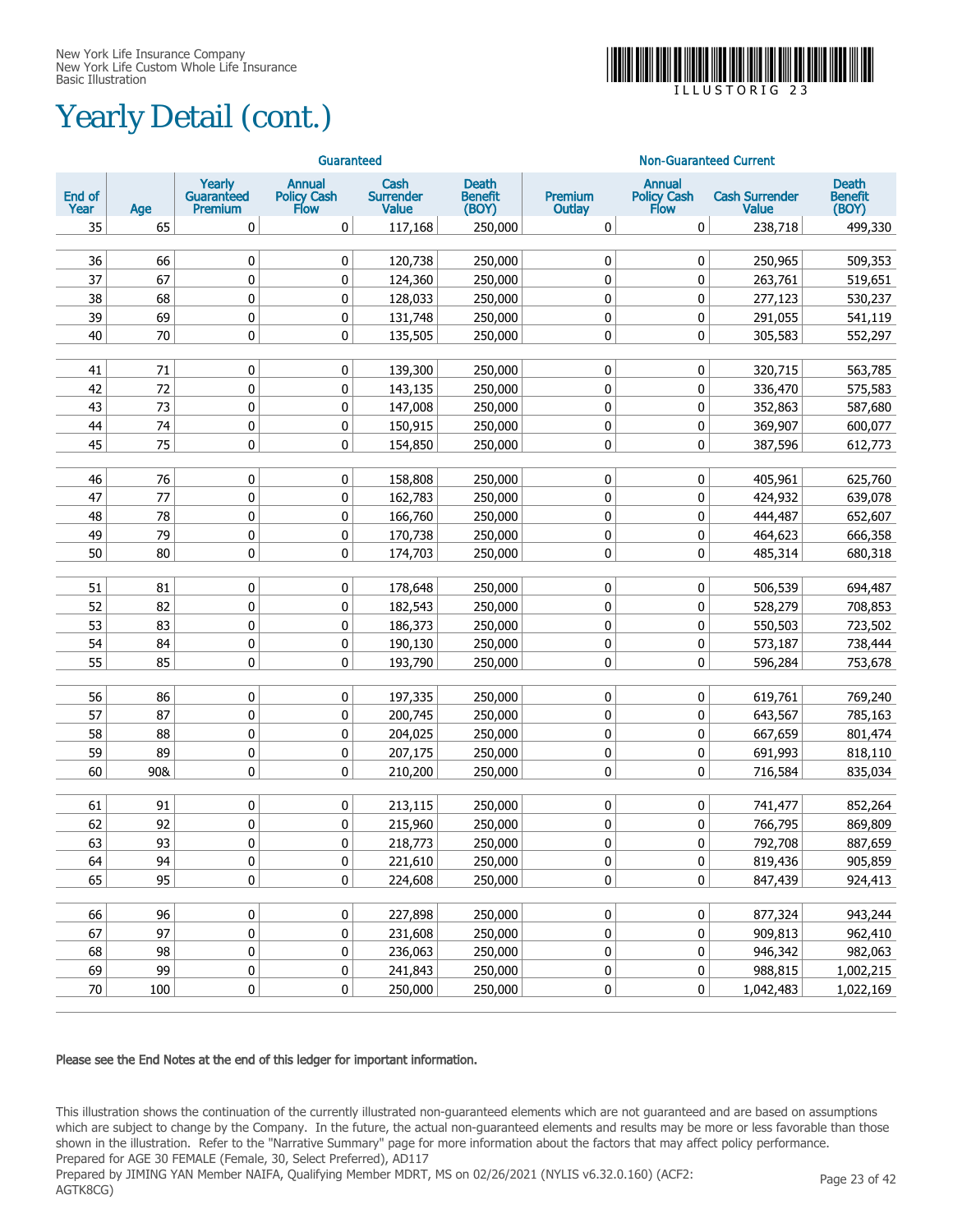# Yearly Detail (cont.)



|                |     |                                               | Guaranteed                           |                                          |                                  |                        | <b>Non-Guaranteed Current</b>        |                                       |                                  |
|----------------|-----|-----------------------------------------------|--------------------------------------|------------------------------------------|----------------------------------|------------------------|--------------------------------------|---------------------------------------|----------------------------------|
| End of<br>Year | Age | Yearly<br><b>Guaranteed</b><br><b>Premium</b> | <b>Annual</b><br>Policy Cash<br>Flow | Cash<br><b>Surrender</b><br><b>Value</b> | Death<br><b>Benefit</b><br>(BOY) | Premium<br>Outlay      | <b>Annual</b><br>Policy Cash<br>Flow | <b>Cash Surrender</b><br><b>Value</b> | Death<br><b>Benefit</b><br>(BOY) |
| 35             | 65  | 0                                             | 0                                    | 117,168                                  | 250,000                          | 0                      | 0                                    | 238,718                               | 499,330                          |
| 36             | 66  |                                               |                                      |                                          |                                  |                        |                                      |                                       |                                  |
| 37             | 67  | 0<br>$\mathbf 0$                              | 0                                    | 120,738                                  | 250,000                          | $\pmb{0}$              | 0                                    | 250,965                               | 509,353                          |
| 38             | 68  | $\mathbf 0$                                   | 0                                    | 124,360                                  | 250,000                          | $\pmb{0}$              | $\pmb{0}$                            | 263,761                               | 519,651                          |
| 39             | 69  |                                               | 0                                    | 128,033                                  | 250,000                          | $\pmb{0}$              | $\pmb{0}$                            | 277,123<br>291,055                    | 530,237                          |
| 40             | 70  | $\pmb{0}$<br>0                                | 0<br>0                               | 131,748                                  | 250,000                          | $\pmb{0}$<br>$\pmb{0}$ | $\pmb{0}$<br>$\mathbf 0$             | 305,583                               | 541,119<br>552,297               |
|                |     |                                               |                                      | 135,505                                  | 250,000                          |                        |                                      |                                       |                                  |
| 41             | 71  | 0                                             | 0                                    | 139,300                                  | 250,000                          | 0                      | $\mathbf 0$                          | 320,715                               | 563,785                          |
| 42             | 72  | 0                                             | 0                                    | 143,135                                  | 250,000                          | $\mathbf 0$            | 0                                    | 336,470                               | 575,583                          |
| 43             | 73  | 0                                             | 0                                    | 147,008                                  | 250,000                          | $\mathbf 0$            | 0                                    | 352,863                               | 587,680                          |
| 44             | 74  | 0                                             | 0                                    | 150,915                                  | 250,000                          | 0                      | 0                                    | 369,907                               | 600,077                          |
| 45             | 75  | 0                                             | 0                                    | 154,850                                  | 250,000                          | $\mathbf 0$            | $\mathbf 0$                          | 387,596                               | 612,773                          |
|                |     |                                               |                                      |                                          |                                  |                        |                                      |                                       |                                  |
| 46             | 76  | 0                                             | 0                                    | 158,808                                  | 250,000                          | 0                      | 0                                    | 405,961                               | 625,760                          |
| 47             | 77  | 0                                             | 0                                    | 162,783                                  | 250,000                          | 0                      | 0                                    | 424,932                               | 639,078                          |
| 48             | 78  | 0                                             | 0                                    | 166,760                                  | 250,000                          | 0                      | 0                                    | 444,487                               | 652,607                          |
| 49             | 79  | 0                                             | 0                                    | 170,738                                  | 250,000                          | 0                      | 0                                    | 464,623                               | 666,358                          |
| 50             | 80  | 0                                             | 0                                    | 174,703                                  | 250,000                          | 0                      | 0                                    | 485,314                               | 680,318                          |
|                |     |                                               |                                      |                                          |                                  |                        |                                      |                                       |                                  |
| 51             | 81  | 0                                             | 0                                    | 178,648                                  | 250,000                          | $\pmb{0}$              | $\pmb{0}$                            | 506,539                               | 694,487                          |
| 52             | 82  | $\mathbf 0$                                   | 0                                    | 182,543                                  | 250,000                          | $\mathbf 0$            | $\pmb{0}$                            | 528,279                               | 708,853                          |
| 53             | 83  | $\mathbf 0$                                   | 0                                    | 186,373                                  | 250,000                          | $\mathbf 0$            | $\pmb{0}$                            | 550,503                               | 723,502                          |
| 54             | 84  | $\pmb{0}$                                     | 0                                    | 190,130                                  | 250,000                          | $\pmb{0}$              | $\pmb{0}$                            | 573,187                               | 738,444                          |
| 55             | 85  | 0                                             | 0                                    | 193,790                                  | 250,000                          | $\mathbf 0$            | $\mathbf 0$                          | 596,284                               | 753,678                          |
| 56             | 86  | 0                                             | 0                                    | 197,335                                  | 250,000                          | $\pmb{0}$              | 0                                    | 619,761                               | 769,240                          |
| 57             | 87  | 0                                             | 0                                    | 200,745                                  | 250,000                          | $\mathbf 0$            | 0                                    | 643,567                               | 785,163                          |
| 58             | 88  | 0                                             | 0                                    | 204,025                                  | 250,000                          | $\mathbf 0$            | 0                                    | 667,659                               | 801,474                          |
| 59             | 89  | 0                                             | 0                                    | 207,175                                  | 250,000                          | 0                      | 0                                    | 691,993                               | 818,110                          |
| 60             | 90& | 0                                             | 0                                    | 210,200                                  | 250,000                          | $\mathbf 0$            | $\mathbf 0$                          | 716,584                               | 835,034                          |
|                |     |                                               |                                      |                                          |                                  |                        |                                      |                                       |                                  |
| 61             | 91  | 0                                             | 0                                    | 213,115                                  | 250,000                          | 0                      | 0                                    | 741,477                               | 852,264                          |
| 62             | 92  | 0                                             | 0                                    | 215,960                                  | 250,000                          | 0                      | 0                                    | 766,795                               | 869,809                          |
| 63             | 93  | $\mathbf{0}$                                  | 0                                    | 218,773                                  | 250,000                          | 0                      | $\mathbf{0}$                         | 792,708                               | 887,659                          |
| 64             | 94  | 0                                             | 0                                    | 221,610                                  | 250,000                          | 0                      | 0                                    | 819,436                               | 905,859                          |
| 65             | 95  | 0                                             | 0                                    | 224,608                                  | 250,000                          | 0                      | 0                                    | 847,439                               | 924,413                          |
|                |     |                                               |                                      |                                          |                                  |                        |                                      |                                       |                                  |
| 66             | 96  | $\pmb{0}$                                     | 0                                    | 227,898                                  | 250,000                          | $\pmb{0}$              | $\pmb{0}$                            | 877,324                               | 943,244                          |
| 67             | 97  | $\pmb{0}$                                     | 0                                    | 231,608                                  | 250,000                          | $\pmb{0}$              | $\pmb{0}$                            | 909,813                               | 962,410                          |
| 68             | 98  | $\pmb{0}$                                     | 0                                    | 236,063                                  | 250,000                          | $\pmb{0}$              | $\pmb{0}$                            | 946,342                               | 982,063                          |
| 69             | 99  | $\pmb{0}$                                     | 0                                    | 241,843                                  | 250,000                          | $\pmb{0}$              | 0                                    | 988,815                               | 1,002,215                        |
| 70             | 100 | $\pmb{0}$                                     | $\pmb{0}$                            | 250,000                                  | 250,000                          | $\pmb{0}$              | 0                                    | 1,042,483                             | 1,022,169                        |

#### Please see the End Notes at the end of this ledger for important information.

This illustration shows the continuation of the currently illustrated non-guaranteed elements which are not guaranteed and are based on assumptions which are subject to change by the Company. In the future, the actual non-guaranteed elements and results may be more or less favorable than those shown in the illustration. Refer to the "Narrative Summary" page for more information about the factors that may affect policy performance. Prepared for AGE 30 FEMALE (Female, 30, Select Preferred), AD117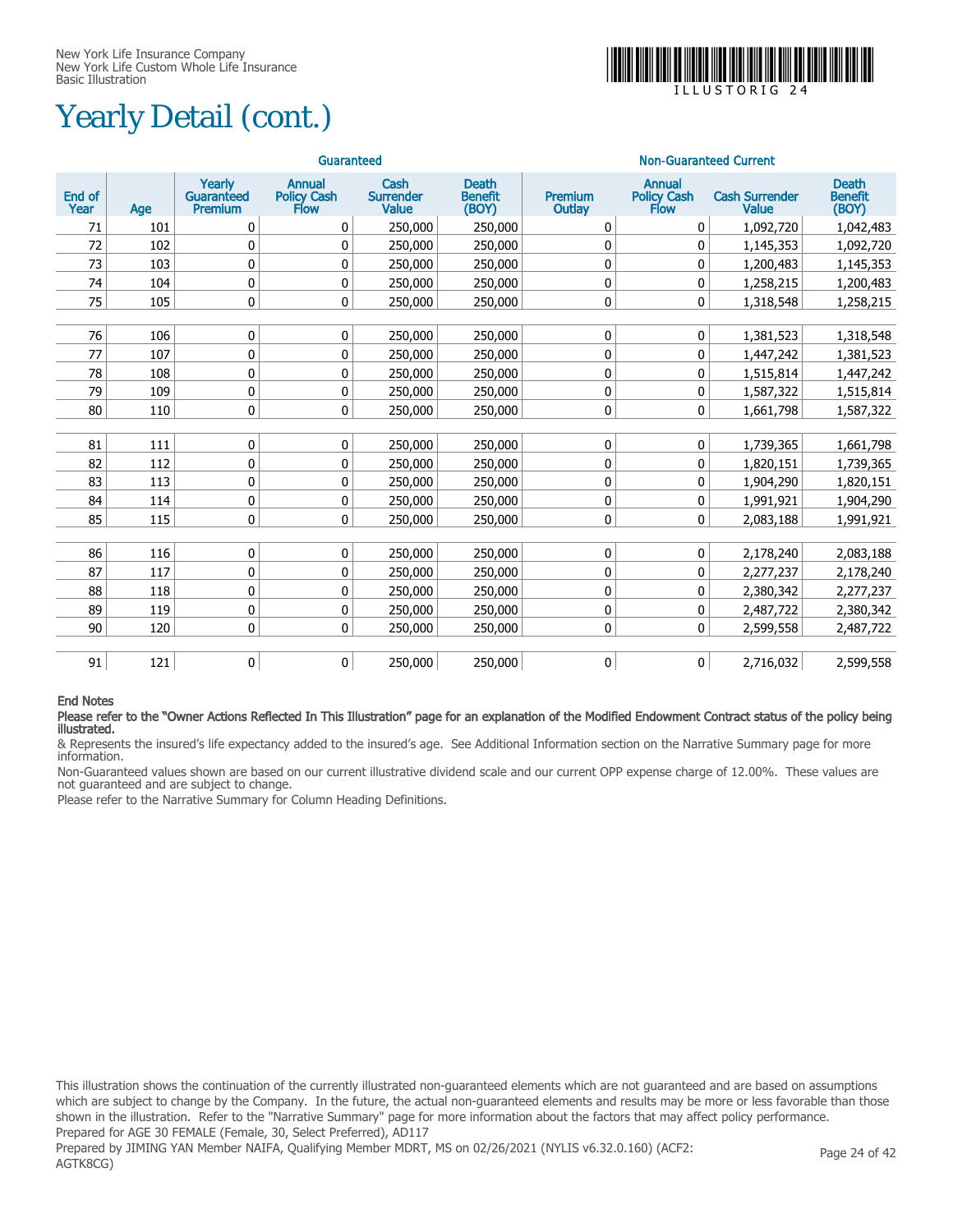# Yearly Detail (cont.)



 $I I I IS T OR IG$ 

|                |     |                                 | Guaranteed                           |                                          |                                         | <b>Non-Guaranteed Current</b> |                                      |                                |                                         |  |
|----------------|-----|---------------------------------|--------------------------------------|------------------------------------------|-----------------------------------------|-------------------------------|--------------------------------------|--------------------------------|-----------------------------------------|--|
| End of<br>Year | Age | Yearly<br>Guaranteed<br>Premium | <b>Annual</b><br>Policy Cash<br>Flow | Cash<br><b>Surrender</b><br><b>Value</b> | <b>Death</b><br><b>Benefit</b><br>(BOY) | Premium<br>Outlay             | <b>Annual</b><br>Policy Cash<br>Flow | <b>Cash Surrender</b><br>Value | <b>Death</b><br><b>Benefit</b><br>(BOY) |  |
| 71             | 101 | 0                               | 0                                    | 250,000                                  | 250,000                                 | 0                             | 0                                    | 1,092,720                      | 1,042,483                               |  |
| 72             | 102 | 0                               | 0                                    | 250,000                                  | 250,000                                 | 0                             | 0                                    | 1,145,353                      | 1,092,720                               |  |
| 73             | 103 | 0                               | 0                                    | 250,000                                  | 250,000                                 | 0                             | 0                                    | 1,200,483                      | 1,145,353                               |  |
| 74             | 104 | 0                               | 0                                    | 250,000                                  | 250,000                                 | 0                             | 0                                    | 1,258,215                      | 1,200,483                               |  |
| 75             | 105 | 0                               | $\mathbf 0$                          | 250,000                                  | 250,000                                 | 0                             | 0                                    | 1,318,548                      | 1,258,215                               |  |
|                |     |                                 |                                      |                                          |                                         |                               |                                      |                                |                                         |  |
| 76             | 106 | 0                               | 0                                    | 250,000                                  | 250,000                                 | 0                             | 0                                    | 1,381,523                      | 1,318,548                               |  |
| 77             | 107 | 0                               | 0                                    | 250,000                                  | 250,000                                 | 0                             | 0                                    | 1,447,242                      | 1,381,523                               |  |
| 78             | 108 | 0                               | 0                                    | 250,000                                  | 250,000                                 | 0                             | 0                                    | 1,515,814                      | 1,447,242                               |  |
| 79             | 109 | 0                               | 0                                    | 250,000                                  | 250,000                                 | 0                             | 0                                    | 1,587,322                      | 1,515,814                               |  |
| 80             | 110 | 0                               | 0                                    | 250,000                                  | 250,000                                 | 0                             | 0                                    | 1,661,798                      | 1,587,322                               |  |
|                |     |                                 |                                      |                                          |                                         |                               |                                      |                                |                                         |  |
| 81             | 111 | 0                               | 0                                    | 250,000                                  | 250,000                                 | 0                             | $\pmb{0}$                            | 1,739,365                      | 1,661,798                               |  |
| 82             | 112 | 0                               | 0                                    | 250,000                                  | 250,000                                 | 0                             | 0                                    | 1,820,151                      | 1,739,365                               |  |
| 83             | 113 | 0                               | 0                                    | 250,000                                  | 250,000                                 | 0                             | 0                                    | 1,904,290                      | 1,820,151                               |  |
| 84             | 114 | 0                               | 0                                    | 250,000                                  | 250,000                                 | 0                             | 0                                    | 1,991,921                      | 1,904,290                               |  |
| 85             | 115 | 0                               | 0                                    | 250,000                                  | 250,000                                 | 0                             | 0                                    | 2,083,188                      | 1,991,921                               |  |
|                |     |                                 |                                      |                                          |                                         |                               |                                      |                                |                                         |  |
| 86             | 116 | 0                               | 0                                    | 250,000                                  | 250,000                                 | 0                             | $\pmb{0}$                            | 2,178,240                      | 2,083,188                               |  |
| 87             | 117 | 0                               | 0                                    | 250,000                                  | 250,000                                 | 0                             | 0                                    | 2,277,237                      | 2,178,240                               |  |
| 88             | 118 | 0                               | 0                                    | 250,000                                  | 250,000                                 | 0                             | 0                                    | 2,380,342                      | 2,277,237                               |  |
| 89             | 119 | 0                               | $\pmb{0}$                            | 250,000                                  | 250,000                                 | 0                             | 0                                    | 2,487,722                      | 2,380,342                               |  |
| 90             | 120 | $\mathbf{0}$                    | $\mathbf{0}$                         | 250,000                                  | 250,000                                 | 0                             | $\mathbf{0}$                         | 2,599,558                      | 2,487,722                               |  |
|                |     |                                 |                                      |                                          |                                         |                               |                                      |                                |                                         |  |
| 91             | 121 | 0                               | 0                                    | 250,000                                  | 250,000                                 | 0                             | 0                                    | 2,716,032                      | 2,599,558                               |  |

#### End Notes

#### Please refer to the "Owner Actions Reflected In This Illustration" page for an explanation of the Modified Endowment Contract status of the policy being illustrated.

& Represents the insured's life expectancy added to the insured's age. See Additional Information section on the Narrative Summary page for more information.

Non-Guaranteed values shown are based on our current illustrative dividend scale and our current OPP expense charge of 12.00%. These values are not guaranteed and are subject to change.

Please refer to the Narrative Summary for Column Heading Definitions.

This illustration shows the continuation of the currently illustrated non-guaranteed elements which are not guaranteed and are based on assumptions which are subject to change by the Company. In the future, the actual non-guaranteed elements and results may be more or less favorable than those shown in the illustration. Refer to the "Narrative Summary" page for more information about the factors that may affect policy performance. Prepared for AGE 30 FEMALE (Female, 30, Select Preferred), AD117 Prepared by JIMING YAN Member NAIFA, Qualifying Member MDRT, MS on 02/26/2021 (NYLIS v6.32.0.160) (ACF2: AGTK8CG) Page 24 of 42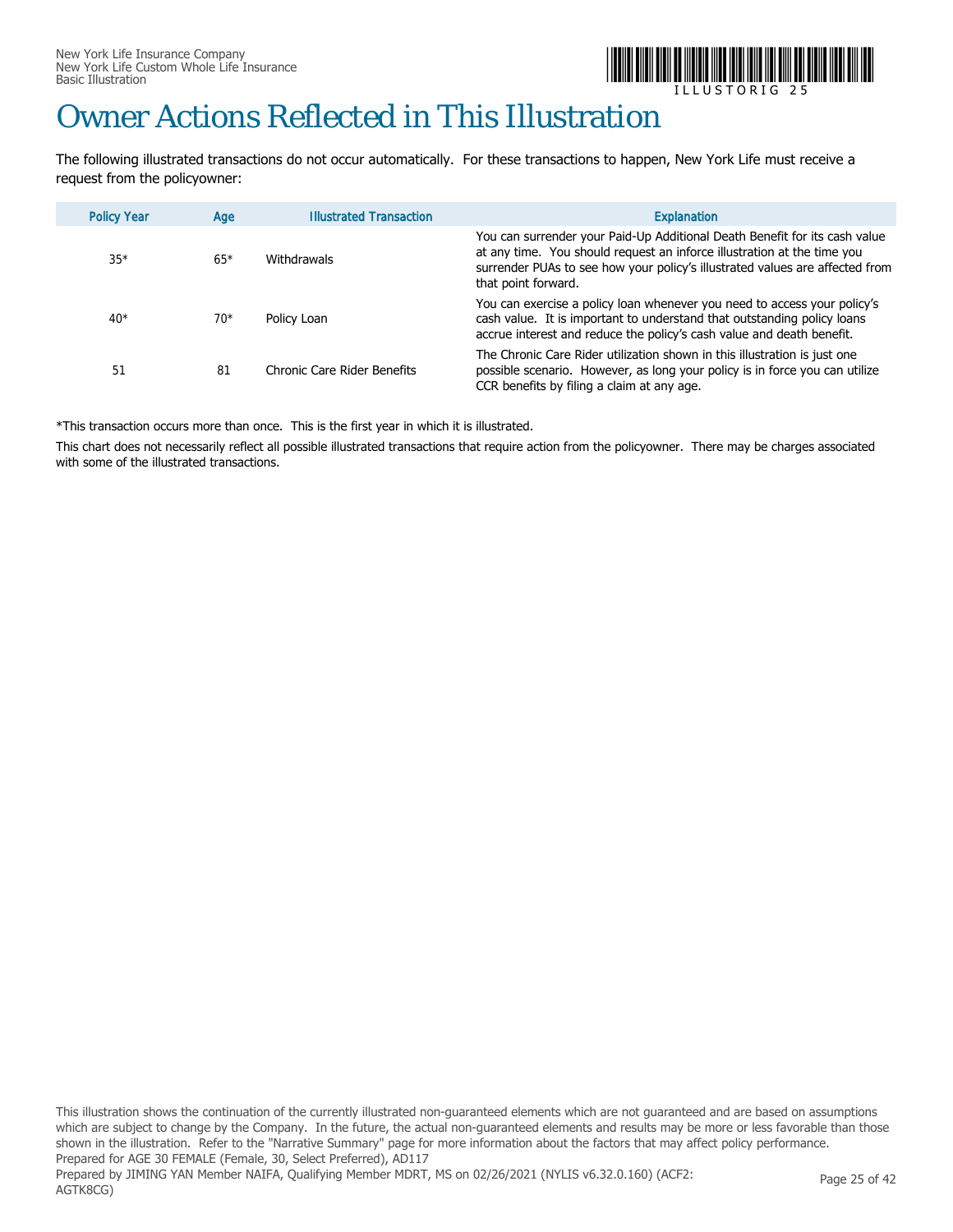

 $\sqcup$  L  $\sqcup$  S T O R I G

### Owner Actions Reflected in This Illustration

The following illustrated transactions do not occur automatically. For these transactions to happen, New York Life must receive a request from the policyowner:

| <b>Policy Year</b> | Age   | <b>Illustrated Transaction</b> | <b>Explanation</b>                                                                                                                                                                                                                                           |
|--------------------|-------|--------------------------------|--------------------------------------------------------------------------------------------------------------------------------------------------------------------------------------------------------------------------------------------------------------|
| $35*$              | $65*$ | Withdrawals                    | You can surrender your Paid-Up Additional Death Benefit for its cash value<br>at any time. You should request an inforce illustration at the time you<br>surrender PUAs to see how your policy's illustrated values are affected from<br>that point forward. |
| $40*$              | $70*$ | Policy Loan                    | You can exercise a policy loan whenever you need to access your policy's<br>cash value. It is important to understand that outstanding policy loans<br>accrue interest and reduce the policy's cash value and death benefit.                                 |
| 51                 | 81    | Chronic Care Rider Benefits    | The Chronic Care Rider utilization shown in this illustration is just one<br>possible scenario. However, as long your policy is in force you can utilize<br>CCR benefits by filing a claim at any age.                                                       |

\*This transaction occurs more than once. This is the first year in which it is illustrated.

This chart does not necessarily reflect all possible illustrated transactions that require action from the policyowner. There may be charges associated with some of the illustrated transactions.

This illustration shows the continuation of the currently illustrated non-guaranteed elements which are not guaranteed and are based on assumptions which are subject to change by the Company. In the future, the actual non-guaranteed elements and results may be more or less favorable than those shown in the illustration. Refer to the "Narrative Summary" page for more information about the factors that may affect policy performance. Prepared for AGE 30 FEMALE (Female, 30, Select Preferred), AD117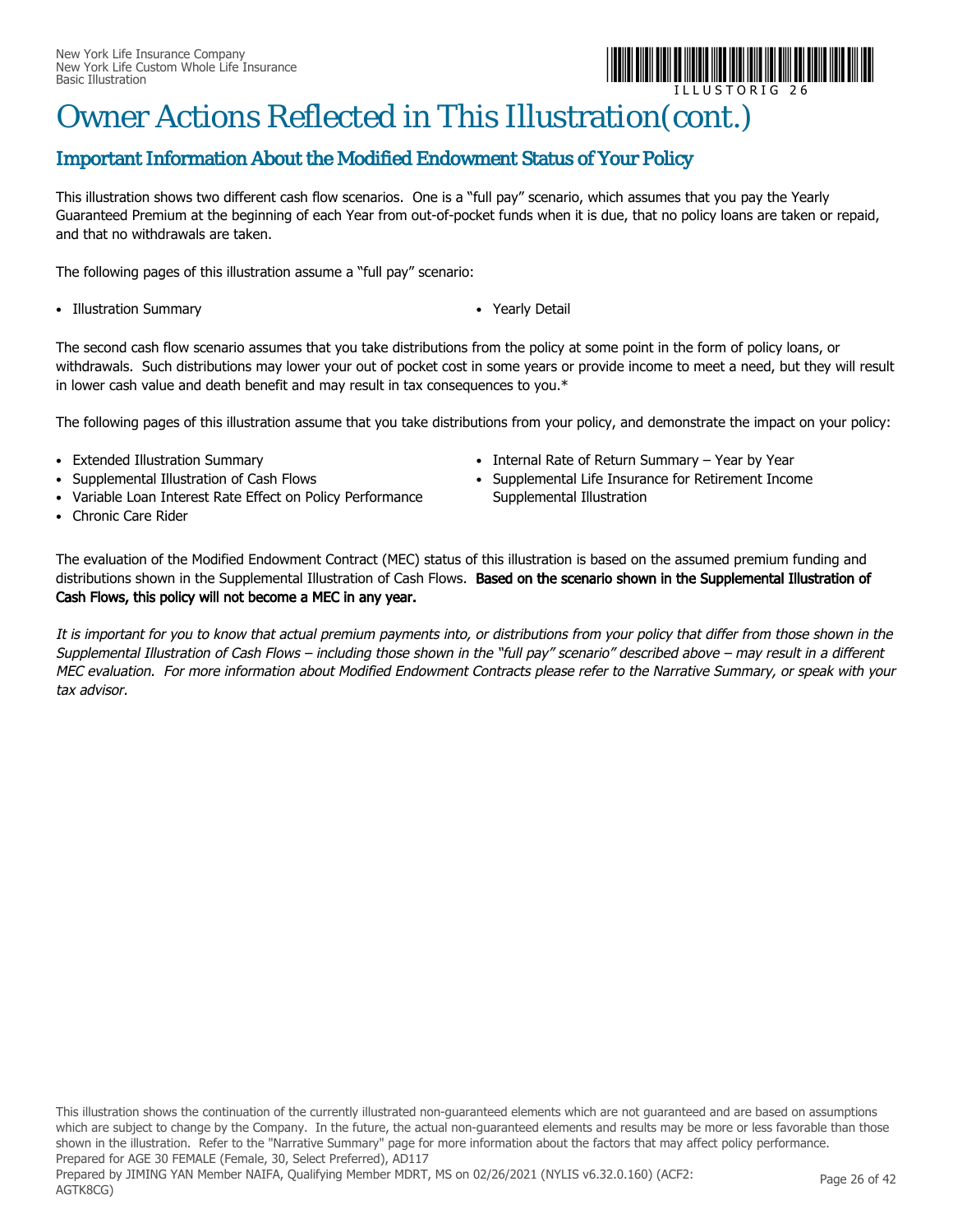

# Owner Actions Reflected in This Illustration(cont.)

#### Important Information About the Modified Endowment Status of Your Policy

This illustration shows two different cash flow scenarios. One is a "full pay" scenario, which assumes that you pay the Yearly Guaranteed Premium at the beginning of each Year from out-of-pocket funds when it is due, that no policy loans are taken or repaid, and that no withdrawals are taken.

The following pages of this illustration assume a "full pay" scenario:

- Illustration Summary *Yearly Detail*
- 

The second cash flow scenario assumes that you take distributions from the policy at some point in the form of policy loans, or withdrawals. Such distributions may lower your out of pocket cost in some years or provide income to meet a need, but they will result in lower cash value and death benefit and may result in tax consequences to you.\*

The following pages of this illustration assume that you take distributions from your policy, and demonstrate the impact on your policy:

- Extended Illustration Summary
- Supplemental Illustration of Cash Flows
- Variable Loan Interest Rate Effect on Policy Performance
- Chronic Care Rider
- Internal Rate of Return Summary Year by Year
- Supplemental Life Insurance for Retirement Income Supplemental Illustration

The evaluation of the Modified Endowment Contract (MEC) status of this illustration is based on the assumed premium funding and distributions shown in the Supplemental Illustration of Cash Flows. Based on the scenario shown in the Supplemental Illustration of Cash Flows, this policy will not become a MEC in any year.

It is important for you to know that actual premium payments into, or distributions from your policy that differ from those shown in the Supplemental Illustration of Cash Flows – including those shown in the "full pay" scenario" described above – may result in a different MEC evaluation. For more information about Modified Endowment Contracts please refer to the Narrative Summary, or speak with your tax advisor.

This illustration shows the continuation of the currently illustrated non-guaranteed elements which are not guaranteed and are based on assumptions which are subject to change by the Company. In the future, the actual non-guaranteed elements and results may be more or less favorable than those shown in the illustration. Refer to the "Narrative Summary" page for more information about the factors that may affect policy performance. Prepared for AGE 30 FEMALE (Female, 30, Select Preferred), AD117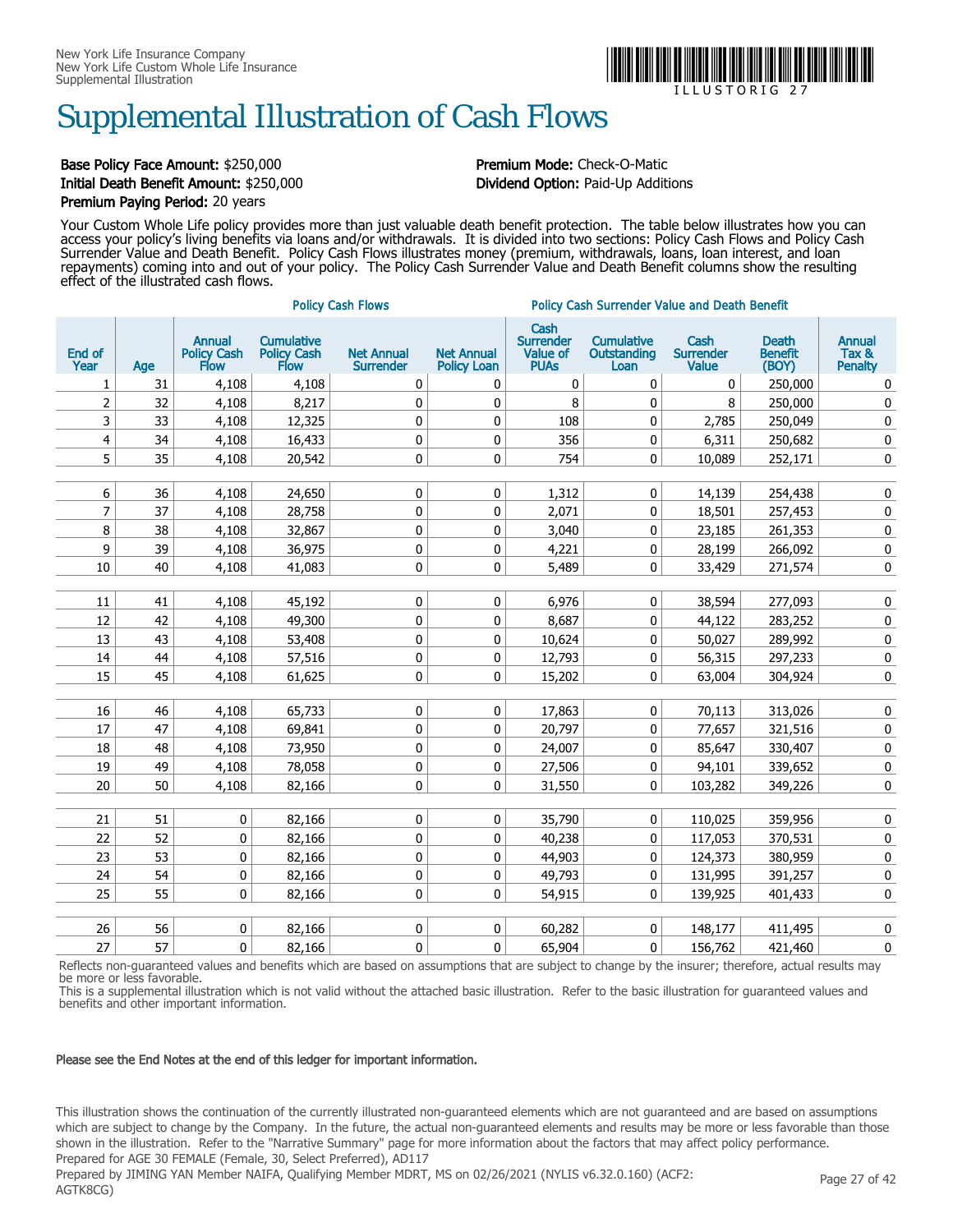

### Supplemental Illustration of Cash Flows

#### Base Policy Face Amount: \$250,000 **Premium Mode:** Check-O-Matic Initial Death Benefit Amount: \$250,000 Dividend Option: Paid-Up Additions Premium Paying Period: 20 years

Your Custom Whole Life policy provides more than just valuable death benefit protection. The table below illustrates how you can access your policy's living benefits via loans and/or withdrawals. It is divided into two sections: Policy Cash Flows and Policy Cash Surrender Value and Death Benefit. Policy Cash Flows illustrates money (premium, withdrawals, loans, loan interest, and loan repayments) coming into and out of your policy. The Policy Cash Surrender Value and Death Benefit columns show the resulting effect of the illustrated cash flows.

|                |     |                                             |                                          | <b>Policy Cash Flows</b>              |                                         | <b>Policy Cash Surrender Value and Death Benefit</b> |                                          |                                          |                                         |                                          |  |
|----------------|-----|---------------------------------------------|------------------------------------------|---------------------------------------|-----------------------------------------|------------------------------------------------------|------------------------------------------|------------------------------------------|-----------------------------------------|------------------------------------------|--|
| End of<br>Year | Age | <b>Annual</b><br><b>Policy Cash</b><br>Flow | <b>Cumulative</b><br>Policy Cash<br>Flow | <b>Net Annual</b><br><b>Surrender</b> | <b>Net Annual</b><br><b>Policy Loan</b> | Cash<br><b>Surrender</b><br>Value of<br><b>PUAs</b>  | <b>Cumulative</b><br>Outstanding<br>Loan | Cash<br><b>Surrender</b><br><b>Value</b> | <b>Death</b><br><b>Benefit</b><br>(BOY) | <b>Annual</b><br>Tax &<br><b>Penalty</b> |  |
| 1              | 31  | 4,108                                       | 4,108                                    | 0                                     | 0                                       | 0                                                    | 0                                        | 0                                        | 250,000                                 | 0                                        |  |
| 2              | 32  | 4,108                                       | 8,217                                    | 0                                     | 0                                       | 8                                                    | 0                                        | 8                                        | 250,000                                 | 0                                        |  |
| 3              | 33  | 4,108                                       | 12,325                                   | 0                                     | 0                                       | 108                                                  | 0                                        | 2,785                                    | 250,049                                 | 0                                        |  |
| 4              | 34  | 4,108                                       | 16,433                                   | 0                                     | 0                                       | 356                                                  | 0                                        | 6,311                                    | 250,682                                 | $\pmb{0}$                                |  |
| 5              | 35  | 4,108                                       | 20,542                                   | 0                                     | 0                                       | 754                                                  | 0                                        | 10,089                                   | 252,171                                 | $\pmb{0}$                                |  |
|                |     |                                             |                                          |                                       |                                         |                                                      |                                          |                                          |                                         |                                          |  |
| 6              | 36  | 4,108                                       | 24,650                                   | 0                                     | 0                                       | 1,312                                                | 0                                        | 14,139                                   | 254,438                                 | 0                                        |  |
| $\overline{7}$ | 37  | 4,108                                       | 28,758                                   | $\pmb{0}$                             | 0                                       | 2,071                                                | 0                                        | 18,501                                   | 257,453                                 | $\pmb{0}$                                |  |
| 8              | 38  | 4,108                                       | 32,867                                   | $\pmb{0}$                             | 0                                       | 3,040                                                | 0                                        | 23,185                                   | 261,353                                 | $\pmb{0}$                                |  |
| 9              | 39  | 4,108                                       | 36,975                                   | 0                                     | 0                                       | 4,221                                                | 0                                        | 28,199                                   | 266,092                                 | 0                                        |  |
| 10             | 40  | 4,108                                       | 41,083                                   | 0                                     | 0                                       | 5,489                                                | 0                                        | 33,429                                   | 271,574                                 | 0                                        |  |
|                |     |                                             |                                          |                                       |                                         |                                                      |                                          |                                          |                                         |                                          |  |
| 11             | 41  | 4,108                                       | 45,192                                   | $\pmb{0}$                             | 0                                       | 6,976                                                | 0                                        | 38,594                                   | 277,093                                 | 0                                        |  |
| 12             | 42  | 4,108                                       | 49,300                                   | 0                                     | 0                                       | 8,687                                                | 0                                        | 44,122                                   | 283,252                                 | 0                                        |  |
| 13             | 43  | 4,108                                       | 53,408                                   | 0                                     | 0                                       | 10,624                                               | 0                                        | 50,027                                   | 289,992                                 | 0                                        |  |
| 14             | 44  | 4,108                                       | 57,516                                   | 0                                     | 0                                       | 12,793                                               | 0                                        | 56,315                                   | 297,233                                 | 0                                        |  |
| 15             | 45  | 4,108                                       | 61,625                                   | 0                                     | 0                                       | 15,202                                               | 0                                        | 63,004                                   | 304,924                                 | 0                                        |  |
|                |     |                                             |                                          |                                       |                                         |                                                      |                                          |                                          |                                         |                                          |  |
| $16\,$         | 46  | 4,108                                       | 65,733                                   | 0                                     | 0                                       | 17,863                                               | 0                                        | 70,113                                   | 313,026                                 | 0                                        |  |
| 17             | 47  | 4,108                                       | 69,841                                   | 0                                     | 0                                       | 20,797                                               | 0                                        | 77,657                                   | 321,516                                 | 0                                        |  |
| 18             | 48  | 4,108                                       | 73,950                                   | 0                                     | 0                                       | 24,007                                               | 0                                        | 85,647                                   | 330,407                                 | 0                                        |  |
| 19             | 49  | 4,108                                       | 78,058                                   | $\pmb{0}$                             | 0                                       | 27,506                                               | 0                                        | 94,101                                   | 339,652                                 | 0                                        |  |
| 20             | 50  | 4,108                                       | 82,166                                   | 0                                     | 0                                       | 31,550                                               | 0                                        | 103,282                                  | 349,226                                 | 0                                        |  |
|                |     |                                             |                                          |                                       |                                         |                                                      |                                          |                                          |                                         |                                          |  |
| 21             | 51  | 0                                           | 82,166                                   | 0                                     | 0                                       | 35,790                                               | 0                                        | 110,025                                  | 359,956                                 | $\pmb{0}$                                |  |
| 22             | 52  | 0                                           | 82,166                                   | 0                                     | 0                                       | 40,238                                               | 0                                        | 117,053                                  | 370,531                                 | 0                                        |  |
| 23             | 53  | 0                                           | 82,166                                   | 0                                     | 0                                       | 44,903                                               | 0                                        | 124,373                                  | 380,959                                 | 0                                        |  |
| 24             | 54  | 0                                           | 82,166                                   | 0                                     | 0                                       | 49,793                                               | 0                                        | 131,995                                  | 391,257                                 | 0                                        |  |
| 25             | 55  | 0                                           | 82,166                                   | 0                                     | 0                                       | 54,915                                               | 0                                        | 139,925                                  | 401,433                                 | $\pmb{0}$                                |  |
|                |     |                                             |                                          |                                       |                                         |                                                      |                                          |                                          |                                         |                                          |  |
| 26             | 56  | 0                                           | 82,166                                   | 0                                     | 0                                       | 60,282                                               | 0                                        | 148,177                                  | 411,495                                 | 0                                        |  |
| 27             | 57  | 0                                           | 82,166                                   | 0                                     | 0                                       | 65,904                                               | 0                                        | 156,762                                  | 421,460                                 | 0                                        |  |

Reflects non-guaranteed values and benefits which are based on assumptions that are subject to change by the insurer; therefore, actual results may be more or less favorable.

This is a supplemental illustration which is not valid without the attached basic illustration. Refer to the basic illustration for guaranteed values and benefits and other important information.

#### Please see the End Notes at the end of this ledger for important information.

This illustration shows the continuation of the currently illustrated non-guaranteed elements which are not guaranteed and are based on assumptions which are subject to change by the Company. In the future, the actual non-guaranteed elements and results may be more or less favorable than those shown in the illustration. Refer to the "Narrative Summary" page for more information about the factors that may affect policy performance. Prepared for AGE 30 FEMALE (Female, 30, Select Preferred), AD117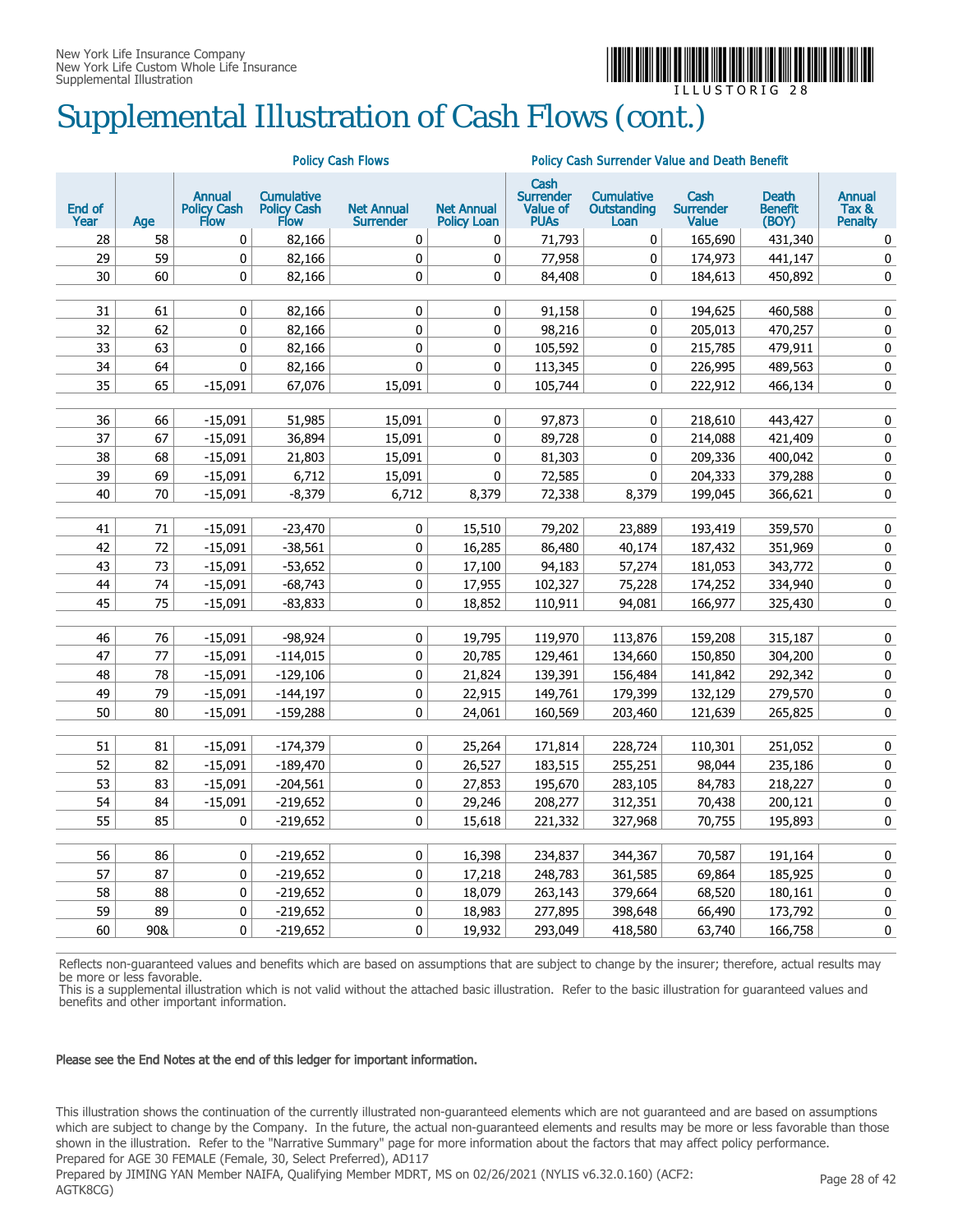

# Supplemental Illustration of Cash Flows (cont.)

| Cash<br><b>Annual</b><br><b>Cumulative</b><br><b>Surrender</b><br><b>Cumulative</b><br>Cash<br><b>Death</b><br><b>Annual</b><br><b>End of</b><br><b>Policy Cash</b><br><b>Policy Cash</b><br><b>Net Annual</b><br><b>Value of</b><br>Tax &<br><b>Net Annual</b><br><b>Outstanding</b><br><b>Surrender</b><br><b>Benefit</b><br><b>Flow</b><br><b>Flow</b><br><b>PUAS</b><br>Value<br>Year<br>Age<br><b>Surrender</b><br><b>Policy Loan</b><br>Loan<br>(BOY)<br><b>Penalty</b><br>0<br>0<br>28<br>58<br>82,166<br>0<br>0<br>71,793<br>165,690<br>431,340<br>0<br>29<br>59<br>$\mathbf 0$<br>82,166<br>0<br>0<br>77,958<br>0<br>174,973<br>441,147<br>0<br>60<br>30<br>0<br>82,166<br>0<br>0<br>84,408<br>0<br>184,613<br>450,892<br>0<br>31<br>61<br>0<br>82,166<br>0<br>$\mathbf 0$<br>91,158<br>0<br>194,625<br>0<br>460,588<br>62<br>32<br>$\pmb{0}$<br>0<br>$\pmb{0}$<br>98,216<br>0<br>205,013<br>470,257<br>$\pmb{0}$<br>82,166<br>33<br>63<br>$\mathbf 0$<br>82,166<br>0<br>0<br>105,592<br>0<br>215,785<br>479,911<br>0<br>64<br>$\Omega$<br>0<br>0<br>0<br>226,995<br>489,563<br>0<br>34<br>82,166<br>113,345<br>35<br>65<br>$-15,091$<br>15,091<br>0<br>0<br>67,076<br>105,744<br>222,912<br>466,134<br>0<br>66<br>$\mathbf 0$<br>$\mathbf 0$<br>36<br>$-15,091$<br>51,985<br>15,091<br>97,873<br>0<br>218,610<br>443,427<br>67<br>0<br>37<br>$-15,091$<br>36,894<br>15,091<br>0<br>89,728<br>214,088<br>421,409<br>0<br>68<br>15,091<br>$\mathbf 0$<br>0<br>209,336<br>0<br>38<br>$-15,091$<br>21,803<br>81,303<br>400,042<br>39<br>69<br>$-15,091$<br>6,712<br>15,091<br>0<br>72,585<br>0<br>204,333<br>379,288<br>0<br>40<br>70<br>$-8,379$<br>8,379<br>72,338<br>8,379<br>199,045<br>366,621<br>0<br>$-15,091$<br>6,712<br>71<br>$-15,091$<br>$-23,470$<br>0<br>15,510<br>79,202<br>23,889<br>193,419<br>359,570<br>$\pmb{0}$<br>41<br>42<br>72<br>$-15,091$<br>$-38,561$<br>$\pmb{0}$<br>16,285<br>351,969<br>$\pmb{0}$<br>86,480<br>40,174<br>187,432<br>73<br>$\pmb{0}$<br>43<br>$-15,091$<br>$-53,652$<br>0<br>17,100<br>94,183<br>57,274<br>181,053<br>343,772<br>74<br>0<br>17,955<br>174,252<br>$\pmb{0}$<br>44<br>$-15,091$<br>$-68,743$<br>102,327<br>75,228<br>334,940<br>75<br>45<br>$-15,091$<br>$-83,833$<br>0<br>18,852<br>94,081<br>166,977<br>325,430<br>0<br>110,911<br>76<br>0<br>46<br>$-15,091$<br>-98,924<br>0<br>19,795<br>119,970<br>113,876<br>159,208<br>315,187<br>77<br>47<br>$-15,091$<br>$-114,015$<br>0<br>20,785<br>129,461<br>134,660<br>150,850<br>304,200<br>0<br>78<br>$-15,091$<br>$-129,106$<br>0<br>21,824<br>139,391<br>156,484<br>141,842<br>292,342<br>0<br>48<br>79<br>$-144,197$<br>$\pmb{0}$<br>22,915<br>149,761<br>179,399<br>132,129<br>$\pmb{0}$<br>49<br>$-15,091$<br>279,570<br>80<br>0<br>265,825<br>0<br>50<br>$-15,091$<br>$-159,288$<br>24,061<br>160,569<br>203,460<br>121,639<br>81<br>0<br>25,264<br>171,814<br>$\pmb{0}$<br>51<br>$-15,091$<br>$-174,379$<br>228,724<br>110,301<br>251,052<br>52<br>82<br>$-15,091$<br>0<br>183,515<br>255,251<br>235,186<br>$\pmb{0}$<br>$-189,470$<br>26,527<br>98,044<br>83<br>195,670<br>218,227<br>$\pmb{0}$<br>53<br>$-15,091$<br>$-204,561$<br>0<br>27,853<br>283,105<br>84,783<br>54<br>84<br>$-15,091$<br>$-219,652$<br>0<br>29,246<br>208,277<br>312,351<br>70,438<br>200,121<br>0<br>55<br>85<br>0<br>$-219,652$<br>0<br>15,618<br>221,332<br>327,968<br>70,755<br>195,893<br>0<br>86<br>$\pmb{0}$<br>0<br>0<br>56<br>$-219,652$<br>16,398<br>234,837<br>344,367<br>70,587<br>191,164<br>87<br>57<br>0<br>$-219,652$<br>0<br>248,783<br>361,585<br>69,864<br>185,925<br>0<br>17,218<br>88<br>$\pmb{0}$<br>$\pmb{0}$<br>58<br>0<br>18,079<br>68,520<br>$-219,652$<br>263,143<br>379,664<br>180,161<br>59<br>89<br>$\pmb{0}$<br>0<br>$\pmb{0}$<br>$-219,652$<br>18,983<br>277,895<br>398,648<br>66,490<br>173,792<br>0<br>0<br>60<br>90&<br>$\Omega$<br>$-219,652$<br>19,932<br>293,049<br>418,580<br>63,740<br>166,758 |  |  | <b>Policy Cash Flows</b> | Policy Cash Surrender Value and Death Benefit |  |  |  |  |
|-----------------------------------------------------------------------------------------------------------------------------------------------------------------------------------------------------------------------------------------------------------------------------------------------------------------------------------------------------------------------------------------------------------------------------------------------------------------------------------------------------------------------------------------------------------------------------------------------------------------------------------------------------------------------------------------------------------------------------------------------------------------------------------------------------------------------------------------------------------------------------------------------------------------------------------------------------------------------------------------------------------------------------------------------------------------------------------------------------------------------------------------------------------------------------------------------------------------------------------------------------------------------------------------------------------------------------------------------------------------------------------------------------------------------------------------------------------------------------------------------------------------------------------------------------------------------------------------------------------------------------------------------------------------------------------------------------------------------------------------------------------------------------------------------------------------------------------------------------------------------------------------------------------------------------------------------------------------------------------------------------------------------------------------------------------------------------------------------------------------------------------------------------------------------------------------------------------------------------------------------------------------------------------------------------------------------------------------------------------------------------------------------------------------------------------------------------------------------------------------------------------------------------------------------------------------------------------------------------------------------------------------------------------------------------------------------------------------------------------------------------------------------------------------------------------------------------------------------------------------------------------------------------------------------------------------------------------------------------------------------------------------------------------------------------------------------------------------------------------------------------------------------------------------------------------------------------------------------------------------------------------------------------------------------------------------------------------------------------------------------------------------------------------------------------------------------------------------------------------------------------------------------------------------------------------------------------------------------------------------------------------------------------------------------------------------------------------------------------------------------------------------------------------------------------------------------------------------------------------------------------------------------------------------------------------------|--|--|--------------------------|-----------------------------------------------|--|--|--|--|
|                                                                                                                                                                                                                                                                                                                                                                                                                                                                                                                                                                                                                                                                                                                                                                                                                                                                                                                                                                                                                                                                                                                                                                                                                                                                                                                                                                                                                                                                                                                                                                                                                                                                                                                                                                                                                                                                                                                                                                                                                                                                                                                                                                                                                                                                                                                                                                                                                                                                                                                                                                                                                                                                                                                                                                                                                                                                                                                                                                                                                                                                                                                                                                                                                                                                                                                                                                                                                                                                                                                                                                                                                                                                                                                                                                                                                                                                                                                                         |  |  |                          |                                               |  |  |  |  |
|                                                                                                                                                                                                                                                                                                                                                                                                                                                                                                                                                                                                                                                                                                                                                                                                                                                                                                                                                                                                                                                                                                                                                                                                                                                                                                                                                                                                                                                                                                                                                                                                                                                                                                                                                                                                                                                                                                                                                                                                                                                                                                                                                                                                                                                                                                                                                                                                                                                                                                                                                                                                                                                                                                                                                                                                                                                                                                                                                                                                                                                                                                                                                                                                                                                                                                                                                                                                                                                                                                                                                                                                                                                                                                                                                                                                                                                                                                                                         |  |  |                          |                                               |  |  |  |  |
|                                                                                                                                                                                                                                                                                                                                                                                                                                                                                                                                                                                                                                                                                                                                                                                                                                                                                                                                                                                                                                                                                                                                                                                                                                                                                                                                                                                                                                                                                                                                                                                                                                                                                                                                                                                                                                                                                                                                                                                                                                                                                                                                                                                                                                                                                                                                                                                                                                                                                                                                                                                                                                                                                                                                                                                                                                                                                                                                                                                                                                                                                                                                                                                                                                                                                                                                                                                                                                                                                                                                                                                                                                                                                                                                                                                                                                                                                                                                         |  |  |                          |                                               |  |  |  |  |
|                                                                                                                                                                                                                                                                                                                                                                                                                                                                                                                                                                                                                                                                                                                                                                                                                                                                                                                                                                                                                                                                                                                                                                                                                                                                                                                                                                                                                                                                                                                                                                                                                                                                                                                                                                                                                                                                                                                                                                                                                                                                                                                                                                                                                                                                                                                                                                                                                                                                                                                                                                                                                                                                                                                                                                                                                                                                                                                                                                                                                                                                                                                                                                                                                                                                                                                                                                                                                                                                                                                                                                                                                                                                                                                                                                                                                                                                                                                                         |  |  |                          |                                               |  |  |  |  |
|                                                                                                                                                                                                                                                                                                                                                                                                                                                                                                                                                                                                                                                                                                                                                                                                                                                                                                                                                                                                                                                                                                                                                                                                                                                                                                                                                                                                                                                                                                                                                                                                                                                                                                                                                                                                                                                                                                                                                                                                                                                                                                                                                                                                                                                                                                                                                                                                                                                                                                                                                                                                                                                                                                                                                                                                                                                                                                                                                                                                                                                                                                                                                                                                                                                                                                                                                                                                                                                                                                                                                                                                                                                                                                                                                                                                                                                                                                                                         |  |  |                          |                                               |  |  |  |  |
|                                                                                                                                                                                                                                                                                                                                                                                                                                                                                                                                                                                                                                                                                                                                                                                                                                                                                                                                                                                                                                                                                                                                                                                                                                                                                                                                                                                                                                                                                                                                                                                                                                                                                                                                                                                                                                                                                                                                                                                                                                                                                                                                                                                                                                                                                                                                                                                                                                                                                                                                                                                                                                                                                                                                                                                                                                                                                                                                                                                                                                                                                                                                                                                                                                                                                                                                                                                                                                                                                                                                                                                                                                                                                                                                                                                                                                                                                                                                         |  |  |                          |                                               |  |  |  |  |
|                                                                                                                                                                                                                                                                                                                                                                                                                                                                                                                                                                                                                                                                                                                                                                                                                                                                                                                                                                                                                                                                                                                                                                                                                                                                                                                                                                                                                                                                                                                                                                                                                                                                                                                                                                                                                                                                                                                                                                                                                                                                                                                                                                                                                                                                                                                                                                                                                                                                                                                                                                                                                                                                                                                                                                                                                                                                                                                                                                                                                                                                                                                                                                                                                                                                                                                                                                                                                                                                                                                                                                                                                                                                                                                                                                                                                                                                                                                                         |  |  |                          |                                               |  |  |  |  |
|                                                                                                                                                                                                                                                                                                                                                                                                                                                                                                                                                                                                                                                                                                                                                                                                                                                                                                                                                                                                                                                                                                                                                                                                                                                                                                                                                                                                                                                                                                                                                                                                                                                                                                                                                                                                                                                                                                                                                                                                                                                                                                                                                                                                                                                                                                                                                                                                                                                                                                                                                                                                                                                                                                                                                                                                                                                                                                                                                                                                                                                                                                                                                                                                                                                                                                                                                                                                                                                                                                                                                                                                                                                                                                                                                                                                                                                                                                                                         |  |  |                          |                                               |  |  |  |  |
|                                                                                                                                                                                                                                                                                                                                                                                                                                                                                                                                                                                                                                                                                                                                                                                                                                                                                                                                                                                                                                                                                                                                                                                                                                                                                                                                                                                                                                                                                                                                                                                                                                                                                                                                                                                                                                                                                                                                                                                                                                                                                                                                                                                                                                                                                                                                                                                                                                                                                                                                                                                                                                                                                                                                                                                                                                                                                                                                                                                                                                                                                                                                                                                                                                                                                                                                                                                                                                                                                                                                                                                                                                                                                                                                                                                                                                                                                                                                         |  |  |                          |                                               |  |  |  |  |
|                                                                                                                                                                                                                                                                                                                                                                                                                                                                                                                                                                                                                                                                                                                                                                                                                                                                                                                                                                                                                                                                                                                                                                                                                                                                                                                                                                                                                                                                                                                                                                                                                                                                                                                                                                                                                                                                                                                                                                                                                                                                                                                                                                                                                                                                                                                                                                                                                                                                                                                                                                                                                                                                                                                                                                                                                                                                                                                                                                                                                                                                                                                                                                                                                                                                                                                                                                                                                                                                                                                                                                                                                                                                                                                                                                                                                                                                                                                                         |  |  |                          |                                               |  |  |  |  |
|                                                                                                                                                                                                                                                                                                                                                                                                                                                                                                                                                                                                                                                                                                                                                                                                                                                                                                                                                                                                                                                                                                                                                                                                                                                                                                                                                                                                                                                                                                                                                                                                                                                                                                                                                                                                                                                                                                                                                                                                                                                                                                                                                                                                                                                                                                                                                                                                                                                                                                                                                                                                                                                                                                                                                                                                                                                                                                                                                                                                                                                                                                                                                                                                                                                                                                                                                                                                                                                                                                                                                                                                                                                                                                                                                                                                                                                                                                                                         |  |  |                          |                                               |  |  |  |  |
|                                                                                                                                                                                                                                                                                                                                                                                                                                                                                                                                                                                                                                                                                                                                                                                                                                                                                                                                                                                                                                                                                                                                                                                                                                                                                                                                                                                                                                                                                                                                                                                                                                                                                                                                                                                                                                                                                                                                                                                                                                                                                                                                                                                                                                                                                                                                                                                                                                                                                                                                                                                                                                                                                                                                                                                                                                                                                                                                                                                                                                                                                                                                                                                                                                                                                                                                                                                                                                                                                                                                                                                                                                                                                                                                                                                                                                                                                                                                         |  |  |                          |                                               |  |  |  |  |
|                                                                                                                                                                                                                                                                                                                                                                                                                                                                                                                                                                                                                                                                                                                                                                                                                                                                                                                                                                                                                                                                                                                                                                                                                                                                                                                                                                                                                                                                                                                                                                                                                                                                                                                                                                                                                                                                                                                                                                                                                                                                                                                                                                                                                                                                                                                                                                                                                                                                                                                                                                                                                                                                                                                                                                                                                                                                                                                                                                                                                                                                                                                                                                                                                                                                                                                                                                                                                                                                                                                                                                                                                                                                                                                                                                                                                                                                                                                                         |  |  |                          |                                               |  |  |  |  |
|                                                                                                                                                                                                                                                                                                                                                                                                                                                                                                                                                                                                                                                                                                                                                                                                                                                                                                                                                                                                                                                                                                                                                                                                                                                                                                                                                                                                                                                                                                                                                                                                                                                                                                                                                                                                                                                                                                                                                                                                                                                                                                                                                                                                                                                                                                                                                                                                                                                                                                                                                                                                                                                                                                                                                                                                                                                                                                                                                                                                                                                                                                                                                                                                                                                                                                                                                                                                                                                                                                                                                                                                                                                                                                                                                                                                                                                                                                                                         |  |  |                          |                                               |  |  |  |  |
|                                                                                                                                                                                                                                                                                                                                                                                                                                                                                                                                                                                                                                                                                                                                                                                                                                                                                                                                                                                                                                                                                                                                                                                                                                                                                                                                                                                                                                                                                                                                                                                                                                                                                                                                                                                                                                                                                                                                                                                                                                                                                                                                                                                                                                                                                                                                                                                                                                                                                                                                                                                                                                                                                                                                                                                                                                                                                                                                                                                                                                                                                                                                                                                                                                                                                                                                                                                                                                                                                                                                                                                                                                                                                                                                                                                                                                                                                                                                         |  |  |                          |                                               |  |  |  |  |
|                                                                                                                                                                                                                                                                                                                                                                                                                                                                                                                                                                                                                                                                                                                                                                                                                                                                                                                                                                                                                                                                                                                                                                                                                                                                                                                                                                                                                                                                                                                                                                                                                                                                                                                                                                                                                                                                                                                                                                                                                                                                                                                                                                                                                                                                                                                                                                                                                                                                                                                                                                                                                                                                                                                                                                                                                                                                                                                                                                                                                                                                                                                                                                                                                                                                                                                                                                                                                                                                                                                                                                                                                                                                                                                                                                                                                                                                                                                                         |  |  |                          |                                               |  |  |  |  |
|                                                                                                                                                                                                                                                                                                                                                                                                                                                                                                                                                                                                                                                                                                                                                                                                                                                                                                                                                                                                                                                                                                                                                                                                                                                                                                                                                                                                                                                                                                                                                                                                                                                                                                                                                                                                                                                                                                                                                                                                                                                                                                                                                                                                                                                                                                                                                                                                                                                                                                                                                                                                                                                                                                                                                                                                                                                                                                                                                                                                                                                                                                                                                                                                                                                                                                                                                                                                                                                                                                                                                                                                                                                                                                                                                                                                                                                                                                                                         |  |  |                          |                                               |  |  |  |  |
|                                                                                                                                                                                                                                                                                                                                                                                                                                                                                                                                                                                                                                                                                                                                                                                                                                                                                                                                                                                                                                                                                                                                                                                                                                                                                                                                                                                                                                                                                                                                                                                                                                                                                                                                                                                                                                                                                                                                                                                                                                                                                                                                                                                                                                                                                                                                                                                                                                                                                                                                                                                                                                                                                                                                                                                                                                                                                                                                                                                                                                                                                                                                                                                                                                                                                                                                                                                                                                                                                                                                                                                                                                                                                                                                                                                                                                                                                                                                         |  |  |                          |                                               |  |  |  |  |
|                                                                                                                                                                                                                                                                                                                                                                                                                                                                                                                                                                                                                                                                                                                                                                                                                                                                                                                                                                                                                                                                                                                                                                                                                                                                                                                                                                                                                                                                                                                                                                                                                                                                                                                                                                                                                                                                                                                                                                                                                                                                                                                                                                                                                                                                                                                                                                                                                                                                                                                                                                                                                                                                                                                                                                                                                                                                                                                                                                                                                                                                                                                                                                                                                                                                                                                                                                                                                                                                                                                                                                                                                                                                                                                                                                                                                                                                                                                                         |  |  |                          |                                               |  |  |  |  |
|                                                                                                                                                                                                                                                                                                                                                                                                                                                                                                                                                                                                                                                                                                                                                                                                                                                                                                                                                                                                                                                                                                                                                                                                                                                                                                                                                                                                                                                                                                                                                                                                                                                                                                                                                                                                                                                                                                                                                                                                                                                                                                                                                                                                                                                                                                                                                                                                                                                                                                                                                                                                                                                                                                                                                                                                                                                                                                                                                                                                                                                                                                                                                                                                                                                                                                                                                                                                                                                                                                                                                                                                                                                                                                                                                                                                                                                                                                                                         |  |  |                          |                                               |  |  |  |  |
|                                                                                                                                                                                                                                                                                                                                                                                                                                                                                                                                                                                                                                                                                                                                                                                                                                                                                                                                                                                                                                                                                                                                                                                                                                                                                                                                                                                                                                                                                                                                                                                                                                                                                                                                                                                                                                                                                                                                                                                                                                                                                                                                                                                                                                                                                                                                                                                                                                                                                                                                                                                                                                                                                                                                                                                                                                                                                                                                                                                                                                                                                                                                                                                                                                                                                                                                                                                                                                                                                                                                                                                                                                                                                                                                                                                                                                                                                                                                         |  |  |                          |                                               |  |  |  |  |
|                                                                                                                                                                                                                                                                                                                                                                                                                                                                                                                                                                                                                                                                                                                                                                                                                                                                                                                                                                                                                                                                                                                                                                                                                                                                                                                                                                                                                                                                                                                                                                                                                                                                                                                                                                                                                                                                                                                                                                                                                                                                                                                                                                                                                                                                                                                                                                                                                                                                                                                                                                                                                                                                                                                                                                                                                                                                                                                                                                                                                                                                                                                                                                                                                                                                                                                                                                                                                                                                                                                                                                                                                                                                                                                                                                                                                                                                                                                                         |  |  |                          |                                               |  |  |  |  |
|                                                                                                                                                                                                                                                                                                                                                                                                                                                                                                                                                                                                                                                                                                                                                                                                                                                                                                                                                                                                                                                                                                                                                                                                                                                                                                                                                                                                                                                                                                                                                                                                                                                                                                                                                                                                                                                                                                                                                                                                                                                                                                                                                                                                                                                                                                                                                                                                                                                                                                                                                                                                                                                                                                                                                                                                                                                                                                                                                                                                                                                                                                                                                                                                                                                                                                                                                                                                                                                                                                                                                                                                                                                                                                                                                                                                                                                                                                                                         |  |  |                          |                                               |  |  |  |  |
|                                                                                                                                                                                                                                                                                                                                                                                                                                                                                                                                                                                                                                                                                                                                                                                                                                                                                                                                                                                                                                                                                                                                                                                                                                                                                                                                                                                                                                                                                                                                                                                                                                                                                                                                                                                                                                                                                                                                                                                                                                                                                                                                                                                                                                                                                                                                                                                                                                                                                                                                                                                                                                                                                                                                                                                                                                                                                                                                                                                                                                                                                                                                                                                                                                                                                                                                                                                                                                                                                                                                                                                                                                                                                                                                                                                                                                                                                                                                         |  |  |                          |                                               |  |  |  |  |
|                                                                                                                                                                                                                                                                                                                                                                                                                                                                                                                                                                                                                                                                                                                                                                                                                                                                                                                                                                                                                                                                                                                                                                                                                                                                                                                                                                                                                                                                                                                                                                                                                                                                                                                                                                                                                                                                                                                                                                                                                                                                                                                                                                                                                                                                                                                                                                                                                                                                                                                                                                                                                                                                                                                                                                                                                                                                                                                                                                                                                                                                                                                                                                                                                                                                                                                                                                                                                                                                                                                                                                                                                                                                                                                                                                                                                                                                                                                                         |  |  |                          |                                               |  |  |  |  |
|                                                                                                                                                                                                                                                                                                                                                                                                                                                                                                                                                                                                                                                                                                                                                                                                                                                                                                                                                                                                                                                                                                                                                                                                                                                                                                                                                                                                                                                                                                                                                                                                                                                                                                                                                                                                                                                                                                                                                                                                                                                                                                                                                                                                                                                                                                                                                                                                                                                                                                                                                                                                                                                                                                                                                                                                                                                                                                                                                                                                                                                                                                                                                                                                                                                                                                                                                                                                                                                                                                                                                                                                                                                                                                                                                                                                                                                                                                                                         |  |  |                          |                                               |  |  |  |  |
|                                                                                                                                                                                                                                                                                                                                                                                                                                                                                                                                                                                                                                                                                                                                                                                                                                                                                                                                                                                                                                                                                                                                                                                                                                                                                                                                                                                                                                                                                                                                                                                                                                                                                                                                                                                                                                                                                                                                                                                                                                                                                                                                                                                                                                                                                                                                                                                                                                                                                                                                                                                                                                                                                                                                                                                                                                                                                                                                                                                                                                                                                                                                                                                                                                                                                                                                                                                                                                                                                                                                                                                                                                                                                                                                                                                                                                                                                                                                         |  |  |                          |                                               |  |  |  |  |
|                                                                                                                                                                                                                                                                                                                                                                                                                                                                                                                                                                                                                                                                                                                                                                                                                                                                                                                                                                                                                                                                                                                                                                                                                                                                                                                                                                                                                                                                                                                                                                                                                                                                                                                                                                                                                                                                                                                                                                                                                                                                                                                                                                                                                                                                                                                                                                                                                                                                                                                                                                                                                                                                                                                                                                                                                                                                                                                                                                                                                                                                                                                                                                                                                                                                                                                                                                                                                                                                                                                                                                                                                                                                                                                                                                                                                                                                                                                                         |  |  |                          |                                               |  |  |  |  |
|                                                                                                                                                                                                                                                                                                                                                                                                                                                                                                                                                                                                                                                                                                                                                                                                                                                                                                                                                                                                                                                                                                                                                                                                                                                                                                                                                                                                                                                                                                                                                                                                                                                                                                                                                                                                                                                                                                                                                                                                                                                                                                                                                                                                                                                                                                                                                                                                                                                                                                                                                                                                                                                                                                                                                                                                                                                                                                                                                                                                                                                                                                                                                                                                                                                                                                                                                                                                                                                                                                                                                                                                                                                                                                                                                                                                                                                                                                                                         |  |  |                          |                                               |  |  |  |  |
|                                                                                                                                                                                                                                                                                                                                                                                                                                                                                                                                                                                                                                                                                                                                                                                                                                                                                                                                                                                                                                                                                                                                                                                                                                                                                                                                                                                                                                                                                                                                                                                                                                                                                                                                                                                                                                                                                                                                                                                                                                                                                                                                                                                                                                                                                                                                                                                                                                                                                                                                                                                                                                                                                                                                                                                                                                                                                                                                                                                                                                                                                                                                                                                                                                                                                                                                                                                                                                                                                                                                                                                                                                                                                                                                                                                                                                                                                                                                         |  |  |                          |                                               |  |  |  |  |
|                                                                                                                                                                                                                                                                                                                                                                                                                                                                                                                                                                                                                                                                                                                                                                                                                                                                                                                                                                                                                                                                                                                                                                                                                                                                                                                                                                                                                                                                                                                                                                                                                                                                                                                                                                                                                                                                                                                                                                                                                                                                                                                                                                                                                                                                                                                                                                                                                                                                                                                                                                                                                                                                                                                                                                                                                                                                                                                                                                                                                                                                                                                                                                                                                                                                                                                                                                                                                                                                                                                                                                                                                                                                                                                                                                                                                                                                                                                                         |  |  |                          |                                               |  |  |  |  |
|                                                                                                                                                                                                                                                                                                                                                                                                                                                                                                                                                                                                                                                                                                                                                                                                                                                                                                                                                                                                                                                                                                                                                                                                                                                                                                                                                                                                                                                                                                                                                                                                                                                                                                                                                                                                                                                                                                                                                                                                                                                                                                                                                                                                                                                                                                                                                                                                                                                                                                                                                                                                                                                                                                                                                                                                                                                                                                                                                                                                                                                                                                                                                                                                                                                                                                                                                                                                                                                                                                                                                                                                                                                                                                                                                                                                                                                                                                                                         |  |  |                          |                                               |  |  |  |  |
|                                                                                                                                                                                                                                                                                                                                                                                                                                                                                                                                                                                                                                                                                                                                                                                                                                                                                                                                                                                                                                                                                                                                                                                                                                                                                                                                                                                                                                                                                                                                                                                                                                                                                                                                                                                                                                                                                                                                                                                                                                                                                                                                                                                                                                                                                                                                                                                                                                                                                                                                                                                                                                                                                                                                                                                                                                                                                                                                                                                                                                                                                                                                                                                                                                                                                                                                                                                                                                                                                                                                                                                                                                                                                                                                                                                                                                                                                                                                         |  |  |                          |                                               |  |  |  |  |
|                                                                                                                                                                                                                                                                                                                                                                                                                                                                                                                                                                                                                                                                                                                                                                                                                                                                                                                                                                                                                                                                                                                                                                                                                                                                                                                                                                                                                                                                                                                                                                                                                                                                                                                                                                                                                                                                                                                                                                                                                                                                                                                                                                                                                                                                                                                                                                                                                                                                                                                                                                                                                                                                                                                                                                                                                                                                                                                                                                                                                                                                                                                                                                                                                                                                                                                                                                                                                                                                                                                                                                                                                                                                                                                                                                                                                                                                                                                                         |  |  |                          |                                               |  |  |  |  |
|                                                                                                                                                                                                                                                                                                                                                                                                                                                                                                                                                                                                                                                                                                                                                                                                                                                                                                                                                                                                                                                                                                                                                                                                                                                                                                                                                                                                                                                                                                                                                                                                                                                                                                                                                                                                                                                                                                                                                                                                                                                                                                                                                                                                                                                                                                                                                                                                                                                                                                                                                                                                                                                                                                                                                                                                                                                                                                                                                                                                                                                                                                                                                                                                                                                                                                                                                                                                                                                                                                                                                                                                                                                                                                                                                                                                                                                                                                                                         |  |  |                          |                                               |  |  |  |  |
|                                                                                                                                                                                                                                                                                                                                                                                                                                                                                                                                                                                                                                                                                                                                                                                                                                                                                                                                                                                                                                                                                                                                                                                                                                                                                                                                                                                                                                                                                                                                                                                                                                                                                                                                                                                                                                                                                                                                                                                                                                                                                                                                                                                                                                                                                                                                                                                                                                                                                                                                                                                                                                                                                                                                                                                                                                                                                                                                                                                                                                                                                                                                                                                                                                                                                                                                                                                                                                                                                                                                                                                                                                                                                                                                                                                                                                                                                                                                         |  |  |                          |                                               |  |  |  |  |
|                                                                                                                                                                                                                                                                                                                                                                                                                                                                                                                                                                                                                                                                                                                                                                                                                                                                                                                                                                                                                                                                                                                                                                                                                                                                                                                                                                                                                                                                                                                                                                                                                                                                                                                                                                                                                                                                                                                                                                                                                                                                                                                                                                                                                                                                                                                                                                                                                                                                                                                                                                                                                                                                                                                                                                                                                                                                                                                                                                                                                                                                                                                                                                                                                                                                                                                                                                                                                                                                                                                                                                                                                                                                                                                                                                                                                                                                                                                                         |  |  |                          |                                               |  |  |  |  |
|                                                                                                                                                                                                                                                                                                                                                                                                                                                                                                                                                                                                                                                                                                                                                                                                                                                                                                                                                                                                                                                                                                                                                                                                                                                                                                                                                                                                                                                                                                                                                                                                                                                                                                                                                                                                                                                                                                                                                                                                                                                                                                                                                                                                                                                                                                                                                                                                                                                                                                                                                                                                                                                                                                                                                                                                                                                                                                                                                                                                                                                                                                                                                                                                                                                                                                                                                                                                                                                                                                                                                                                                                                                                                                                                                                                                                                                                                                                                         |  |  |                          |                                               |  |  |  |  |

Reflects non-guaranteed values and benefits which are based on assumptions that are subject to change by the insurer; therefore, actual results may be more or less favorable.

This is a supplemental illustration which is not valid without the attached basic illustration. Refer to the basic illustration for guaranteed values and benefits and other important information.

#### Please see the End Notes at the end of this ledger for important information.

This illustration shows the continuation of the currently illustrated non-guaranteed elements which are not guaranteed and are based on assumptions which are subject to change by the Company. In the future, the actual non-guaranteed elements and results may be more or less favorable than those shown in the illustration. Refer to the "Narrative Summary" page for more information about the factors that may affect policy performance. Prepared for AGE 30 FEMALE (Female, 30, Select Preferred), AD117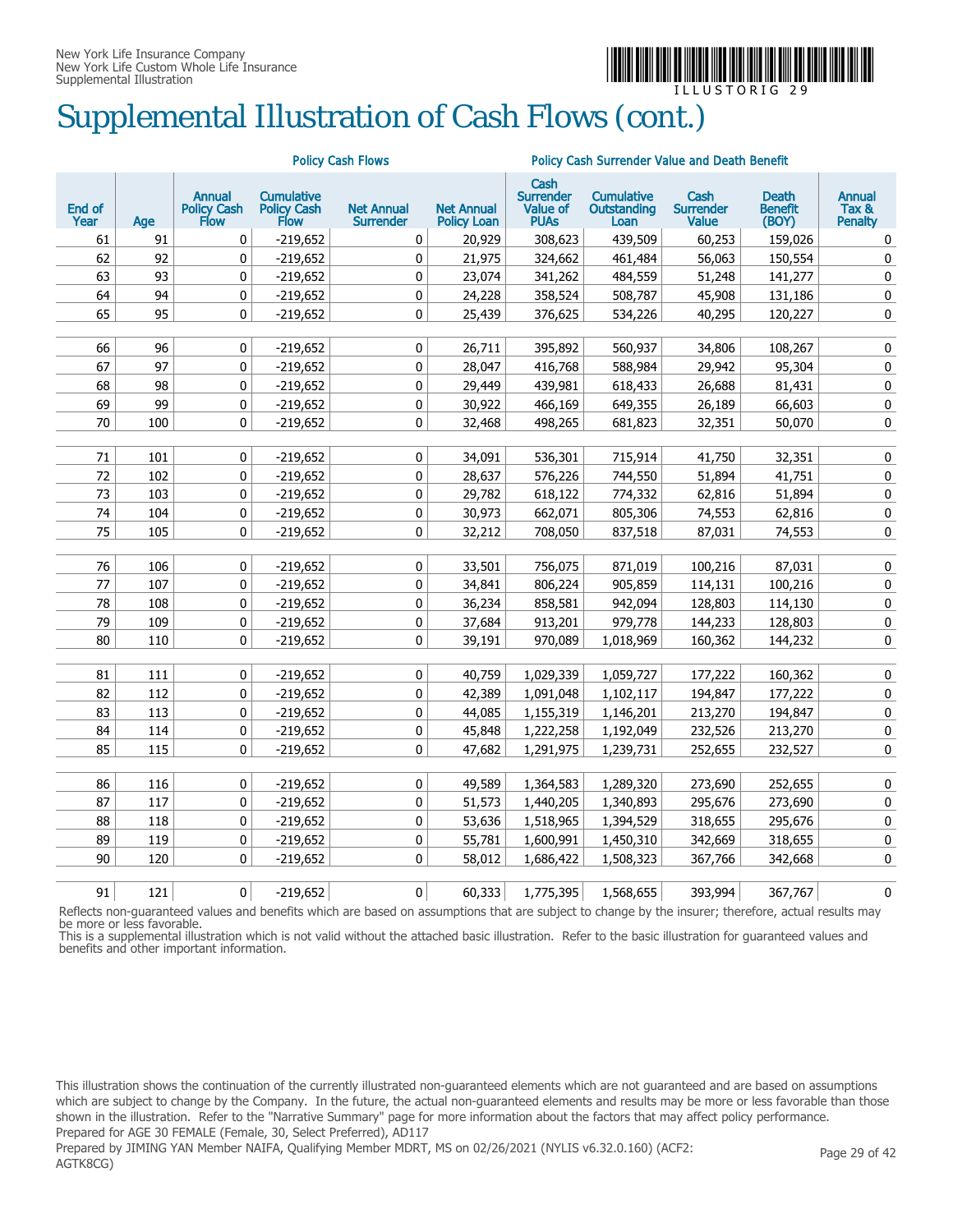

# Supplemental Illustration of Cash Flows (cont.)

|                |     |                                                    |                                                        | <b>Policy Cash Flows</b>              |                                         | <b>Policy Cash Surrender Value and Death Benefit</b>       |                                                 |                                          |                                  |                                          |
|----------------|-----|----------------------------------------------------|--------------------------------------------------------|---------------------------------------|-----------------------------------------|------------------------------------------------------------|-------------------------------------------------|------------------------------------------|----------------------------------|------------------------------------------|
| End of<br>Year | Age | <b>Annual</b><br><b>Policy Cash</b><br><b>Flow</b> | <b>Cumulative</b><br><b>Policy Cash</b><br><b>Flow</b> | <b>Net Annual</b><br><b>Surrender</b> | <b>Net Annual</b><br><b>Policy Loan</b> | Cash<br><b>Surrender</b><br><b>Value of</b><br><b>PUAS</b> | <b>Cumulative</b><br><b>Outstanding</b><br>Loan | Cash<br><b>Surrender</b><br><b>Value</b> | Death<br><b>Benefit</b><br>(BOY) | <b>Annual</b><br>Tax &<br><b>Penalty</b> |
| 61             | 91  | 0                                                  | $-219,652$                                             | 0                                     | 20,929                                  | 308,623                                                    | 439,509                                         | 60,253                                   | 159,026                          | 0                                        |
| 62             | 92  | 0                                                  | $-219,652$                                             | 0                                     | 21,975                                  | 324,662                                                    | 461,484                                         | 56,063                                   | 150,554                          | $\pmb{0}$                                |
| 63             | 93  | 0                                                  | $-219,652$                                             | 0                                     | 23,074                                  | 341,262                                                    | 484,559                                         | 51,248                                   | 141,277                          | 0                                        |
| 64             | 94  | 0                                                  | $-219,652$                                             | 0                                     | 24,228                                  | 358,524                                                    | 508,787                                         | 45,908                                   | 131,186                          | $\pmb{0}$                                |
| 65             | 95  | 0                                                  | $-219,652$                                             | 0                                     | 25,439                                  | 376,625                                                    | 534,226                                         | 40,295                                   | 120,227                          | 0                                        |
|                |     |                                                    |                                                        |                                       |                                         |                                                            |                                                 |                                          |                                  |                                          |
| 66             | 96  | $\pmb{0}$                                          | $-219,652$                                             | 0                                     | 26,711                                  | 395,892                                                    | 560,937                                         | 34,806                                   | 108,267                          | $\pmb{0}$                                |
| 67             | 97  | 0                                                  | $-219,652$                                             | 0                                     | 28,047                                  | 416,768                                                    | 588,984                                         | 29,942                                   | 95,304                           | 0                                        |
| 68             | 98  | 0                                                  | $-219,652$                                             | 0                                     | 29,449                                  | 439,981                                                    | 618,433                                         | 26,688                                   | 81,431                           | 0                                        |
| 69             | 99  | 0                                                  | $-219,652$                                             | 0                                     | 30,922                                  | 466,169                                                    | 649,355                                         | 26,189                                   | 66,603                           | 0                                        |
| 70             | 100 | 0                                                  | $-219,652$                                             | 0                                     | 32,468                                  | 498,265                                                    | 681,823                                         | 32,351                                   | 50,070                           | 0                                        |
| $71\,$         | 101 | 0                                                  | $-219,652$                                             | 0                                     | 34,091                                  | 536,301                                                    | 715,914                                         | 41,750                                   | 32,351                           | $\pmb{0}$                                |
| 72             | 102 | 0                                                  | $-219,652$                                             | 0                                     | 28,637                                  | 576,226                                                    | 744,550                                         | 51,894                                   | 41,751                           | 0                                        |
| 73             | 103 | 0                                                  | $-219,652$                                             | 0                                     | 29,782                                  | 618,122                                                    | 774,332                                         | 62,816                                   | 51,894                           | 0                                        |
| 74             | 104 | 0                                                  | $-219,652$                                             | 0                                     | 30,973                                  | 662,071                                                    | 805,306                                         | 74,553                                   | 62,816                           | 0                                        |
| 75             | 105 | 0                                                  | $-219,652$                                             | 0                                     | 32,212                                  | 708,050                                                    | 837,518                                         | 87,031                                   | 74,553                           | $\pmb{0}$                                |
|                |     |                                                    |                                                        |                                       |                                         |                                                            |                                                 |                                          |                                  |                                          |
| 76             | 106 | 0                                                  | $-219,652$                                             | 0                                     | 33,501                                  | 756,075                                                    | 871,019                                         | 100,216                                  | 87,031                           | $\pmb{0}$                                |
| 77             | 107 | 0                                                  | $-219,652$                                             | 0                                     | 34,841                                  | 806,224                                                    | 905,859                                         | 114,131                                  | 100,216                          | 0                                        |
| 78             | 108 | 0                                                  | $-219,652$                                             | 0                                     | 36,234                                  | 858,581                                                    | 942,094                                         | 128,803                                  | 114,130                          | 0                                        |
| 79             | 109 | 0                                                  | $-219,652$                                             | 0                                     | 37,684                                  | 913,201                                                    | 979,778                                         | 144,233                                  | 128,803                          | 0                                        |
| 80             | 110 | 0                                                  | $-219,652$                                             | 0                                     | 39,191                                  | 970,089                                                    | 1,018,969                                       | 160,362                                  | 144,232                          | 0                                        |
|                |     |                                                    |                                                        |                                       |                                         |                                                            |                                                 |                                          |                                  |                                          |
| 81             | 111 | 0                                                  | $-219,652$                                             | 0                                     | 40,759                                  | 1,029,339                                                  | 1,059,727                                       | 177,222                                  | 160,362                          | 0                                        |
| 82             | 112 | 0                                                  | $-219,652$                                             | 0                                     | 42,389                                  | 1,091,048                                                  | 1,102,117                                       | 194,847                                  | 177,222                          | 0                                        |
| 83             | 113 | $\mathbf 0$                                        | $-219,652$                                             | 0                                     | 44,085                                  | 1,155,319                                                  | 1,146,201                                       | 213,270                                  | 194,847                          | $\pmb{0}$                                |
| 84             | 114 | 0                                                  | $-219,652$                                             | 0                                     | 45,848                                  | 1,222,258                                                  | 1,192,049                                       | 232,526                                  | 213,270                          | $\pmb{0}$                                |
| 85             | 115 | 0                                                  | $-219,652$                                             | 0                                     | 47,682                                  | 1,291,975                                                  | 1,239,731                                       | 252,655                                  | 232,527                          | 0                                        |
|                |     |                                                    |                                                        |                                       |                                         |                                                            |                                                 |                                          |                                  |                                          |
| 86             | 116 | 0                                                  | $-219,652$                                             | 0                                     | 49,589                                  | 1,364,583                                                  | 1,289,320                                       | 273,690                                  | 252,655                          | 0                                        |
| 87             | 117 | $\mathbf 0$                                        | $-219,652$                                             | 0                                     | 51,573                                  | 1,440,205                                                  | 1,340,893                                       | 295,676                                  | 273,690                          | 0                                        |
| 88             | 118 | 0                                                  | $-219,652$                                             | 0                                     | 53,636                                  | 1,518,965                                                  | 1,394,529                                       | 318,655                                  | 295,676                          | 0                                        |
| 89             | 119 | 0                                                  | $-219,652$                                             | 0                                     | 55,781                                  | 1,600,991                                                  | 1,450,310                                       | 342,669                                  | 318,655                          | 0                                        |
| 90             | 120 | 0                                                  | $-219,652$                                             | 0                                     | 58,012                                  | 1,686,422                                                  | 1,508,323                                       | 367,766                                  | 342,668                          | 0                                        |
| 91             | 121 | 0                                                  | -219,652                                               | 0                                     | 60,333                                  | 1,775,395                                                  | 1,568,655                                       | 393.994                                  | 367,767                          | 0                                        |

Reflects non-guaranteed values and benefits which are based on assumptions that are subject to change by the insurer; therefore, actual results may be more or less favorable.

This is a supplemental illustration which is not valid without the attached basic illustration. Refer to the basic illustration for guaranteed values and benefits and other important information.

This illustration shows the continuation of the currently illustrated non-guaranteed elements which are not guaranteed and are based on assumptions which are subject to change by the Company. In the future, the actual non-guaranteed elements and results may be more or less favorable than those shown in the illustration. Refer to the "Narrative Summary" page for more information about the factors that may affect policy performance. Prepared for AGE 30 FEMALE (Female, 30, Select Preferred), AD117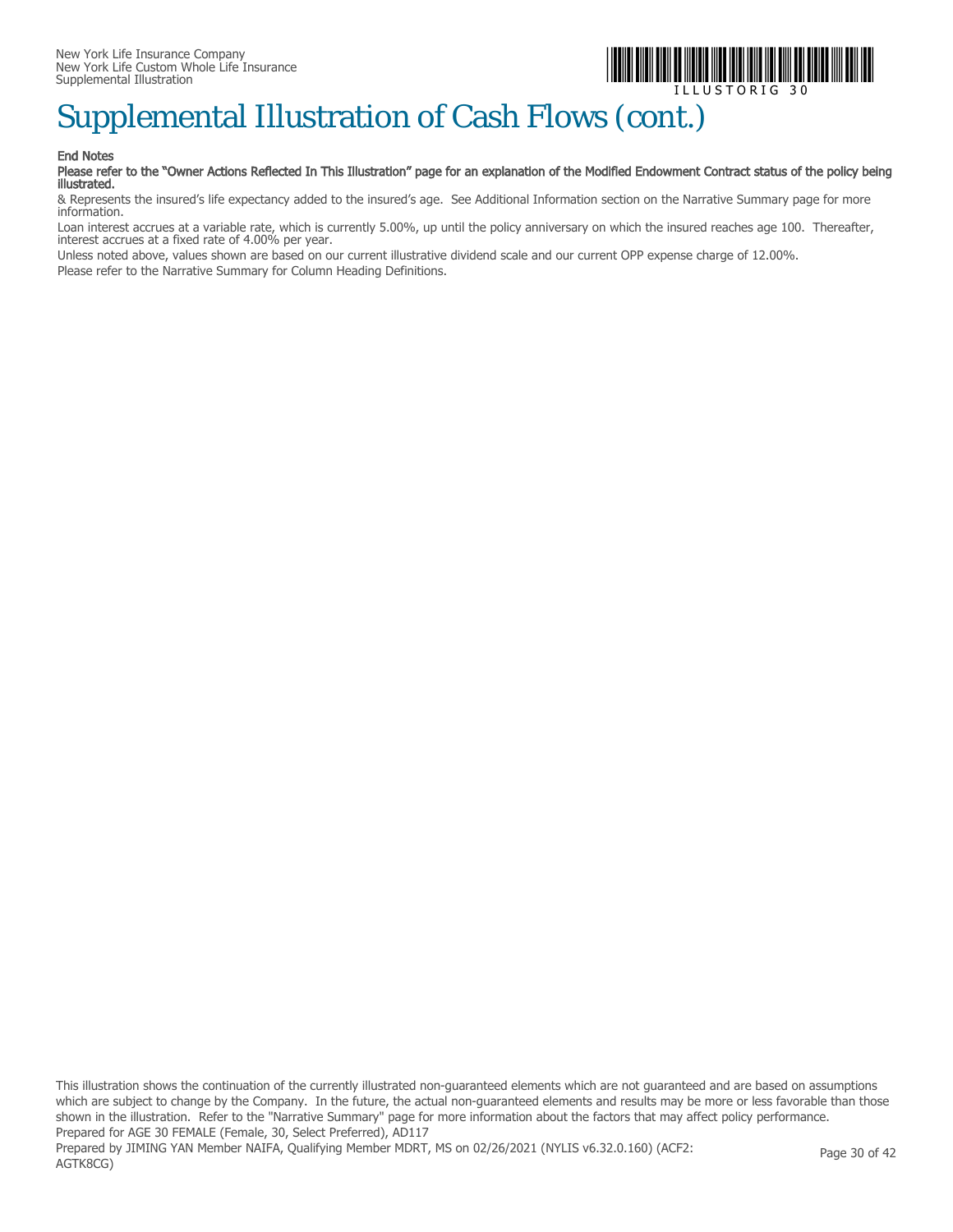

## Supplemental Illustration of Cash Flows (cont.)

#### End Notes

#### Please refer to the "Owner Actions Reflected In This Illustration" page for an explanation of the Modified Endowment Contract status of the policy being illustrated.

& Represents the insured's life expectancy added to the insured's age. See Additional Information section on the Narrative Summary page for more information.

Loan interest accrues at a variable rate, which is currently 5.00%, up until the policy anniversary on which the insured reaches age 100. Thereafter, interest accrues at a fixed rate of 4.00% per year.

Unless noted above, values shown are based on our current illustrative dividend scale and our current OPP expense charge of 12.00%. Please refer to the Narrative Summary for Column Heading Definitions.

This illustration shows the continuation of the currently illustrated non-guaranteed elements which are not guaranteed and are based on assumptions which are subject to change by the Company. In the future, the actual non-guaranteed elements and results may be more or less favorable than those shown in the illustration. Refer to the "Narrative Summary" page for more information about the factors that may affect policy performance. Prepared for AGE 30 FEMALE (Female, 30, Select Preferred), AD117 Prepared by JIMING YAN Member NAIFA, Qualifying Member MDRT, MS on 02/26/2021 (NYLIS v6.32.0.160) (ACF2: AGTK8CG) Page 30 of 42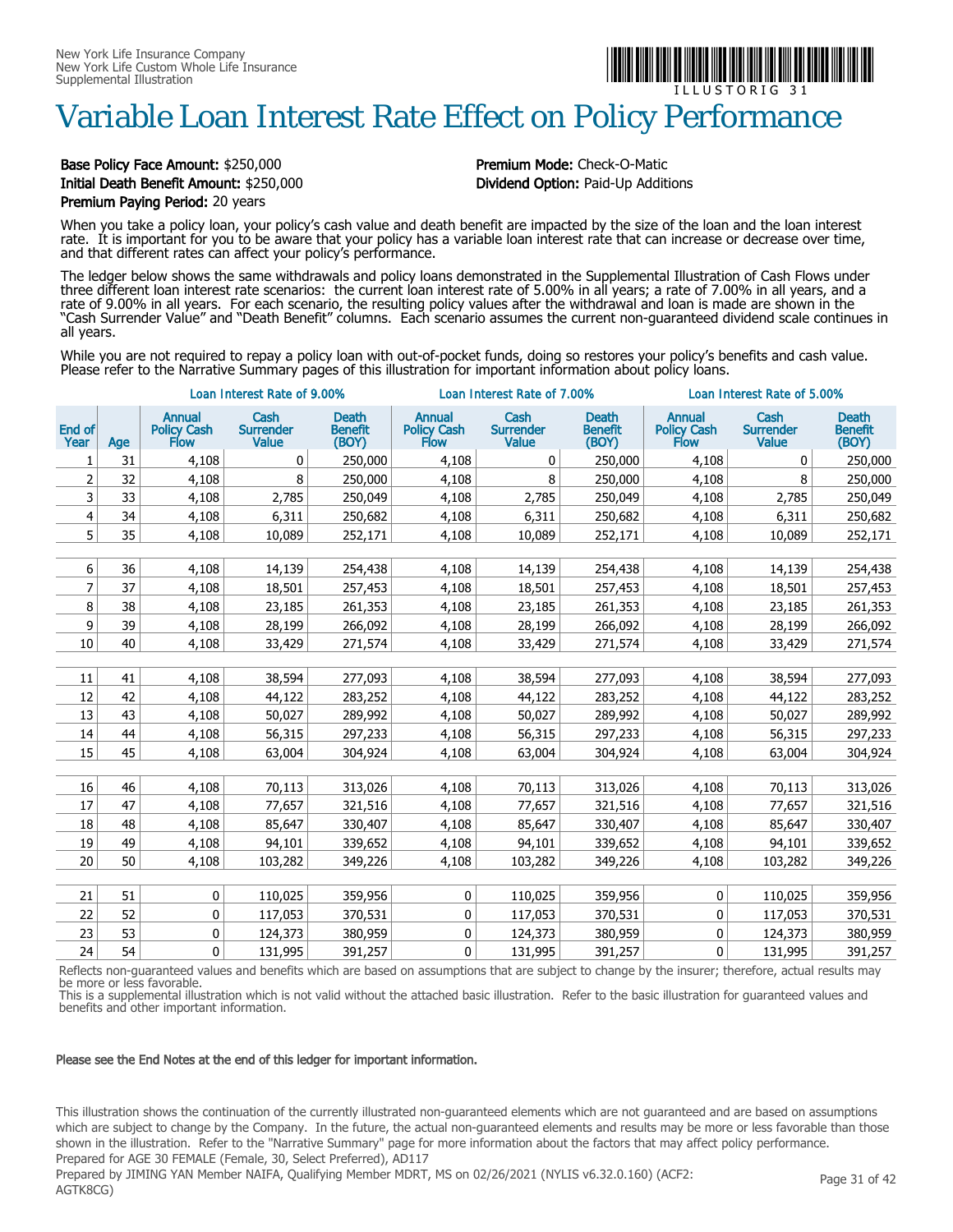# Variable Loan Interest Rate Effect on Policy Performance

#### Base Policy Face Amount: \$250,000 **Premium Mode:** Check-O-Matic Initial Death Benefit Amount: \$250,000 Dividend Option: Paid-Up Additions Premium Paying Period: 20 years

When you take a policy loan, your policy's cash value and death benefit are impacted by the size of the loan and the loan interest rate. It is important for you to be aware that your policy has a variable loan interest rate that can increase or decrease over time, and that different rates can affect your policy's performance.

The ledger below shows the same withdrawals and policy loans demonstrated in the Supplemental Illustration of Cash Flows under three different loan interest rate scenarios: the current loan interest rate of 5.00% in all years; a rate of 7.00% in all years, and a rate of 9.00% in all years. For each scenario, the resulting policy values after the withdrawal and loan is made are shown in the "Cash Surrender Value" and "Death Benefit" columns. Each scenario assumes the current non-guaranteed dividend scale continues in all years.

While you are not required to repay a policy loan with out-of-pocket funds, doing so restores your policy's benefits and cash value. Please refer to the Narrative Summary pages of this illustration for important information about policy loans.

|                |     | Loan Interest Rate of 9.00%                        |                                   |                                         |                                      | Loan Interest Rate of 7.00%              |                                         | Loan Interest Rate of 5.00%          |                                          |                                         |
|----------------|-----|----------------------------------------------------|-----------------------------------|-----------------------------------------|--------------------------------------|------------------------------------------|-----------------------------------------|--------------------------------------|------------------------------------------|-----------------------------------------|
| End of<br>Year | Age | <b>Annual</b><br><b>Policy Cash</b><br><b>Flow</b> | Cash<br><b>Surrender</b><br>Value | <b>Death</b><br><b>Benefit</b><br>(BOY) | <b>Annual</b><br>Policy Cash<br>Flow | Cash<br><b>Surrender</b><br><b>Value</b> | <b>Death</b><br><b>Benefit</b><br>(BOY) | <b>Annual</b><br>Policy Cash<br>Flow | Cash<br><b>Surrender</b><br><b>Value</b> | <b>Death</b><br><b>Benefit</b><br>(BOY) |
| 1              | 31  | 4,108                                              | 0                                 | 250,000                                 | 4,108                                | 0                                        | 250,000                                 | 4,108                                | 0                                        | 250,000                                 |
| 2              | 32  | 4,108                                              | 8                                 | 250,000                                 | 4,108                                | 8                                        | 250,000                                 | 4,108                                | 8                                        | 250,000                                 |
| 3              | 33  | 4,108                                              | 2,785                             | 250,049                                 | 4,108                                | 2,785                                    | 250,049                                 | 4,108                                | 2,785                                    | 250,049                                 |
| 4              | 34  | 4,108                                              | 6,311                             | 250,682                                 | 4,108                                | 6,311                                    | 250,682                                 | 4,108                                | 6,311                                    | 250,682                                 |
| 5              | 35  | 4,108                                              | 10,089                            | 252,171                                 | 4,108                                | 10,089                                   | 252,171                                 | 4,108                                | 10,089                                   | 252,171                                 |
|                |     |                                                    |                                   |                                         |                                      |                                          |                                         |                                      |                                          |                                         |
| 6              | 36  | 4,108                                              | 14,139                            | 254,438                                 | 4,108                                | 14,139                                   | 254,438                                 | 4,108                                | 14,139                                   | 254,438                                 |
| 7              | 37  | 4,108                                              | 18,501                            | 257,453                                 | 4,108                                | 18,501                                   | 257,453                                 | 4,108                                | 18,501                                   | 257,453                                 |
| 8              | 38  | 4,108                                              | 23,185                            | 261,353                                 | 4,108                                | 23,185                                   | 261,353                                 | 4,108                                | 23,185                                   | 261,353                                 |
| 9              | 39  | 4,108                                              | 28,199                            | 266,092                                 | 4,108                                | 28,199                                   | 266,092                                 | 4,108                                | 28,199                                   | 266,092                                 |
| 10             | 40  | 4,108                                              | 33,429                            | 271,574                                 | 4,108                                | 33,429                                   | 271,574                                 | 4,108                                | 33,429                                   | 271,574                                 |
|                |     |                                                    |                                   |                                         |                                      |                                          |                                         |                                      |                                          |                                         |
| 11             | 41  | 4,108                                              | 38,594                            | 277,093                                 | 4,108                                | 38,594                                   | 277,093                                 | 4,108                                | 38,594                                   | 277,093                                 |
| 12             | 42  | 4,108                                              | 44,122                            | 283,252                                 | 4,108                                | 44,122                                   | 283,252                                 | 4,108                                | 44,122                                   | 283,252                                 |
| 13             | 43  | 4,108                                              | 50,027                            | 289,992                                 | 4,108                                | 50,027                                   | 289,992                                 | 4,108                                | 50,027                                   | 289,992                                 |
| 14             | 44  | 4,108                                              | 56,315                            | 297,233                                 | 4,108                                | 56,315                                   | 297,233                                 | 4,108                                | 56,315                                   | 297,233                                 |
| 15             | 45  | 4,108                                              | 63,004                            | 304,924                                 | 4,108                                | 63,004                                   | 304,924                                 | 4,108                                | 63,004                                   | 304,924                                 |
|                |     |                                                    |                                   |                                         |                                      |                                          |                                         |                                      |                                          |                                         |
| 16             | 46  | 4,108                                              | 70,113                            | 313,026                                 | 4,108                                | 70,113                                   | 313,026                                 | 4,108                                | 70,113                                   | 313,026                                 |
| 17             | 47  | 4,108                                              | 77,657                            | 321,516                                 | 4,108                                | 77,657                                   | 321,516                                 | 4,108                                | 77,657                                   | 321,516                                 |
| 18             | 48  | 4,108                                              | 85,647                            | 330,407                                 | 4,108                                | 85,647                                   | 330,407                                 | 4,108                                | 85,647                                   | 330,407                                 |
| 19             | 49  | 4,108                                              | 94,101                            | 339,652                                 | 4,108                                | 94,101                                   | 339,652                                 | 4,108                                | 94,101                                   | 339,652                                 |
| 20             | 50  | 4,108                                              | 103,282                           | 349,226                                 | 4,108                                | 103,282                                  | 349,226                                 | 4,108                                | 103,282                                  | 349,226                                 |
|                |     |                                                    |                                   |                                         |                                      |                                          |                                         |                                      |                                          |                                         |
| 21             | 51  | $\mathbf{0}$                                       | 110,025                           | 359,956                                 | 0                                    | 110,025                                  | 359,956                                 | 0                                    | 110,025                                  | 359,956                                 |
| 22             | 52  | 0                                                  | 117,053                           | 370,531                                 | 0                                    | 117,053                                  | 370,531                                 | 0                                    | 117,053                                  | 370,531                                 |
| 23             | 53  | 0                                                  | 124,373                           | 380,959                                 | 0                                    | 124,373                                  | 380,959                                 | 0                                    | 124,373                                  | 380,959                                 |
| 24             | 54  | 0                                                  | 131,995                           | 391,257                                 | $\pmb{0}$                            | 131,995                                  | 391,257                                 | 0                                    | 131,995                                  | 391,257                                 |

Reflects non-guaranteed values and benefits which are based on assumptions that are subject to change by the insurer; therefore, actual results may be more or less favorable.

This is a supplemental illustration which is not valid without the attached basic illustration. Refer to the basic illustration for guaranteed values and benefits and other important information.

#### Please see the End Notes at the end of this ledger for important information.

This illustration shows the continuation of the currently illustrated non-guaranteed elements which are not guaranteed and are based on assumptions which are subject to change by the Company. In the future, the actual non-guaranteed elements and results may be more or less favorable than those shown in the illustration. Refer to the "Narrative Summary" page for more information about the factors that may affect policy performance. Prepared for AGE 30 FEMALE (Female, 30, Select Preferred), AD117

Prepared by JIMING YAN Member NAIFA, Qualifying Member MDRT, MS on 02/26/2021 (NYLIS v6.32.0.160) (ACF2: AGTK8CG)



I L L U S T O R I G 3 1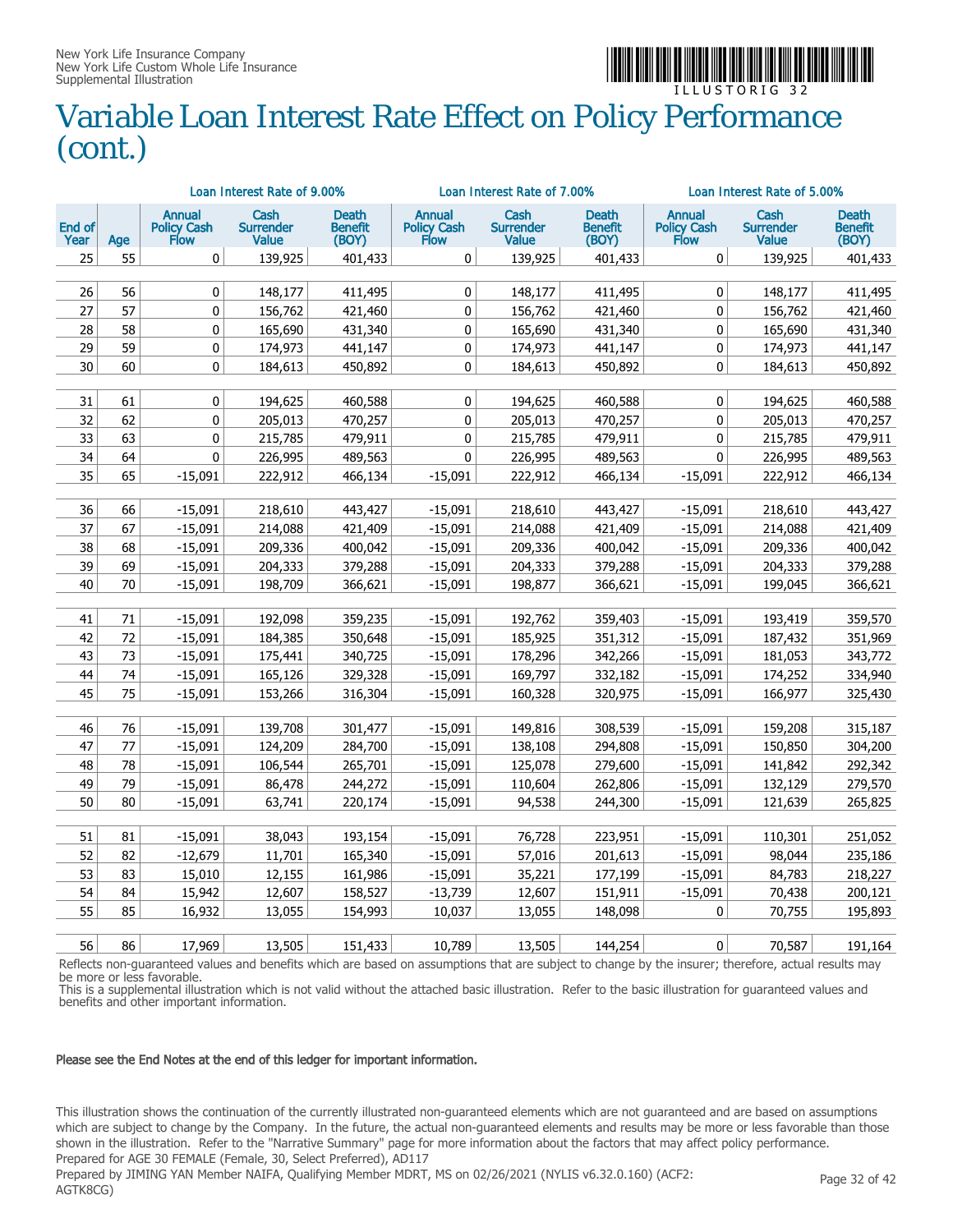

### Variable Loan Interest Rate Effect on Policy Performance (cont.)

|                |          |                                             | Loan Interest Rate of 9.00%              |                                         |                               | Loan Interest Rate of 7.00%              |                                  |                               | Loan Interest Rate of 5.00%              |                                  |
|----------------|----------|---------------------------------------------|------------------------------------------|-----------------------------------------|-------------------------------|------------------------------------------|----------------------------------|-------------------------------|------------------------------------------|----------------------------------|
| End of<br>Year | Age      | Annual<br><b>Policy Cash</b><br><b>Flow</b> | Cash<br><b>Surrender</b><br><b>Value</b> | <b>Death</b><br><b>Benefit</b><br>(BOY) | Annual<br>Policy Cash<br>Flow | Cash<br><b>Surrender</b><br><b>Value</b> | Death<br><b>Benefit</b><br>(BOY) | Annual<br>Policy Cash<br>Flow | Cash<br><b>Surrender</b><br><b>Value</b> | Death<br><b>Benefit</b><br>(BOY) |
| 25             | 55       | 0                                           | 139,925                                  | 401,433                                 | 0                             | 139,925                                  | 401,433                          | 0                             | 139,925                                  | 401,433                          |
|                |          |                                             |                                          |                                         |                               |                                          |                                  |                               |                                          |                                  |
| 26<br>27       | 56<br>57 | 0                                           | 148,177<br>156,762                       | 411,495<br>421,460                      | 0                             | 148,177<br>156,762                       | 411,495<br>421,460               | 0<br>0                        | 148,177<br>156,762                       | 411,495<br>421,460               |
| 28             | 58       | 0<br>0                                      | 165,690                                  | 431,340                                 | 0<br>0                        | 165,690                                  | 431,340                          | $\mathbf 0$                   | 165,690                                  | 431,340                          |
| 29             | 59       | 0                                           | 174,973                                  | 441,147                                 | 0                             | 174,973                                  | 441,147                          | 0                             | 174,973                                  | 441,147                          |
| 30             | 60       | 0                                           | 184,613                                  | 450,892                                 | 0                             | 184,613                                  | 450,892                          | 0                             | 184,613                                  | 450,892                          |
|                |          |                                             |                                          |                                         |                               |                                          |                                  |                               |                                          |                                  |
| 31             | 61       | 0                                           | 194,625                                  | 460,588                                 | 0                             | 194,625                                  | 460,588                          | 0                             | 194,625                                  | 460,588                          |
| 32             | 62       | 0                                           | 205,013                                  | 470,257                                 | 0                             | 205,013                                  | 470,257                          | 0                             | 205,013                                  | 470,257                          |
| 33             | 63       | $\pmb{0}$                                   | 215,785                                  | 479,911                                 | 0                             | 215,785                                  | 479,911                          | 0                             | 215,785                                  | 479,911                          |
| 34             | 64       | 0                                           | 226,995                                  | 489,563                                 | 0                             | 226,995                                  | 489,563                          | 0                             | 226,995                                  | 489,563                          |
| 35             | 65       | $-15,091$                                   | 222,912                                  | 466,134                                 | $-15,091$                     | 222,912                                  | 466,134                          | $-15,091$                     | 222,912                                  | 466,134                          |
|                |          |                                             |                                          |                                         |                               |                                          |                                  |                               |                                          |                                  |
| 36             | 66       | $-15,091$                                   | 218,610                                  | 443,427                                 | $-15,091$                     | 218,610                                  | 443,427                          | $-15,091$                     | 218,610                                  | 443,427                          |
| 37             | 67       | $-15,091$                                   | 214,088                                  | 421,409                                 | $-15,091$                     | 214,088                                  | 421,409                          | $-15,091$                     | 214,088                                  | 421,409                          |
| 38             | 68       | $-15,091$                                   | 209,336                                  | 400,042                                 | $-15,091$                     | 209,336                                  | 400,042                          | $-15,091$                     | 209,336                                  | 400,042                          |
| 39             | 69       | $-15,091$                                   | 204,333                                  | 379,288                                 | $-15,091$                     | 204,333                                  | 379,288                          | $-15,091$                     | 204,333                                  | 379,288                          |
| 40             | 70       | $-15,091$                                   | 198,709                                  | 366,621                                 | $-15,091$                     | 198,877                                  | 366,621                          | $-15,091$                     | 199,045                                  | 366,621                          |
| 41             | 71       | $-15,091$                                   | 192,098                                  | 359,235                                 | $-15,091$                     | 192,762                                  | 359,403                          | $-15,091$                     | 193,419                                  | 359,570                          |
| 42             | 72       | $-15,091$                                   | 184,385                                  | 350,648                                 | $-15,091$                     | 185,925                                  | 351,312                          | $-15,091$                     | 187,432                                  | 351,969                          |
| 43             | 73       | $-15,091$                                   | 175,441                                  | 340,725                                 | $-15,091$                     | 178,296                                  | 342,266                          | $-15,091$                     | 181,053                                  | 343,772                          |
| 44             | 74       | $-15,091$                                   | 165,126                                  | 329,328                                 | $-15,091$                     | 169,797                                  | 332,182                          | $-15,091$                     | 174,252                                  | 334,940                          |
| 45             | 75       | $-15,091$                                   | 153,266                                  | 316,304                                 | $-15,091$                     | 160,328                                  | 320,975                          | $-15,091$                     | 166,977                                  | 325,430                          |
|                |          |                                             |                                          |                                         |                               |                                          |                                  |                               |                                          |                                  |
| 46             | 76       | $-15,091$                                   | 139,708                                  | 301,477                                 | $-15,091$                     | 149,816                                  | 308,539                          | $-15,091$                     | 159,208                                  | 315,187                          |
| 47             | 77       | $-15,091$                                   | 124,209                                  | 284,700                                 | $-15,091$                     | 138,108                                  | 294,808                          | $-15,091$                     | 150,850                                  | 304,200                          |
| 48             | 78       | $-15,091$                                   | 106,544                                  | 265,701                                 | $-15,091$                     | 125,078                                  | 279,600                          | $-15,091$                     | 141,842                                  | 292,342                          |
| 49             | 79       | $-15,091$                                   | 86,478                                   | 244,272                                 | $-15,091$                     | 110,604                                  | 262,806                          | $-15,091$                     | 132,129                                  | 279,570                          |
| 50             | 80       | $-15,091$                                   | 63,741                                   | 220,174                                 | $-15,091$                     | 94,538                                   | 244,300                          | $-15,091$                     | 121,639                                  | 265,825                          |
|                |          |                                             |                                          |                                         |                               |                                          |                                  |                               |                                          |                                  |
| 51             | 81       | $-15,091$                                   | 38,043                                   | 193,154                                 | $-15,091$                     | 76,728                                   | 223,951                          | $-15,091$                     | 110,301                                  | 251,052                          |
| 52             | 82       | $-12,679$                                   | 11,701                                   | 165,340                                 | $-15,091$                     | 57,016                                   | 201,613                          | $-15,091$                     | 98,044                                   | 235,186                          |
| 53             | 83       | 15,010                                      | 12,155                                   | 161,986                                 | $-15,091$                     | 35,221                                   | 177,199                          | $-15,091$                     | 84,783                                   | 218,227                          |
| 54             | 84       | 15,942                                      | 12,607                                   | 158,527                                 | $-13,739$                     | 12,607                                   | 151,911                          | $-15,091$                     | 70,438                                   | 200,121                          |
| 55             | 85       | 16,932                                      | 13,055                                   | 154,993                                 | 10,037                        | 13,055                                   | 148,098                          | 0                             | 70,755                                   | 195,893                          |
| 56             | 86       | 17,969                                      | 13,505                                   | 151,433                                 | 10,789                        | 13,505                                   | 144,254                          | $\mathbf{0}$                  | 70,587                                   | 191,164                          |

Reflects non-guaranteed values and benefits which are based on assumptions that are subject to change by the insurer; therefore, actual results may be more or less favorable.

This is a supplemental illustration which is not valid without the attached basic illustration. Refer to the basic illustration for guaranteed values and benefits and other important information.

#### Please see the End Notes at the end of this ledger for important information.

This illustration shows the continuation of the currently illustrated non-guaranteed elements which are not guaranteed and are based on assumptions which are subject to change by the Company. In the future, the actual non-guaranteed elements and results may be more or less favorable than those shown in the illustration. Refer to the "Narrative Summary" page for more information about the factors that may affect policy performance. Prepared for AGE 30 FEMALE (Female, 30, Select Preferred), AD117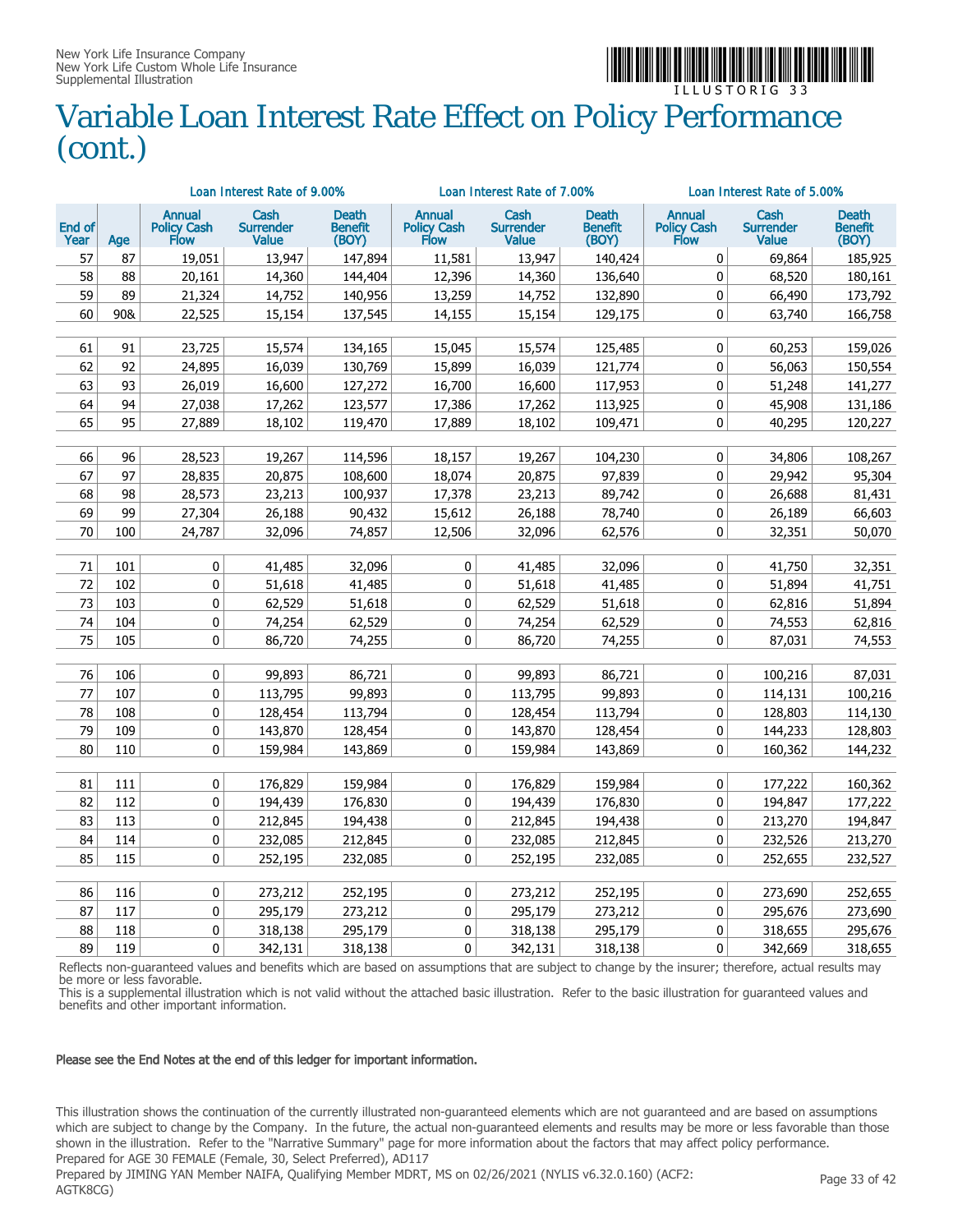

### Variable Loan Interest Rate Effect on Policy Performance (cont.)

|                |     |                                      | Loan Interest Rate of 9.00%              |                                  |                                      | Loan Interest Rate of 7.00%              |                                  | Loan Interest Rate of 5.00%   |                                          |                                  |
|----------------|-----|--------------------------------------|------------------------------------------|----------------------------------|--------------------------------------|------------------------------------------|----------------------------------|-------------------------------|------------------------------------------|----------------------------------|
| End of<br>Year | Age | <b>Annual</b><br>Policy Cash<br>Flow | Cash<br><b>Surrender</b><br><b>Value</b> | Death<br><b>Benefit</b><br>(BOY) | <b>Annual</b><br>Policy Cash<br>Flow | Cash<br><b>Surrender</b><br><b>Value</b> | Death<br><b>Benefit</b><br>(BOY) | Annual<br>Policy Cash<br>Flow | Cash<br><b>Surrender</b><br><b>Value</b> | Death<br><b>Benefit</b><br>(BOY) |
| 57             | 87  | 19,051                               | 13,947                                   | 147,894                          | 11,581                               | 13,947                                   | 140,424                          | 0                             | 69,864                                   | 185,925                          |
| 58             | 88  | 20,161                               | 14,360                                   | 144,404                          | 12,396                               | 14,360                                   | 136,640                          | $\mathbf 0$                   | 68,520                                   | 180,161                          |
| 59             | 89  | 21,324                               | 14,752                                   | 140,956                          | 13,259                               | 14,752                                   | 132,890                          | $\mathbf 0$                   | 66,490                                   | 173,792                          |
| 60             | 90& | 22,525                               | 15,154                                   | 137,545                          | 14,155                               | 15,154                                   | 129,175                          | 0                             | 63,740                                   | 166,758                          |
|                |     |                                      |                                          |                                  |                                      |                                          |                                  |                               |                                          |                                  |
| 61             | 91  | 23,725                               | 15,574                                   | 134,165                          | 15,045                               | 15,574                                   | 125,485                          | $\mathbf 0$                   | 60,253                                   | 159,026                          |
| 62             | 92  | 24,895                               | 16,039                                   | 130,769                          | 15,899                               | 16,039                                   | 121,774                          | $\pmb{0}$                     | 56,063                                   | 150,554                          |
| 63             | 93  | 26,019                               | 16,600                                   | 127,272                          | 16,700                               | 16,600                                   | 117,953                          | $\mathbf 0$                   | 51,248                                   | 141,277                          |
| 64             | 94  | 27,038                               | 17,262                                   | 123,577                          | 17,386                               | 17,262                                   | 113,925                          | $\mathbf 0$                   | 45,908                                   | 131,186                          |
| 65             | 95  | 27,889                               | 18,102                                   | 119,470                          | 17,889                               | 18,102                                   | 109,471                          | $\mathbf 0$                   | 40,295                                   | 120,227                          |
|                |     |                                      |                                          |                                  |                                      |                                          |                                  |                               |                                          |                                  |
| 66             | 96  | 28,523                               | 19,267                                   | 114,596                          | 18,157                               | 19,267                                   | 104,230                          | 0                             | 34,806                                   | 108,267                          |
| 67             | 97  | 28,835                               | 20,875                                   | 108,600                          | 18,074                               | 20,875                                   | 97,839                           | 0                             | 29,942                                   | 95,304                           |
| 68             | 98  | 28,573                               | 23,213                                   | 100,937                          | 17,378                               | 23,213                                   | 89,742                           | $\pmb{0}$                     | 26,688                                   | 81,431                           |
| 69             | 99  | 27,304                               | 26,188                                   | 90,432                           | 15,612                               | 26,188                                   | 78,740                           | $\pmb{0}$                     | 26,189                                   | 66,603                           |
| 70             | 100 | 24,787                               | 32,096                                   | 74,857                           | 12,506                               | 32,096                                   | 62,576                           | 0                             | 32,351                                   | 50,070                           |
|                |     |                                      |                                          |                                  |                                      |                                          |                                  |                               |                                          |                                  |
| 71             | 101 | 0                                    | 41,485                                   | 32,096                           | 0                                    | 41,485                                   | 32,096                           | 0                             | 41,750                                   | 32,351                           |
| 72             | 102 | $\mathbf 0$                          | 51,618                                   | 41,485                           | 0                                    | 51,618                                   | 41,485                           | $\mathbf 0$                   | 51,894                                   | 41,751                           |
| 73             | 103 | 0                                    | 62,529                                   | 51,618                           | 0                                    | 62,529                                   | 51,618                           | $\pmb{0}$                     | 62,816                                   | 51,894                           |
| 74             | 104 | $\pmb{0}$                            | 74,254                                   | 62,529                           | 0                                    | 74,254                                   | 62,529                           | $\mathbf 0$                   | 74,553                                   | 62,816                           |
| 75             | 105 | $\mathbf 0$                          | 86,720                                   | 74,255                           | 0                                    | 86,720                                   | 74,255                           | $\mathbf 0$                   | 87,031                                   | 74,553                           |
|                |     |                                      |                                          |                                  |                                      |                                          |                                  |                               |                                          |                                  |
| 76             | 106 | 0                                    | 99,893                                   | 86,721                           | 0                                    | 99,893                                   | 86,721                           | 0                             | 100,216                                  | 87,031                           |
| 77             | 107 | 0                                    | 113,795                                  | 99,893                           | 0                                    | 113,795                                  | 99.893                           | $\mathbf 0$                   | 114,131                                  | 100,216                          |
| 78             | 108 | 0                                    | 128,454                                  | 113,794                          | 0                                    | 128,454                                  | 113,794                          | 0                             | 128,803                                  | 114,130                          |
| 79             | 109 | $\bf{0}$                             | 143,870                                  | 128,454                          | 0                                    | 143,870                                  | 128,454                          | $\pmb{0}$                     | 144,233                                  | 128,803                          |
| 80             | 110 | 0                                    | 159,984                                  | 143,869                          | 0                                    | 159,984                                  | 143,869                          | 0                             | 160,362                                  | 144,232                          |
|                |     |                                      |                                          |                                  |                                      |                                          |                                  |                               |                                          |                                  |
| 81             | 111 | 0                                    | 176,829                                  | 159,984                          | 0                                    | 176,829                                  | 159,984                          | 0                             | 177,222                                  | 160,362                          |
| 82             | 112 | 0                                    | 194,439                                  | 176,830                          | 0                                    | 194,439                                  | 176,830                          | $\mathbf 0$                   | 194,847                                  | 177,222                          |
| 83             | 113 | 0                                    | 212,845                                  | 194,438                          | 0                                    | 212,845                                  | 194,438                          | 0                             | 213,270                                  | 194,847                          |
| 84             | 114 | 0                                    | 232,085                                  | 212,845                          | 0                                    | 232,085                                  | 212,845                          | 0                             | 232,526                                  | 213,270                          |
| 85             | 115 | 0                                    | 252,195                                  | 232,085                          | 0                                    | 252,195                                  | 232,085                          | 0                             | 252,655                                  | 232,527                          |
|                |     |                                      |                                          |                                  |                                      |                                          |                                  |                               |                                          |                                  |
| 86             | 116 | 0                                    | 273,212                                  | 252,195                          | 0                                    | 273,212                                  | 252,195                          | 0                             | 273,690                                  | 252,655                          |
| 87             | 117 | 0                                    | 295,179                                  | 273,212                          | 0                                    | 295,179                                  | 273,212                          | $\pmb{0}$                     | 295,676                                  | 273,690                          |
| 88             | 118 | 0                                    | 318,138                                  | 295,179                          | 0                                    | 318,138                                  | 295,179                          | 0                             | 318,655                                  | 295,676                          |
| 89             | 119 | $\mathbf{0}$                         | 342,131                                  | 318,138                          | 0                                    | 342,131                                  | 318,138                          | $\mathbf{0}$                  | 342,669                                  | 318,655                          |

Reflects non-guaranteed values and benefits which are based on assumptions that are subject to change by the insurer; therefore, actual results may be more or less favorable.

This is a supplemental illustration which is not valid without the attached basic illustration. Refer to the basic illustration for guaranteed values and benefits and other important information.

#### Please see the End Notes at the end of this ledger for important information.

This illustration shows the continuation of the currently illustrated non-guaranteed elements which are not guaranteed and are based on assumptions which are subject to change by the Company. In the future, the actual non-guaranteed elements and results may be more or less favorable than those shown in the illustration. Refer to the "Narrative Summary" page for more information about the factors that may affect policy performance. Prepared for AGE 30 FEMALE (Female, 30, Select Preferred), AD117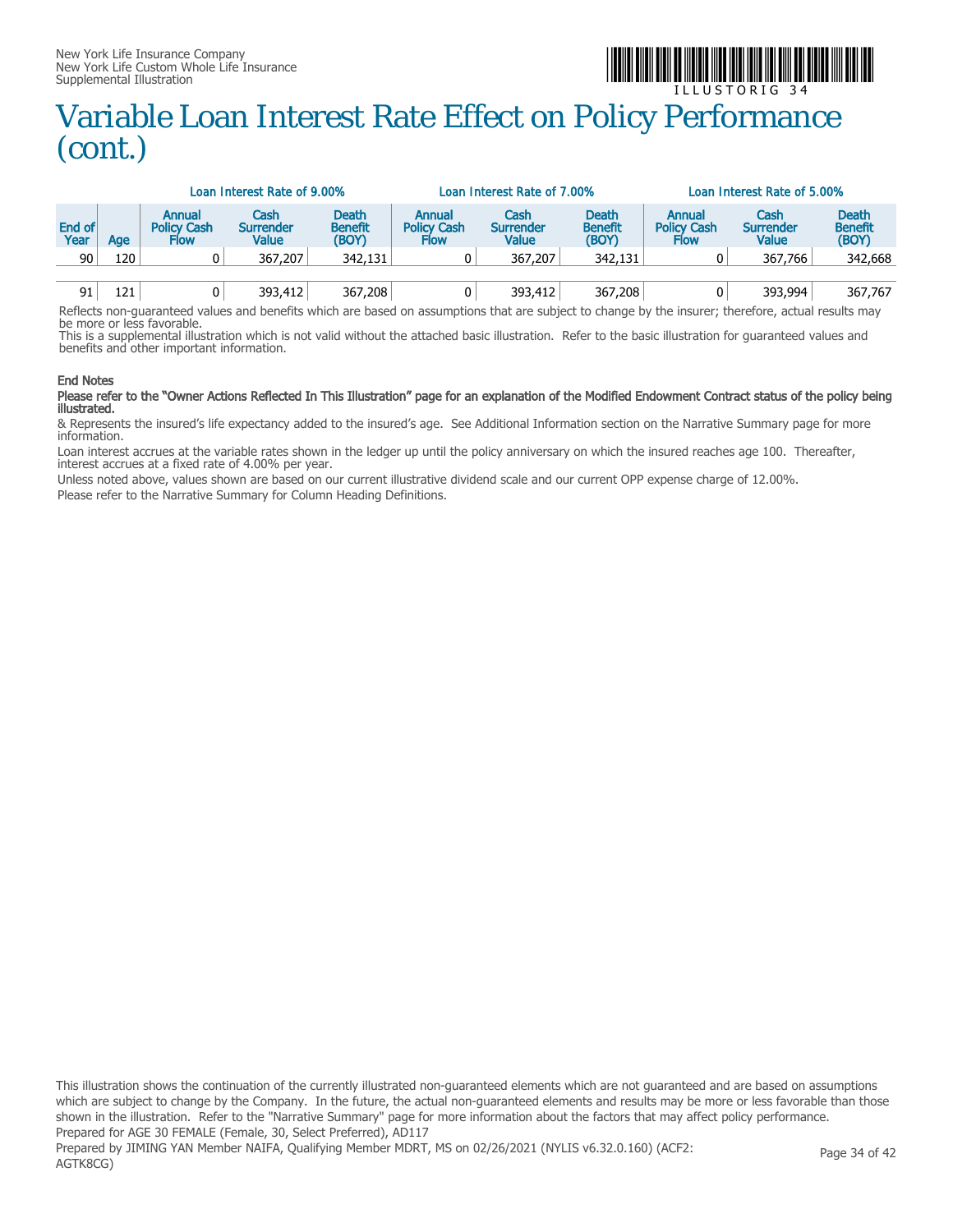

### I L L U S T O R I G 3 4 Variable Loan Interest Rate Effect on Policy Performance (cont.)

|                |     |                                             | Loan Interest Rate of 9.00%       |                                         |                                                    | Loan Interest Rate of 7,00%       |                                         | Loan Interest Rate of 5,00%                 |                                   |                                  |  |
|----------------|-----|---------------------------------------------|-----------------------------------|-----------------------------------------|----------------------------------------------------|-----------------------------------|-----------------------------------------|---------------------------------------------|-----------------------------------|----------------------------------|--|
| End of<br>Year | Age | <b>Annual</b><br><b>Policy Cash</b><br>Flow | Cash<br><b>Surrender</b><br>Value | <b>Death</b><br><b>Benefit</b><br>(BOY) | <b>Annual</b><br><b>Policy Cash</b><br><b>Flow</b> | Cash<br>Surrender<br><b>Value</b> | <b>Death</b><br><b>Benefit</b><br>(BOY) | Annual<br><b>Policy Cash</b><br><b>Flow</b> | Cash<br><b>Surrender</b><br>Value | Death<br><b>Benefit</b><br>(BOY) |  |
| 90             | 120 |                                             | 367,207                           | 342,131                                 |                                                    | 367,207                           | 342,131                                 |                                             | 367,766                           | 342,668                          |  |
| 91             | 121 |                                             | 393,412                           | 367,208                                 | 0                                                  | 393,412                           | 367,208                                 |                                             | 393,994                           | 367,767                          |  |

Reflects non-guaranteed values and benefits which are based on assumptions that are subject to change by the insurer; therefore, actual results may be more or less favorable.

This is a supplemental illustration which is not valid without the attached basic illustration. Refer to the basic illustration for guaranteed values and benefits and other important information.

#### End Notes

#### Please refer to the "Owner Actions Reflected In This Illustration" page for an explanation of the Modified Endowment Contract status of the policy being illustrated.

& Represents the insured's life expectancy added to the insured's age. See Additional Information section on the Narrative Summary page for more information.

Loan interest accrues at the variable rates shown in the ledger up until the policy anniversary on which the insured reaches age 100. Thereafter, interest accrues at a fixed rate of 4.00% per year.

Unless noted above, values shown are based on our current illustrative dividend scale and our current OPP expense charge of 12.00%. Please refer to the Narrative Summary for Column Heading Definitions.

This illustration shows the continuation of the currently illustrated non-guaranteed elements which are not guaranteed and are based on assumptions which are subject to change by the Company. In the future, the actual non-guaranteed elements and results may be more or less favorable than those shown in the illustration. Refer to the "Narrative Summary" page for more information about the factors that may affect policy performance. Prepared for AGE 30 FEMALE (Female, 30, Select Preferred), AD117 Prepared by JIMING YAN Member NAIFA, Qualifying Member MDRT, MS on 02/26/2021 (NYLIS v6.32.0.160) (ACF2: AGTK8CG) Page 34 of 42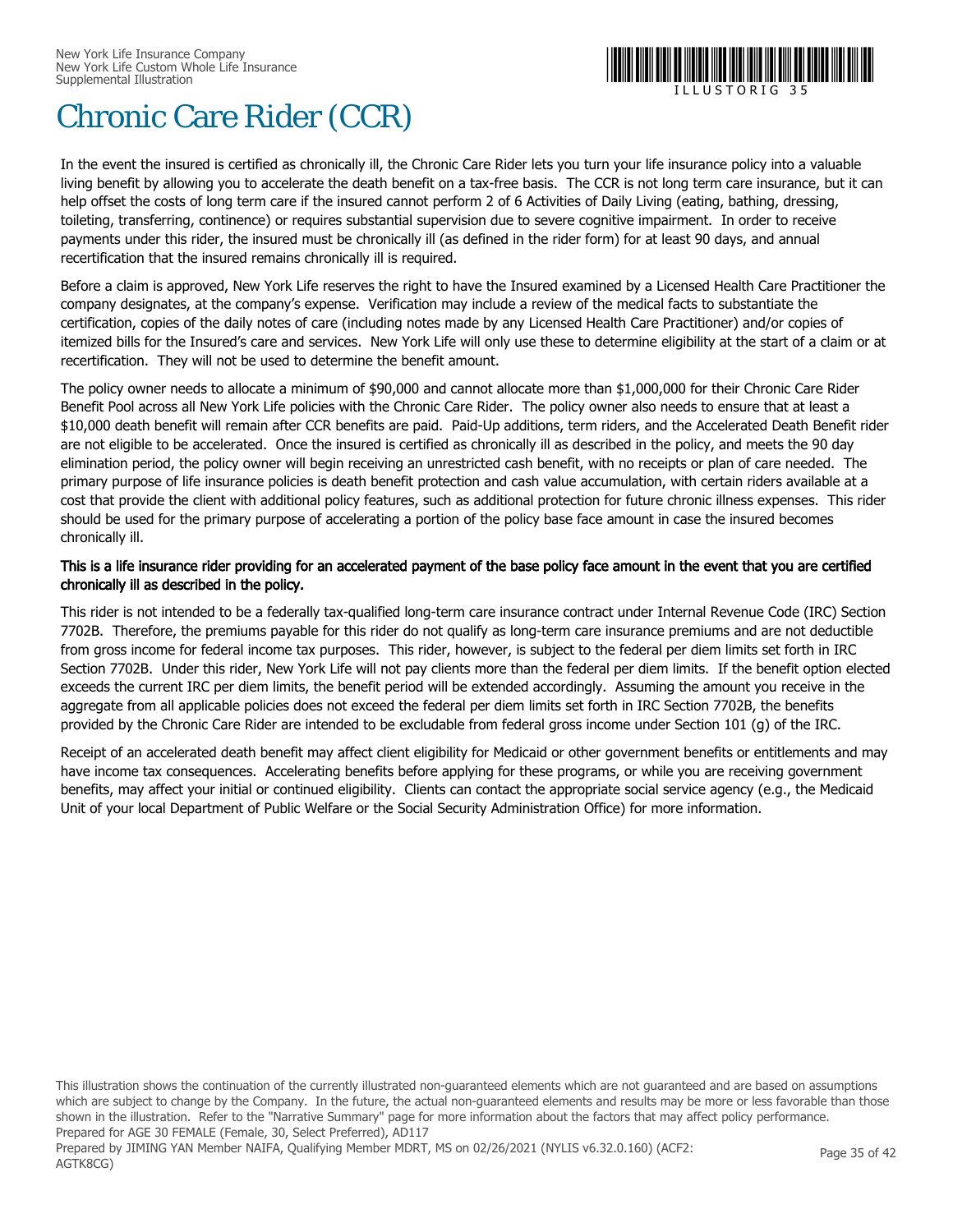

## Chronic Care Rider (CCR)

In the event the insured is certified as chronically ill, the Chronic Care Rider lets you turn your life insurance policy into a valuable living benefit by allowing you to accelerate the death benefit on a tax-free basis. The CCR is not long term care insurance, but it can help offset the costs of long term care if the insured cannot perform 2 of 6 Activities of Daily Living (eating, bathing, dressing, toileting, transferring, continence) or requires substantial supervision due to severe cognitive impairment. In order to receive payments under this rider, the insured must be chronically ill (as defined in the rider form) for at least 90 days, and annual recertification that the insured remains chronically ill is required.

Before a claim is approved, New York Life reserves the right to have the Insured examined by a Licensed Health Care Practitioner the company designates, at the company's expense. Verification may include a review of the medical facts to substantiate the certification, copies of the daily notes of care (including notes made by any Licensed Health Care Practitioner) and/or copies of itemized bills for the Insured's care and services. New York Life will only use these to determine eligibility at the start of a claim or at recertification. They will not be used to determine the benefit amount.

The policy owner needs to allocate a minimum of \$90,000 and cannot allocate more than \$1,000,000 for their Chronic Care Rider Benefit Pool across all New York Life policies with the Chronic Care Rider. The policy owner also needs to ensure that at least a \$10,000 death benefit will remain after CCR benefits are paid. Paid-Up additions, term riders, and the Accelerated Death Benefit rider are not eligible to be accelerated. Once the insured is certified as chronically ill as described in the policy, and meets the 90 day elimination period, the policy owner will begin receiving an unrestricted cash benefit, with no receipts or plan of care needed. The primary purpose of life insurance policies is death benefit protection and cash value accumulation, with certain riders available at a cost that provide the client with additional policy features, such as additional protection for future chronic illness expenses. This rider should be used for the primary purpose of accelerating a portion of the policy base face amount in case the insured becomes chronically ill.

#### This is a life insurance rider providing for an accelerated payment of the base policy face amount in the event that you are certified chronically ill as described in the policy.

This rider is not intended to be a federally tax-qualified long-term care insurance contract under Internal Revenue Code (IRC) Section 7702B. Therefore, the premiums payable for this rider do not qualify as long-term care insurance premiums and are not deductible from gross income for federal income tax purposes. This rider, however, is subject to the federal per diem limits set forth in IRC Section 7702B. Under this rider, New York Life will not pay clients more than the federal per diem limits. If the benefit option elected exceeds the current IRC per diem limits, the benefit period will be extended accordingly. Assuming the amount you receive in the aggregate from all applicable policies does not exceed the federal per diem limits set forth in IRC Section 7702B, the benefits provided by the Chronic Care Rider are intended to be excludable from federal gross income under Section 101 (g) of the IRC.

Receipt of an accelerated death benefit may affect client eligibility for Medicaid or other government benefits or entitlements and may have income tax consequences. Accelerating benefits before applying for these programs, or while you are receiving government benefits, may affect your initial or continued eligibility. Clients can contact the appropriate social service agency (e.g., the Medicaid Unit of your local Department of Public Welfare or the Social Security Administration Office) for more information.

This illustration shows the continuation of the currently illustrated non-guaranteed elements which are not guaranteed and are based on assumptions which are subject to change by the Company. In the future, the actual non-guaranteed elements and results may be more or less favorable than those shown in the illustration. Refer to the "Narrative Summary" page for more information about the factors that may affect policy performance. Prepared for AGE 30 FEMALE (Female, 30, Select Preferred), AD117 Prepared by JIMING YAN Member NAIFA, Qualifying Member MDRT, MS on 02/26/2021 (NYLIS v6.32.0.160) (ACF2: AGTK8CG) Page 35 of 42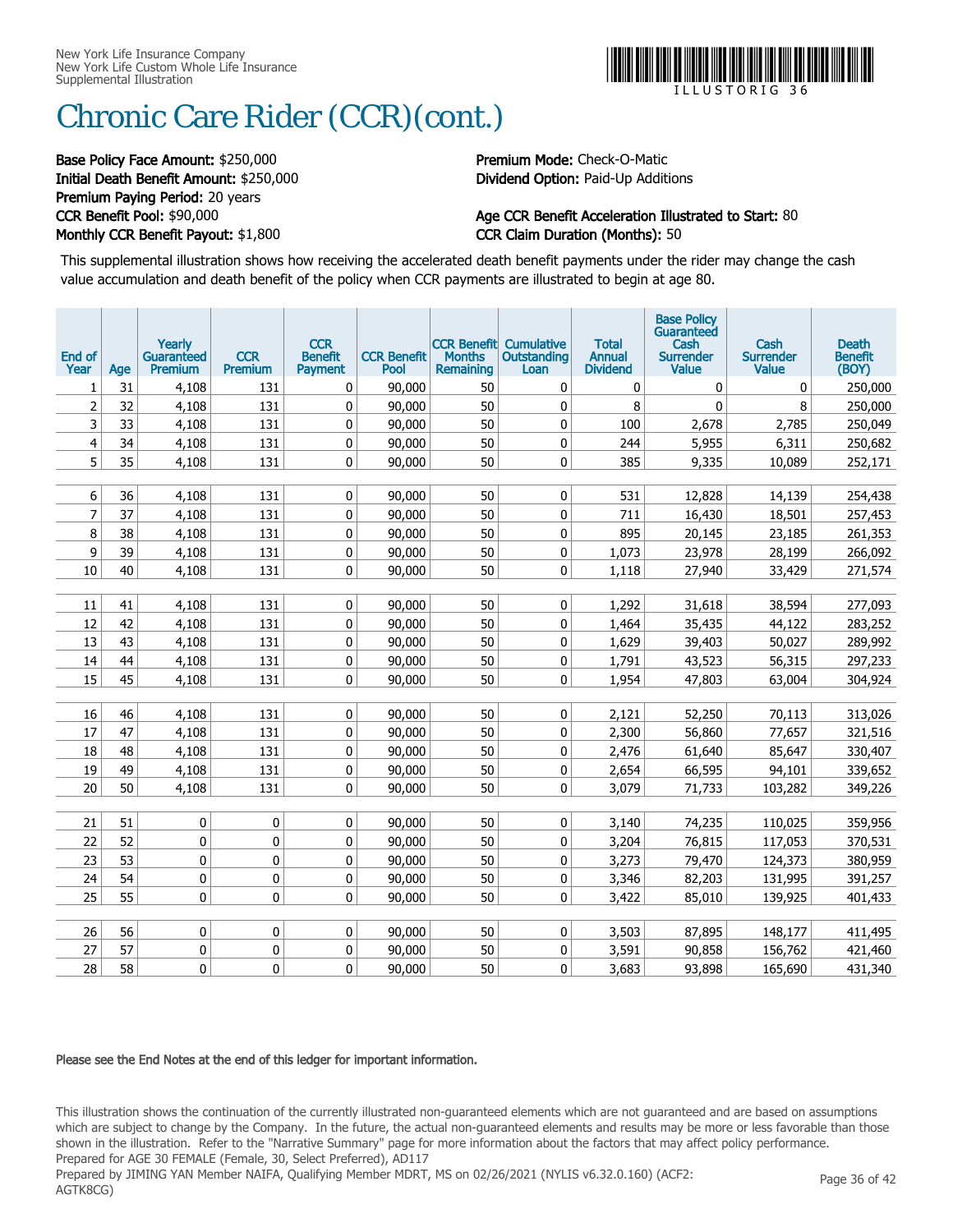

# Chronic Care Rider (CCR)(cont.)

#### Base Policy Face Amount: \$250,000 Premium Mode: Check-O-Matic Initial Death Benefit Amount: \$250,000 Dividend Option: Paid-Up Additions Premium Paying Period: 20 years Monthly CCR Benefit Payout: \$1,800 CCR Claim Duration (Months): 50

# CCR Benefit Pool: \$90,000 **Age CCR Benefit Acceleration Illustrated to Start: 80**

This supplemental illustration shows how receiving the accelerated death benefit payments under the rider may change the cash value accumulation and death benefit of the policy when CCR payments are illustrated to begin at age 80.

| End of<br>Year | Age      | Yearly<br><b>Guaranteed</b><br>Premium | <b>CCR</b><br>Premium | <b>CCR</b><br><b>Benefit</b><br><b>Payment</b> | <b>CCR Benefit</b><br>Pool | <b>Months</b><br><b>Remaining</b> | <b>CCR Benefit Cumulative</b><br>Outstanding<br>Loan | <b>Total</b><br><b>Annual</b><br><b>Dividend</b> | <b>Base Policy</b><br>Guaranteed<br>Cash<br>Surrender<br><b>Value</b> | Cash<br><b>Surrender</b><br>Value | <b>Death</b><br><b>Benefit</b><br>(BOY) |
|----------------|----------|----------------------------------------|-----------------------|------------------------------------------------|----------------------------|-----------------------------------|------------------------------------------------------|--------------------------------------------------|-----------------------------------------------------------------------|-----------------------------------|-----------------------------------------|
| 1              | 31       | 4,108                                  | 131                   | 0                                              | 90,000                     | 50                                | 0                                                    | 0                                                | 0                                                                     | 0                                 | 250,000                                 |
| $\overline{2}$ | 32       | 4,108                                  | 131                   | 0                                              | 90,000                     | 50                                | 0                                                    | 8                                                | $\mathbf{0}$                                                          | 8                                 | 250,000                                 |
| 3              | 33       | 4,108                                  | 131                   | 0                                              | 90,000                     | 50                                | 0                                                    | 100                                              | 2,678                                                                 | 2,785                             | 250,049                                 |
| 4              | 34       | 4,108                                  | 131                   | 0                                              | 90,000                     | 50                                | 0                                                    | 244                                              | 5,955                                                                 | 6,311                             | 250,682                                 |
| 5              | 35       | 4,108                                  | 131                   | 0                                              | 90,000                     | 50                                | 0                                                    | 385                                              | 9,335                                                                 | 10,089                            | 252,171                                 |
|                |          |                                        |                       |                                                |                            |                                   |                                                      |                                                  |                                                                       |                                   |                                         |
| 6              | 36       | 4,108                                  | 131                   | 0                                              | 90,000                     | 50                                | 0                                                    | 531                                              | 12,828                                                                | 14,139                            | 254,438                                 |
| $\overline{7}$ | 37       | 4,108                                  | 131                   | 0                                              | 90,000                     | 50                                | 0                                                    | 711                                              | 16,430                                                                | 18,501                            | 257,453                                 |
| 8              | 38       | 4,108                                  | 131                   | 0                                              | 90,000                     | 50                                | 0                                                    | 895                                              | 20,145                                                                | 23,185                            | 261,353                                 |
| 9              | 39       | 4,108                                  | 131                   | 0                                              | 90,000                     | 50                                | 0                                                    | 1,073                                            | 23,978                                                                | 28,199                            | 266,092                                 |
| 10             | 40       | 4,108                                  | 131                   | 0                                              | 90,000                     | 50                                | 0                                                    | 1,118                                            | 27,940                                                                | 33,429                            | 271,574                                 |
|                |          |                                        |                       |                                                |                            |                                   |                                                      |                                                  |                                                                       |                                   |                                         |
| 11             | 41       | 4,108                                  | 131                   | 0                                              | 90,000                     | 50                                | 0                                                    | 1,292                                            | 31,618                                                                | 38,594                            | 277,093                                 |
| 12             | 42       | 4,108                                  | 131                   | 0                                              | 90,000                     | 50                                | 0                                                    | 1,464                                            | 35,435                                                                | 44,122                            | 283,252                                 |
| 13             | 43       | 4,108                                  | 131                   | 0                                              | 90,000                     | 50                                | 0                                                    | 1,629                                            | 39,403                                                                | 50,027                            | 289,992                                 |
| 14             | 44       | 4,108                                  | 131                   | 0                                              | 90,000                     | 50                                | 0                                                    | 1,791                                            | 43,523                                                                | 56,315                            | 297,233                                 |
| 15             | 45       | 4,108                                  | 131                   | 0                                              | 90,000                     | 50                                | 0                                                    | 1,954                                            | 47,803                                                                | 63,004                            | 304,924                                 |
|                |          |                                        |                       |                                                |                            |                                   |                                                      |                                                  |                                                                       |                                   |                                         |
| 16<br>17       | 46<br>47 | 4,108                                  | 131<br>131            | 0<br>0                                         | 90,000<br>90.000           | 50                                | 0<br>0                                               | 2,121                                            | 52,250                                                                | 70,113                            | 313,026                                 |
|                |          | 4,108                                  |                       |                                                |                            | 50                                |                                                      | 2,300                                            | 56,860                                                                | 77,657                            | 321,516                                 |
| 18<br>19       | 48       | 4,108<br>4,108                         | 131                   | 0                                              | 90,000                     | 50                                | 0                                                    | 2,476                                            | 61,640                                                                | 85,647                            | 330,407                                 |
| 20             | 49<br>50 | 4,108                                  | 131<br>131            | 0<br>0                                         | 90,000<br>90,000           | 50<br>50                          | 0<br>0                                               | 2,654<br>3,079                                   | 66,595<br>71,733                                                      | 94,101<br>103,282                 | 339,652<br>349,226                      |
|                |          |                                        |                       |                                                |                            |                                   |                                                      |                                                  |                                                                       |                                   |                                         |
| 21             | 51       | 0                                      | 0                     | 0                                              | 90,000                     | 50                                | 0                                                    | 3,140                                            | 74,235                                                                | 110,025                           | 359,956                                 |
| 22             | 52       | 0                                      | 0                     | 0                                              | 90,000                     | 50                                | 0                                                    | 3,204                                            | 76,815                                                                | 117,053                           | 370,531                                 |
| 23             | 53       | 0                                      | 0                     | 0                                              | 90,000                     | 50                                | 0                                                    | 3,273                                            | 79,470                                                                | 124,373                           | 380,959                                 |
| 24             | 54       | 0                                      | 0                     | 0                                              | 90,000                     | 50                                | 0                                                    | 3,346                                            | 82,203                                                                | 131,995                           | 391,257                                 |
| 25             | 55       | 0                                      | 0                     | 0                                              | 90,000                     | 50                                | 0                                                    | 3,422                                            | 85,010                                                                | 139,925                           | 401,433                                 |
|                |          |                                        |                       |                                                |                            |                                   |                                                      |                                                  |                                                                       |                                   |                                         |
| 26             | 56       | 0                                      | 0                     | 0                                              | 90,000                     | 50                                | 0                                                    | 3,503                                            | 87,895                                                                | 148,177                           | 411,495                                 |
| 27             | 57       | 0                                      | 0                     | 0                                              | 90,000                     | 50                                | 0                                                    | 3,591                                            | 90,858                                                                | 156,762                           | 421,460                                 |
| 28             | 58       | 0                                      | 0                     | $\mathbf{0}$                                   | 90,000                     | 50                                | 0                                                    | 3,683                                            | 93,898                                                                | 165,690                           | 431,340                                 |

#### Please see the End Notes at the end of this ledger for important information.

This illustration shows the continuation of the currently illustrated non-guaranteed elements which are not guaranteed and are based on assumptions which are subject to change by the Company. In the future, the actual non-guaranteed elements and results may be more or less favorable than those shown in the illustration. Refer to the "Narrative Summary" page for more information about the factors that may affect policy performance. Prepared for AGE 30 FEMALE (Female, 30, Select Preferred), AD117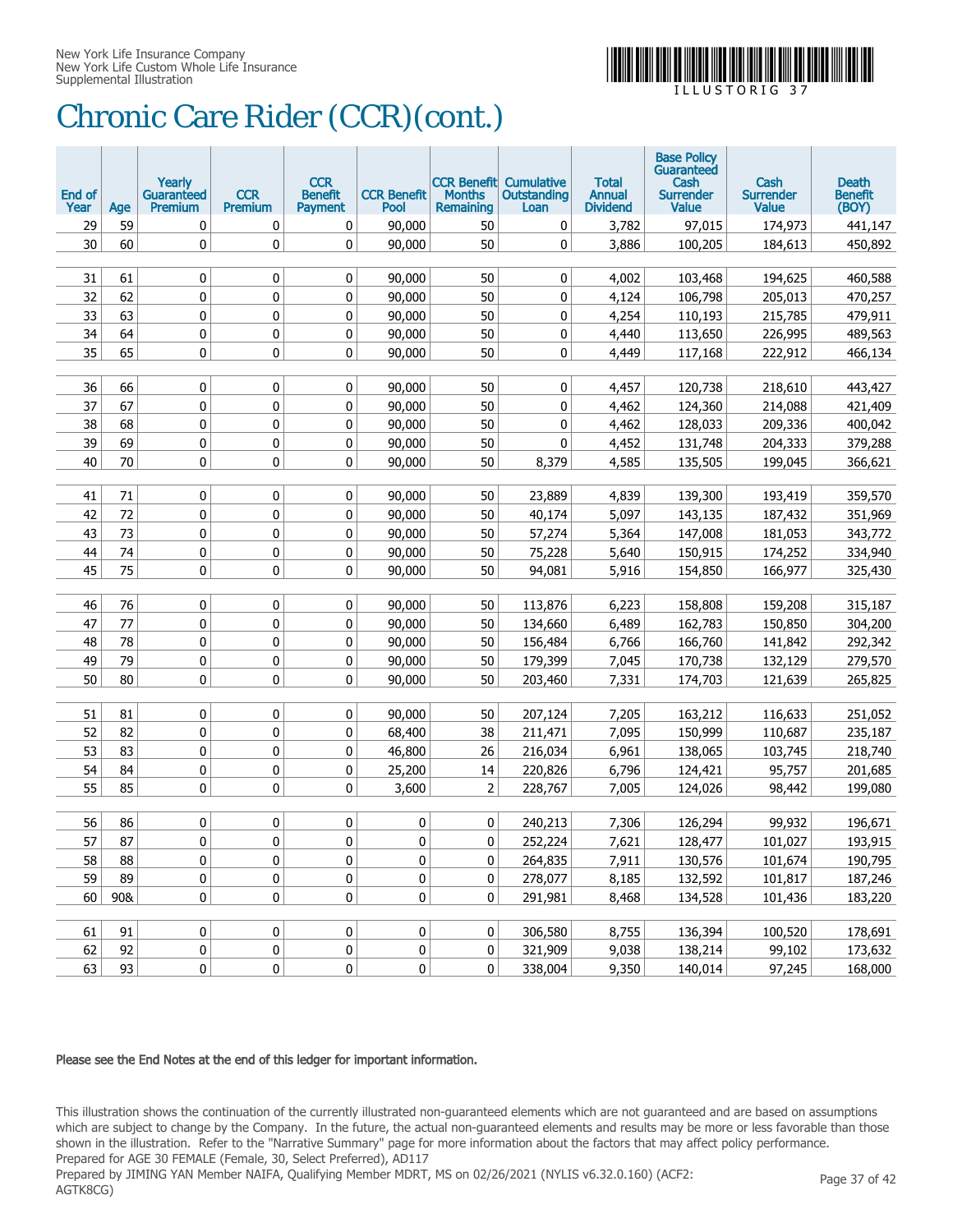

# Chronic Care Rider (CCR)(cont.)

| End of<br>Year | Age | Yearly<br>Guaranteed<br><b>Premium</b> | <b>CCR</b><br><b>Premium</b> | <b>CCR</b><br><b>Benefit</b><br><b>Payment</b> | <b>CCR Benefit</b><br>Pool | <b>Months</b><br>Remaining | <b>CCR Benefit Cumulative</b><br>Outstanding<br>Loan | <b>Total</b><br><b>Annual</b><br><b>Dividend</b> | <b>Base Policy</b><br>Guaranteed<br>Cash<br><b>Surrender</b><br><b>Value</b> | Cash<br><b>Surrender</b><br><b>Value</b> | <b>Death</b><br><b>Benefit</b><br>(BOY) |
|----------------|-----|----------------------------------------|------------------------------|------------------------------------------------|----------------------------|----------------------------|------------------------------------------------------|--------------------------------------------------|------------------------------------------------------------------------------|------------------------------------------|-----------------------------------------|
| 29             | 59  | 0                                      | 0                            | 0                                              | 90,000                     | 50                         | 0                                                    | 3,782                                            | 97,015                                                                       | 174,973                                  | 441,147                                 |
| 30             | 60  | 0                                      | $\mathbf 0$                  | $\mathbf 0$                                    | 90,000                     | 50                         | 0                                                    | 3,886                                            | 100,205                                                                      | 184,613                                  | 450,892                                 |
|                |     |                                        |                              |                                                |                            |                            |                                                      |                                                  |                                                                              |                                          |                                         |
| 31             | 61  | 0                                      | 0                            | 0                                              | 90,000                     | 50                         | 0                                                    | 4,002                                            | 103,468                                                                      | 194,625                                  | 460,588                                 |
| 32             | 62  | 0                                      | 0                            | 0                                              | 90,000                     | 50                         | 0                                                    | 4,124                                            | 106,798                                                                      | 205,013                                  | 470,257                                 |
| 33             | 63  | 0                                      | 0                            | 0                                              | 90,000                     | 50                         | 0                                                    | 4,254                                            | 110,193                                                                      | 215,785                                  | 479,911                                 |
| 34             | 64  | 0                                      | 0                            | 0                                              | 90,000                     | 50                         | 0                                                    | 4,440                                            | 113,650                                                                      | 226,995                                  | 489,563                                 |
| 35             | 65  | 0                                      | 0                            | 0                                              | 90,000                     | 50                         | 0                                                    | 4,449                                            | 117,168                                                                      | 222,912                                  | 466,134                                 |
|                |     |                                        |                              |                                                |                            |                            |                                                      |                                                  |                                                                              |                                          |                                         |
| 36             | 66  | 0                                      | 0                            | 0                                              | 90,000                     | 50                         | 0                                                    | 4,457                                            | 120,738                                                                      | 218,610                                  | 443,427                                 |
| 37             | 67  | 0                                      | 0                            | 0                                              | 90,000                     | 50                         | 0                                                    | 4,462                                            | 124,360                                                                      | 214,088                                  | 421,409                                 |
| 38             | 68  | 0                                      | 0                            | 0                                              | 90,000                     | 50                         | 0                                                    | 4,462                                            | 128,033                                                                      | 209,336                                  | 400,042                                 |
| 39             | 69  | 0                                      | 0                            | 0                                              | 90,000                     | 50                         | 0                                                    | 4,452                                            | 131,748                                                                      | 204,333                                  | 379,288                                 |
| 40             | 70  | 0                                      | 0                            | 0                                              | 90,000                     | 50                         | 8,379                                                | 4,585                                            | 135,505                                                                      | 199,045                                  | 366,621                                 |
|                |     |                                        |                              |                                                |                            |                            |                                                      |                                                  |                                                                              |                                          |                                         |
| 41             | 71  | 0                                      | $\mathbf 0$                  | $\mathbf 0$                                    | 90,000                     | 50                         | 23,889                                               | 4,839                                            | 139,300                                                                      | 193,419                                  | 359,570                                 |
| 42             | 72  | 0                                      | 0                            | 0                                              | 90,000                     | 50                         | 40,174                                               | 5,097                                            | 143,135                                                                      | 187,432                                  | 351,969                                 |
| 43             | 73  | 0                                      | 0                            | 0                                              | 90,000                     | 50                         | 57,274                                               | 5,364                                            | 147,008                                                                      | 181,053                                  | 343,772                                 |
| 44             | 74  | 0                                      | 0                            | 0                                              | 90,000                     | 50                         | 75,228                                               | 5,640                                            | 150,915                                                                      | 174,252                                  | 334,940                                 |
| 45             | 75  | 0                                      | $\mathbf 0$                  | 0                                              | 90,000                     | 50                         | 94,081                                               | 5,916                                            | 154,850                                                                      | 166,977                                  | 325,430                                 |
| 46             | 76  | 0                                      | 0                            | 0                                              | 90,000                     | 50                         | 113,876                                              | 6,223                                            | 158,808                                                                      | 159,208                                  | 315,187                                 |
| 47             | 77  | 0                                      | 0                            | 0                                              | 90,000                     | 50                         | 134,660                                              | 6,489                                            | 162,783                                                                      | 150,850                                  | 304,200                                 |
| 48             | 78  | 0                                      | 0                            | 0                                              | 90,000                     | 50                         | 156,484                                              | 6,766                                            | 166,760                                                                      | 141,842                                  | 292,342                                 |
| 49             | 79  | 0                                      | 0                            | 0                                              | 90,000                     | 50                         | 179,399                                              | 7,045                                            | 170,738                                                                      | 132,129                                  | 279,570                                 |
| 50             | 80  | 0                                      | 0                            | 0                                              | 90,000                     | 50                         | 203,460                                              | 7,331                                            | 174,703                                                                      | 121,639                                  | 265,825                                 |
|                |     |                                        |                              |                                                |                            |                            |                                                      |                                                  |                                                                              |                                          |                                         |
| 51             | 81  | 0                                      | 0                            | 0                                              | 90,000                     | 50                         | 207,124                                              | 7,205                                            | 163,212                                                                      | 116,633                                  | 251,052                                 |
| 52             | 82  | 0                                      | 0                            | 0                                              | 68,400                     | 38                         | 211,471                                              | 7,095                                            | 150,999                                                                      | 110,687                                  | 235,187                                 |
| 53             | 83  | 0                                      | 0                            | 0                                              | 46,800                     | 26                         | 216,034                                              | 6,961                                            | 138,065                                                                      | 103,745                                  | 218,740                                 |
| 54             | 84  | 0                                      | 0                            | 0                                              | 25,200                     | 14                         | 220,826                                              | 6,796                                            | 124,421                                                                      | 95,757                                   | 201,685                                 |
| 55             | 85  | 0                                      | $\mathbf 0$                  | 0                                              | 3,600                      | $\overline{2}$             | 228,767                                              | 7,005                                            | 124,026                                                                      | 98,442                                   | 199,080                                 |
|                |     |                                        |                              |                                                |                            |                            |                                                      |                                                  |                                                                              |                                          |                                         |
| 56             | 86  | 0                                      | 0                            | 0                                              | 0                          | 0                          | 240,213                                              | 7,306                                            | 126,294                                                                      | 99,932                                   | 196,671                                 |
| 57             | 87  | 0                                      | $\pmb{0}$                    | $\pmb{0}$                                      | $\pmb{0}$                  | $\bf{0}$                   | 252,224                                              | 7,621                                            | 128,477                                                                      | 101,027                                  | 193,915                                 |
| 58             | 88  | 0                                      | 0                            | $\mathbf 0$                                    | 0                          | 0                          | 264,835                                              | 7,911                                            | 130,576                                                                      | 101,674                                  | 190,795                                 |
| 59             | 89  | $\pmb{0}$                              | $\pmb{0}$                    | $\pmb{0}$                                      | 0                          | $\pmb{0}$                  | 278,077                                              | 8,185                                            | 132,592                                                                      | 101,817                                  | 187,246                                 |
| 60             | 90& | 0                                      | $\pmb{0}$                    | $\pmb{0}$                                      | 0                          | $\mathbf 0$                | 291,981                                              | 8,468                                            | 134,528                                                                      | 101,436                                  | 183,220                                 |
|                |     |                                        |                              |                                                |                            |                            |                                                      |                                                  |                                                                              |                                          |                                         |
| 61             | 91  | 0                                      | 0                            | $\pmb{0}$                                      | 0                          | $\pmb{0}$                  | 306,580                                              | 8,755                                            | 136,394                                                                      | 100,520                                  | 178,691                                 |
| 62             | 92  | 0                                      | 0                            | $\pmb{0}$                                      | 0                          | $\pmb{0}$                  | 321,909                                              | 9,038                                            | 138,214                                                                      | 99,102                                   | 173,632                                 |
| 63             | 93  | 0                                      | $\pmb{0}$                    | $\pmb{0}$                                      | 0                          | 0 <sup>1</sup>             | 338,004                                              | 9,350                                            | 140,014                                                                      | 97,245                                   | 168,000                                 |

#### Please see the End Notes at the end of this ledger for important information.

This illustration shows the continuation of the currently illustrated non-guaranteed elements which are not guaranteed and are based on assumptions which are subject to change by the Company. In the future, the actual non-guaranteed elements and results may be more or less favorable than those shown in the illustration. Refer to the "Narrative Summary" page for more information about the factors that may affect policy performance. Prepared for AGE 30 FEMALE (Female, 30, Select Preferred), AD117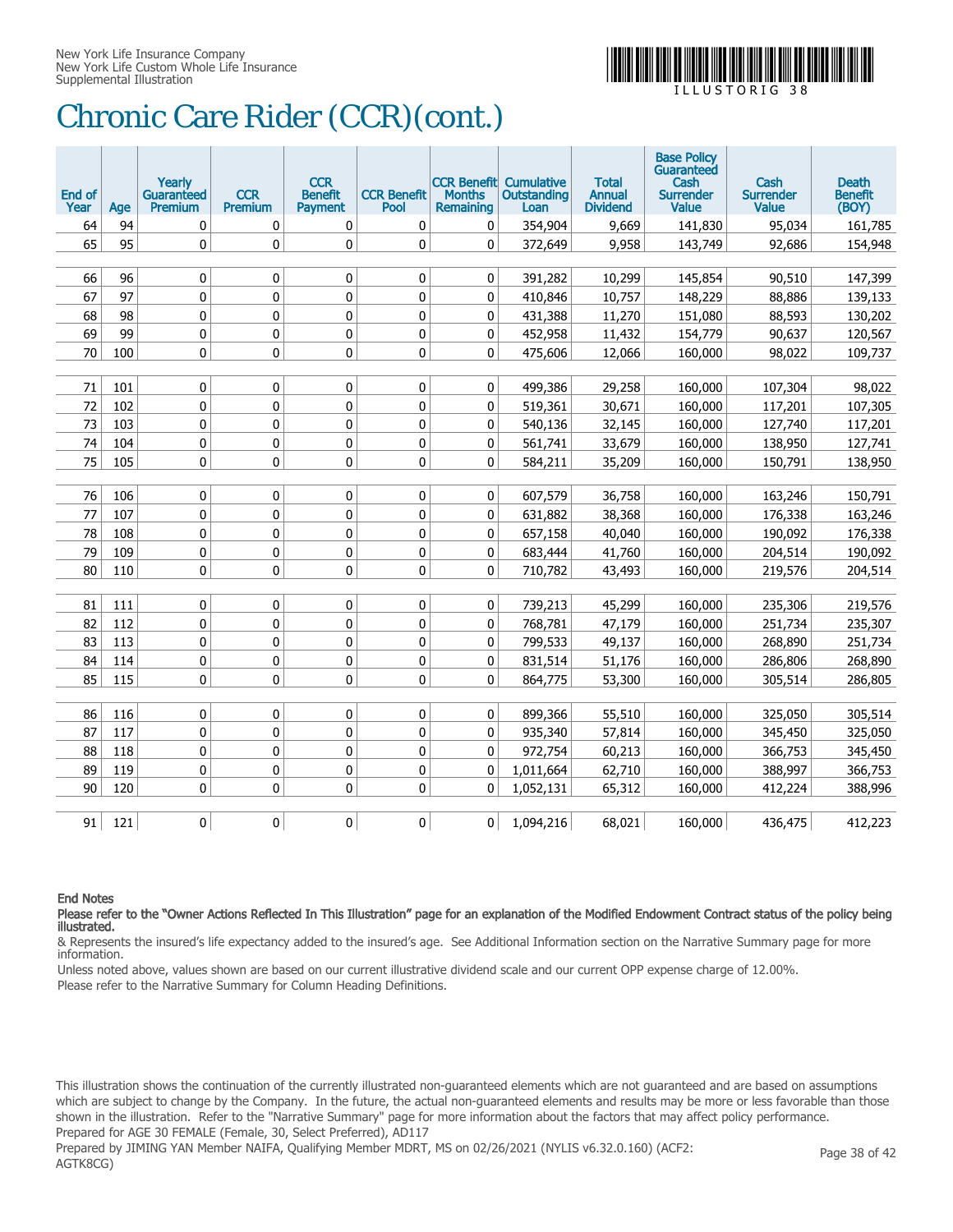

# Chronic Care Rider (CCR)(cont.)

| End of<br>Year | Age | Yearly<br><b>Guaranteed</b><br><b>Premium</b> | <b>CCR</b><br><b>Premium</b> | <b>CCR</b><br><b>Benefit</b><br><b>Payment</b> | <b>CCR Benefit</b><br>Pool | <b>CCR Benefit</b><br><b>Months</b><br>Remaining | Cumulative<br><b>Outstanding</b><br>Loan | <b>Total</b><br><b>Annual</b><br><b>Dividend</b> | <b>Base Policy</b><br>Guaranteed<br>Cash<br><b>Surrender</b><br>Value | Cash<br><b>Surrender</b><br><b>Value</b> | <b>Death</b><br><b>Benefit</b><br>(BOY) |
|----------------|-----|-----------------------------------------------|------------------------------|------------------------------------------------|----------------------------|--------------------------------------------------|------------------------------------------|--------------------------------------------------|-----------------------------------------------------------------------|------------------------------------------|-----------------------------------------|
| 64             | 94  | 0                                             | 0                            | 0                                              | 0                          | 0                                                | 354,904                                  | 9,669                                            | 141,830                                                               | 95,034                                   | 161,785                                 |
| 65             | 95  | 0                                             | 0                            | $\mathbf 0$                                    | 0                          | $\mathbf{0}$                                     | 372,649                                  | 9,958                                            | 143,749                                                               | 92,686                                   | 154,948                                 |
|                |     |                                               |                              |                                                |                            |                                                  |                                          |                                                  |                                                                       |                                          |                                         |
| 66             | 96  | 0                                             | 0                            | $\mathbf 0$                                    | $\mathbf 0$                | 0                                                | 391,282                                  | 10,299                                           | 145,854                                                               | 90,510                                   | 147,399                                 |
| 67             | 97  | 0                                             | 0                            | 0                                              | $\mathbf 0$                | 0                                                | 410,846                                  | 10,757                                           | 148,229                                                               | 88,886                                   | 139,133                                 |
| 68             | 98  | 0                                             | 0                            | 0                                              | $\mathbf 0$                | 0                                                | 431,388                                  | 11,270                                           | 151,080                                                               | 88,593                                   | 130,202                                 |
| 69             | 99  | 0                                             | 0                            | $\pmb{0}$                                      | $\pmb{0}$                  | 0                                                | 452,958                                  | 11,432                                           | 154,779                                                               | 90,637                                   | 120,567                                 |
| 70             | 100 | 0                                             | 0                            | 0                                              | 0                          | $\mathbf{0}$                                     | 475,606                                  | 12,066                                           | 160,000                                                               | 98,022                                   | 109,737                                 |
|                |     |                                               |                              |                                                |                            |                                                  |                                          |                                                  |                                                                       |                                          |                                         |
| 71             | 101 | 0                                             | 0                            | 0                                              | 0                          | 0                                                | 499,386                                  | 29,258                                           | 160,000                                                               | 107,304                                  | 98,022                                  |
| 72             | 102 | 0                                             | 0                            | $\mathbf 0$                                    | 0                          | 0                                                | 519,361                                  | 30,671                                           | 160,000                                                               | 117,201                                  | 107,305                                 |
| 73             | 103 | 0                                             | 0                            | 0                                              | 0                          | 0                                                | 540,136                                  | 32,145                                           | 160,000                                                               | 127,740                                  | 117,201                                 |
| 74             | 104 | 0                                             | 0                            | 0                                              | 0                          | 0                                                | 561,741                                  | 33,679                                           | 160,000                                                               | 138,950                                  | 127,741                                 |
| 75             | 105 | 0                                             | 0                            | $\mathbf 0$                                    | 0                          | 0                                                | 584,211                                  | 35,209                                           | 160,000                                                               | 150,791                                  | 138,950                                 |
|                |     |                                               |                              |                                                |                            |                                                  |                                          |                                                  |                                                                       |                                          |                                         |
| 76             | 106 | 0                                             | 0                            | 0                                              | $\pmb{0}$                  | 0                                                | 607,579                                  | 36,758                                           | 160,000                                                               | 163,246                                  | 150,791                                 |
| 77             | 107 | 0                                             | 0                            | 0                                              | 0                          | 0                                                | 631,882                                  | 38,368                                           | 160,000                                                               | 176,338                                  | 163,246                                 |
| 78             | 108 | 0                                             | 0                            | 0                                              | 0                          | 0                                                | 657,158                                  | 40,040                                           | 160,000                                                               | 190,092                                  | 176,338                                 |
| 79             | 109 | 0                                             | 0                            | 0                                              | 0                          | 0                                                | 683,444                                  | 41,760                                           | 160,000                                                               | 204,514                                  | 190,092                                 |
| 80             | 110 | $\Omega$                                      | $\mathbf{0}$                 | $\mathbf{0}$                                   | $\mathbf{0}$               | $\mathbf{0}$                                     | 710.782                                  | 43,493                                           | 160,000                                                               | 219,576                                  | 204,514                                 |
|                |     |                                               |                              |                                                |                            |                                                  |                                          |                                                  |                                                                       |                                          |                                         |
| 81             | 111 | 0                                             | 0                            | 0                                              | 0                          | 0                                                | 739,213                                  | 45,299                                           | 160,000                                                               | 235,306                                  | 219,576                                 |
| 82             | 112 | 0                                             | 0                            | 0                                              | 0                          | $\mathbf 0$                                      | 768,781                                  | 47,179                                           | 160,000                                                               | 251,734                                  | 235,307                                 |
| 83             | 113 | 0                                             | 0                            | 0                                              | $\mathbf 0$                | 0                                                | 799,533                                  | 49,137                                           | 160,000                                                               | 268,890                                  | 251,734                                 |
| 84             | 114 | 0                                             | 0                            | 0                                              | $\mathbf 0$                | 0                                                | 831,514                                  | 51,176                                           | 160,000                                                               | 286,806                                  | 268,890                                 |
| 85             | 115 | 0                                             | 0                            | 0                                              | 0                          | 0                                                | 864,775                                  | 53,300                                           | 160,000                                                               | 305,514                                  | 286,805                                 |
|                |     |                                               |                              |                                                |                            |                                                  |                                          |                                                  |                                                                       |                                          |                                         |
| 86             | 116 | 0                                             | 0                            | $\pmb{0}$                                      | $\pmb{0}$                  | 0                                                | 899,366                                  | 55,510                                           | 160,000                                                               | 325,050                                  | 305,514                                 |
| 87             | 117 | 0                                             | 0                            | 0                                              | 0                          | $\mathbf 0$                                      | 935,340                                  | 57,814                                           | 160,000                                                               | 345,450                                  | 325,050                                 |
| 88             | 118 | 0                                             | $\mathbf 0$                  | $\mathbf 0$                                    | 0                          | $\mathbf 0$                                      | 972,754                                  | 60,213                                           | 160,000                                                               | 366,753                                  | 345,450                                 |
| 89             | 119 | 0                                             | 0                            | 0                                              | 0                          | $\mathbf{0}$                                     | 1,011,664                                | 62,710                                           | 160,000                                                               | 388,997                                  | 366,753                                 |
| 90             | 120 | 0                                             | 0                            | 0                                              | 0                          | $\mathbf{0}$                                     | 1,052,131                                | 65,312                                           | 160,000                                                               | 412,224                                  | 388,996                                 |
|                |     |                                               |                              |                                                |                            |                                                  |                                          |                                                  |                                                                       |                                          |                                         |
| 91             | 121 | 0                                             | 0                            | 0                                              | 0                          | $\mathbf{0}$                                     | 1,094,216                                | 68,021                                           | 160,000                                                               | 436,475                                  | 412,223                                 |

End Notes

Please refer to the "Owner Actions Reflected In This Illustration" page for an explanation of the Modified Endowment Contract status of the policy being illustrated.

& Represents the insured's life expectancy added to the insured's age. See Additional Information section on the Narrative Summary page for more information.

Unless noted above, values shown are based on our current illustrative dividend scale and our current OPP expense charge of 12.00%. Please refer to the Narrative Summary for Column Heading Definitions.

This illustration shows the continuation of the currently illustrated non-guaranteed elements which are not guaranteed and are based on assumptions which are subject to change by the Company. In the future, the actual non-guaranteed elements and results may be more or less favorable than those shown in the illustration. Refer to the "Narrative Summary" page for more information about the factors that may affect policy performance. Prepared for AGE 30 FEMALE (Female, 30, Select Preferred), AD117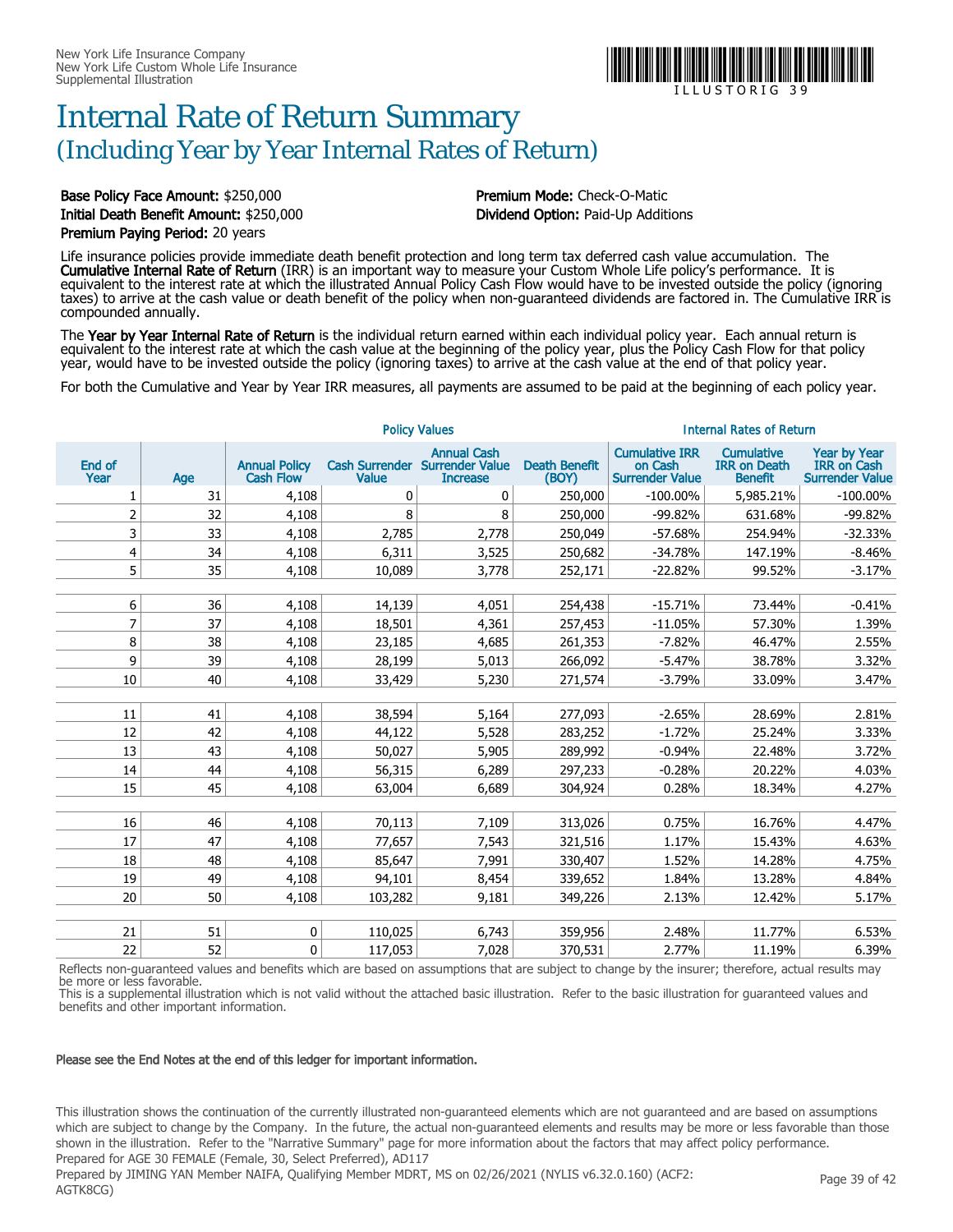### Internal Rate of Return Summary (Including Year by Year Internal Rates of Return)

Base Policy Face Amount: \$250,000 **Premium Mode: Check-O-Matic** Initial Death Benefit Amount: \$250,000 Dividend Option: Paid-Up Additions Premium Paying Period: 20 years

compounded annually.

Life insurance policies provide immediate death benefit protection and long term tax deferred cash value accumulation. The **Cumulative Internal Rate of Return** (IRR) is an important way to measure your Custom Whole Life policy's performance. It is equivalent to the interest rate at which the illustrated Annual Policy Cash Flow would have to be invested outside the policy (ignoring taxes) to arrive at the cash value or death benefit of the policy when non-guaranteed dividends are factored in. The Cumulative IRR is

The Year by Year Internal Rate of Return is the individual return earned within each individual policy year. Each annual return is equivalent to the interest rate at which the cash value at the beginning of the policy year, plus the Policy Cash Flow for that policy year, would have to be invested outside the policy (ignoring taxes) to arrive at the cash value at the end of that policy year.

For both the Cumulative and Year by Year IRR measures, all payments are assumed to be paid at the beginning of each policy year.

|                |     |                                          | <b>Internal Rates of Return</b>       |                                                                 |                               |                                                            |                                                            |                                                                     |
|----------------|-----|------------------------------------------|---------------------------------------|-----------------------------------------------------------------|-------------------------------|------------------------------------------------------------|------------------------------------------------------------|---------------------------------------------------------------------|
| End of<br>Year | Age | <b>Annual Policy</b><br><b>Cash Flow</b> | <b>Cash Surrender</b><br><b>Value</b> | <b>Annual Cash</b><br><b>Surrender Value</b><br><b>Increase</b> | <b>Death Benefit</b><br>(BOY) | <b>Cumulative IRR</b><br>on Cash<br><b>Surrender Value</b> | <b>Cumulative</b><br><b>IRR on Death</b><br><b>Benefit</b> | <b>Year by Year</b><br><b>IRR on Cash</b><br><b>Surrender Value</b> |
| 1              | 31  | 4,108                                    | 0                                     | 0                                                               | 250,000                       | $-100.00\%$                                                | 5,985.21%                                                  | $-100.00\%$                                                         |
| $\overline{2}$ | 32  | 4,108                                    | 8                                     | 8                                                               | 250,000                       | $-99.82%$                                                  | 631.68%                                                    | -99.82%                                                             |
| 3              | 33  | 4,108                                    | 2,785                                 | 2,778                                                           | 250,049                       | $-57.68%$                                                  | 254.94%                                                    | $-32.33%$                                                           |
| 4              | 34  | 4,108                                    | 6,311                                 | 3,525                                                           | 250,682                       | $-34.78%$                                                  | 147.19%                                                    | $-8.46%$                                                            |
| 5              | 35  | 4,108                                    | 10,089                                | 3,778                                                           | 252,171                       | $-22.82%$                                                  | 99.52%                                                     | $-3.17%$                                                            |
|                |     |                                          |                                       |                                                                 |                               |                                                            |                                                            |                                                                     |
| 6              | 36  | 4,108                                    | 14,139                                | 4,051                                                           | 254,438                       | $-15.71%$                                                  | 73.44%                                                     | $-0.41%$                                                            |
| 7              | 37  | 4,108                                    | 18,501                                | 4,361                                                           | 257,453                       | $-11.05%$                                                  | 57.30%                                                     | 1.39%                                                               |
| 8              | 38  | 4,108                                    | 23,185                                | 4,685                                                           | 261,353                       | $-7.82%$                                                   | 46.47%                                                     | 2.55%                                                               |
| 9              | 39  | 4,108                                    | 28,199                                | 5,013                                                           | 266,092                       | $-5.47%$                                                   | 38.78%                                                     | 3.32%                                                               |
| 10             | 40  | 4,108                                    | 33,429                                | 5,230                                                           | 271,574                       | $-3.79%$                                                   | 33.09%                                                     | 3.47%                                                               |
|                |     |                                          |                                       |                                                                 |                               |                                                            |                                                            |                                                                     |
| 11             | 41  | 4,108                                    | 38,594                                | 5,164                                                           | 277,093                       | $-2.65%$                                                   | 28.69%                                                     | 2.81%                                                               |
| 12             | 42  | 4,108                                    | 44,122                                | 5,528                                                           | 283,252                       | $-1.72%$                                                   | 25.24%                                                     | 3.33%                                                               |
| 13             | 43  | 4,108                                    | 50,027                                | 5,905                                                           | 289,992                       | $-0.94%$                                                   | 22.48%                                                     | 3.72%                                                               |
| 14             | 44  | 4,108                                    | 56,315                                | 6,289                                                           | 297,233                       | $-0.28%$                                                   | 20.22%                                                     | 4.03%                                                               |
| 15             | 45  | 4,108                                    | 63,004                                | 6,689                                                           | 304,924                       | 0.28%                                                      | 18.34%                                                     | 4.27%                                                               |
|                |     |                                          |                                       |                                                                 |                               |                                                            |                                                            |                                                                     |
| 16             | 46  | 4,108                                    | 70,113                                | 7,109                                                           | 313,026                       | 0.75%                                                      | 16.76%                                                     | 4.47%                                                               |
| 17             | 47  | 4,108                                    | 77,657                                | 7,543                                                           | 321,516                       | 1.17%                                                      | 15.43%                                                     | 4.63%                                                               |
| 18             | 48  | 4,108                                    | 85,647                                | 7,991                                                           | 330,407                       | 1.52%                                                      | 14.28%                                                     | 4.75%                                                               |
| 19             | 49  | 4,108                                    | 94,101                                | 8,454                                                           | 339,652                       | 1.84%                                                      | 13.28%                                                     | 4.84%                                                               |
| 20             | 50  | 4,108                                    | 103,282                               | 9,181                                                           | 349,226                       | 2.13%                                                      | 12.42%                                                     | 5.17%                                                               |
|                |     |                                          |                                       |                                                                 |                               |                                                            |                                                            |                                                                     |
| 21             | 51  | 0                                        | 110,025                               | 6,743                                                           | 359,956                       | 2.48%                                                      | 11.77%                                                     | 6.53%                                                               |
| 22             | 52  | 0                                        | 117,053                               | 7,028                                                           | 370,531                       | 2.77%                                                      | 11.19%                                                     | 6.39%                                                               |

Reflects non-guaranteed values and benefits which are based on assumptions that are subject to change by the insurer; therefore, actual results may be more or less favorable.

This is a supplemental illustration which is not valid without the attached basic illustration. Refer to the basic illustration for guaranteed values and benefits and other important information.

#### Please see the End Notes at the end of this ledger for important information.

This illustration shows the continuation of the currently illustrated non-guaranteed elements which are not guaranteed and are based on assumptions which are subject to change by the Company. In the future, the actual non-guaranteed elements and results may be more or less favorable than those shown in the illustration. Refer to the "Narrative Summary" page for more information about the factors that may affect policy performance. Prepared for AGE 30 FEMALE (Female, 30, Select Preferred), AD117

Prepared by JIMING YAN Member NAIFA, Qualifying Member MDRT, MS on 02/26/2021 (NYLIS v6.32.0.160) (ACF2: AGTK8CG)



I L L U S T O R I G 3 9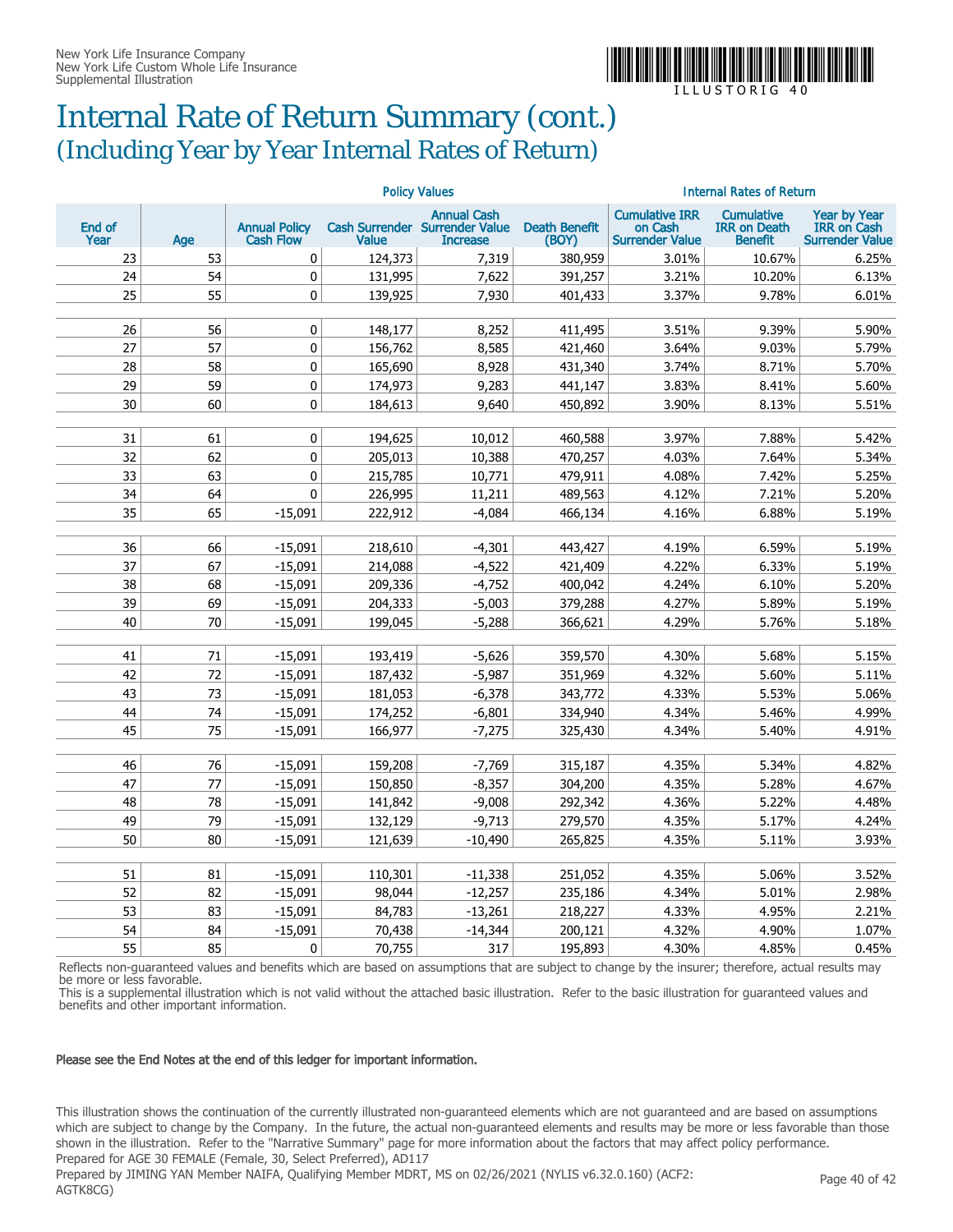

### Internal Rate of Return Summary (cont.) (Including Year by Year Internal Rates of Return)

|                |     | <b>Policy Values</b>                     |              |                                                                         |                               | <b>Internal Rates of Return</b>                            |                                                            |                                                                     |  |
|----------------|-----|------------------------------------------|--------------|-------------------------------------------------------------------------|-------------------------------|------------------------------------------------------------|------------------------------------------------------------|---------------------------------------------------------------------|--|
| End of<br>Year | Age | <b>Annual Policy</b><br><b>Cash Flow</b> | <b>Value</b> | <b>Annual Cash</b><br>Cash Surrender Surrender Value<br><b>Increase</b> | <b>Death Benefit</b><br>(BOY) | <b>Cumulative IRR</b><br>on Cash<br><b>Surrender Value</b> | <b>Cumulative</b><br><b>IRR on Death</b><br><b>Benefit</b> | <b>Year by Year</b><br><b>IRR</b> on Cash<br><b>Surrender Value</b> |  |
| 23             | 53  | 0                                        | 124,373      | 7,319                                                                   | 380,959                       | 3.01%                                                      | 10.67%                                                     | 6.25%                                                               |  |
| 24             | 54  | 0                                        | 131,995      | 7,622                                                                   | 391,257                       | 3.21%                                                      | 10.20%                                                     | 6.13%                                                               |  |
| 25             | 55  | $\mathbf{0}$                             | 139,925      | 7.930                                                                   | 401,433                       | 3.37%                                                      | 9.78%                                                      | 6.01%                                                               |  |
|                |     |                                          |              |                                                                         |                               |                                                            |                                                            |                                                                     |  |
| 26             | 56  | 0                                        | 148,177      | 8,252                                                                   | 411,495                       | 3.51%                                                      | 9.39%                                                      | 5.90%                                                               |  |
| 27             | 57  | 0                                        | 156,762      | 8,585                                                                   | 421,460                       | 3.64%                                                      | 9.03%                                                      | 5.79%                                                               |  |
| 28             | 58  | 0                                        | 165,690      | 8,928                                                                   | 431,340                       | 3.74%                                                      | 8.71%                                                      | 5.70%                                                               |  |
| 29             | 59  | 0                                        | 174,973      | 9,283                                                                   | 441,147                       | 3.83%                                                      | 8.41%                                                      | 5.60%                                                               |  |
| 30             | 60  | 0                                        | 184,613      | 9.640                                                                   | 450.892                       | 3.90%                                                      | 8.13%                                                      | 5.51%                                                               |  |
|                |     |                                          |              |                                                                         |                               |                                                            |                                                            |                                                                     |  |
| 31             | 61  | 0                                        | 194,625      | 10,012                                                                  | 460,588                       | 3.97%                                                      | 7.88%                                                      | 5.42%                                                               |  |
| 32             | 62  | 0                                        | 205,013      | 10,388                                                                  | 470,257                       | 4.03%                                                      | 7.64%                                                      | 5.34%                                                               |  |
| 33             | 63  | 0                                        | 215,785      | 10,771                                                                  | 479,911                       | 4.08%                                                      | 7.42%                                                      | 5.25%                                                               |  |
| 34             | 64  | $\pmb{0}$                                | 226,995      | 11,211                                                                  | 489,563                       | 4.12%                                                      | 7.21%                                                      | 5.20%                                                               |  |
| 35             | 65  | $-15,091$                                | 222,912      | $-4,084$                                                                | 466,134                       | 4.16%                                                      | 6.88%                                                      | 5.19%                                                               |  |
|                |     |                                          |              |                                                                         |                               |                                                            |                                                            |                                                                     |  |
| 36             | 66  | $-15,091$                                | 218,610      | $-4,301$                                                                | 443,427                       | 4.19%                                                      | 6.59%                                                      | 5.19%                                                               |  |
| 37             | 67  | $-15,091$                                | 214,088      | $-4,522$                                                                | 421,409                       | 4.22%                                                      | 6.33%                                                      | 5.19%                                                               |  |
| 38             | 68  | $-15,091$                                | 209,336      | $-4,752$                                                                | 400,042                       | 4.24%                                                      | 6.10%                                                      | 5.20%                                                               |  |
| 39             | 69  | $-15,091$                                | 204,333      | $-5,003$                                                                | 379,288                       | 4.27%                                                      | 5.89%                                                      | 5.19%                                                               |  |
| 40             | 70  | $-15,091$                                | 199,045      | $-5,288$                                                                | 366,621                       | 4.29%                                                      | 5.76%                                                      | 5.18%                                                               |  |
|                |     |                                          |              |                                                                         |                               |                                                            |                                                            |                                                                     |  |
| 41             | 71  | $-15,091$                                | 193,419      | $-5,626$                                                                | 359,570                       | 4.30%                                                      | 5.68%                                                      | 5.15%                                                               |  |
| 42             | 72  | $-15,091$                                | 187,432      | $-5,987$                                                                | 351,969                       | 4.32%                                                      | 5.60%                                                      | 5.11%                                                               |  |
| 43             | 73  | $-15,091$                                | 181,053      | $-6,378$                                                                | 343,772                       | 4.33%                                                      | 5.53%                                                      | 5.06%                                                               |  |
| 44             | 74  | $-15,091$                                | 174,252      | $-6,801$                                                                | 334,940                       | 4.34%                                                      | 5.46%                                                      | 4.99%                                                               |  |
| 45             | 75  | $-15.091$                                | 166,977      | $-7,275$                                                                | 325,430                       | 4.34%                                                      | 5.40%                                                      | 4.91%                                                               |  |
|                |     |                                          |              |                                                                         |                               |                                                            |                                                            |                                                                     |  |
| 46             | 76  | $-15.091$                                | 159,208      | $-7,769$                                                                | 315,187                       | 4.35%                                                      | 5.34%                                                      | 4.82%                                                               |  |
| 47             | 77  | $-15,091$                                | 150,850      | $-8,357$                                                                | 304,200                       | 4.35%                                                      | 5.28%                                                      | 4.67%                                                               |  |
| 48             | 78  | $-15,091$                                | 141,842      | $-9,008$                                                                | 292,342                       | 4.36%                                                      | 5.22%                                                      | 4.48%                                                               |  |
| 49             | 79  | $-15,091$                                | 132,129      | $-9,713$                                                                | 279,570                       | 4.35%                                                      | 5.17%                                                      | 4.24%                                                               |  |
| 50             | 80  | $-15.091$                                | 121,639      | $-10.490$                                                               | 265,825                       | 4.35%                                                      | 5.11%                                                      | 3.93%                                                               |  |
|                |     |                                          |              |                                                                         |                               |                                                            |                                                            |                                                                     |  |
| 51             | 81  | $-15,091$                                | 110,301      | $-11,338$                                                               | 251,052                       | 4.35%                                                      | 5.06%                                                      | 3.52%                                                               |  |
| 52             | 82  | $-15,091$                                | 98,044       | $-12,257$                                                               | 235,186                       | 4.34%                                                      | 5.01%                                                      | 2.98%                                                               |  |
| 53             | 83  | $-15,091$                                | 84,783       | $-13,261$                                                               | 218,227                       | 4.33%                                                      | 4.95%                                                      | 2.21%                                                               |  |
| 54             | 84  | $-15,091$                                | 70,438       | $-14,344$                                                               | 200,121                       | 4.32%                                                      | 4.90%                                                      | 1.07%                                                               |  |
| 55             | 85  | $\mathbf{0}$                             | 70,755       | 317                                                                     | 195,893                       | 4.30%                                                      | 4.85%                                                      | 0.45%                                                               |  |

Reflects non-guaranteed values and benefits which are based on assumptions that are subject to change by the insurer; therefore, actual results may be more or less favorable.

This is a supplemental illustration which is not valid without the attached basic illustration. Refer to the basic illustration for guaranteed values and benefits and other important information.

#### Please see the End Notes at the end of this ledger for important information.

This illustration shows the continuation of the currently illustrated non-guaranteed elements which are not guaranteed and are based on assumptions which are subject to change by the Company. In the future, the actual non-guaranteed elements and results may be more or less favorable than those shown in the illustration. Refer to the "Narrative Summary" page for more information about the factors that may affect policy performance. Prepared for AGE 30 FEMALE (Female, 30, Select Preferred), AD117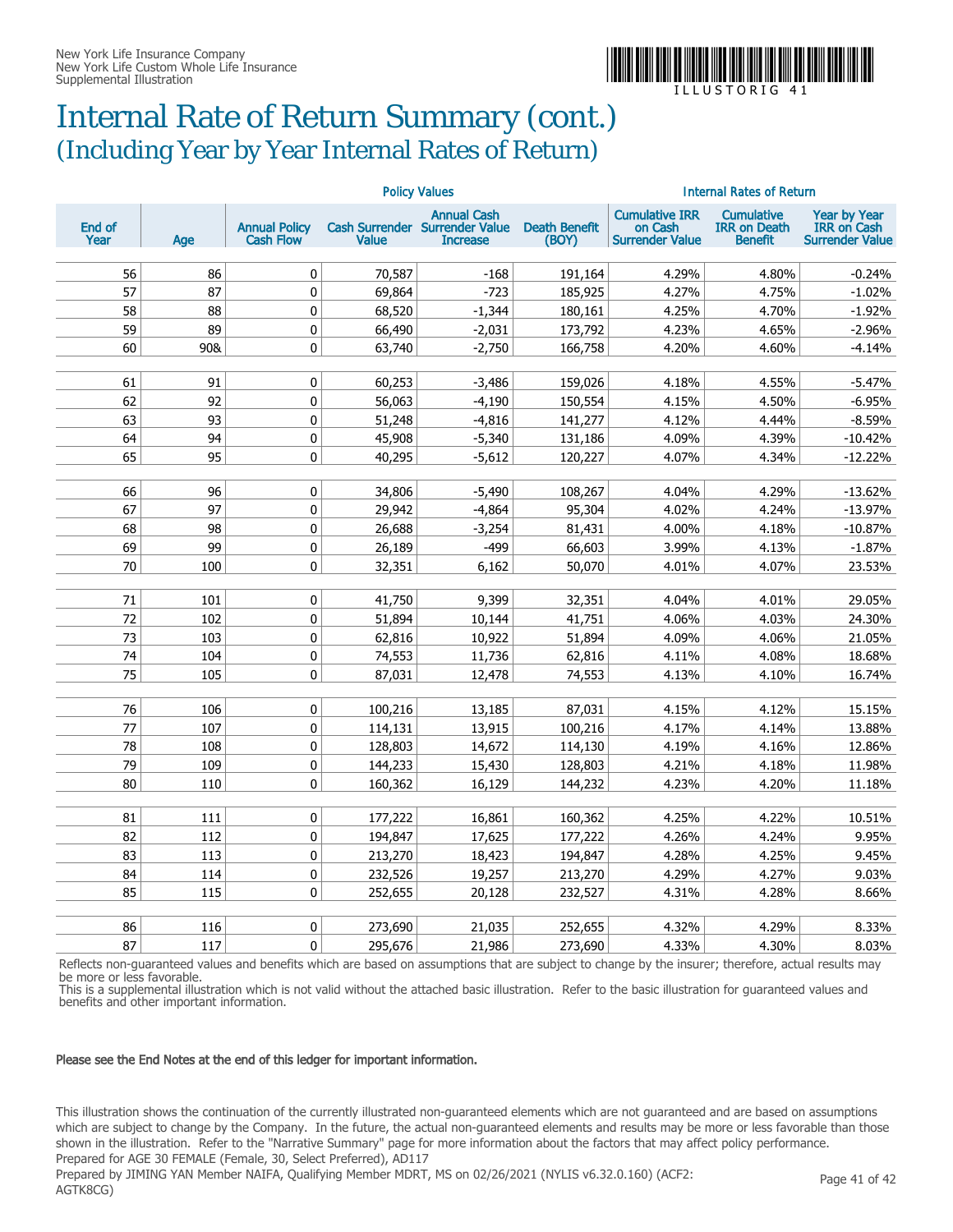

### Internal Rate of Return Summary (cont.) (Including Year by Year Internal Rates of Return)

|                |           | <b>Policy Values</b>                     |                  |                                                                         |                               | <b>Internal Rates of Return</b>                            |                                                            |                                                                     |  |
|----------------|-----------|------------------------------------------|------------------|-------------------------------------------------------------------------|-------------------------------|------------------------------------------------------------|------------------------------------------------------------|---------------------------------------------------------------------|--|
| End of<br>Year | Age       | <b>Annual Policy</b><br><b>Cash Flow</b> | <b>Value</b>     | <b>Annual Cash</b><br>Cash Surrender Surrender Value<br><b>Increase</b> | <b>Death Benefit</b><br>(BOY) | <b>Cumulative IRR</b><br>on Cash<br><b>Surrender Value</b> | <b>Cumulative</b><br><b>IRR on Death</b><br><b>Benefit</b> | <b>Year by Year</b><br><b>IRR</b> on Cash<br><b>Surrender Value</b> |  |
| 56             | 86        | $\mathbf 0$                              | 70,587           | $-168$                                                                  | 191,164                       | 4.29%                                                      | 4.80%                                                      | $-0.24%$                                                            |  |
| 57             | 87        | $\mathbf 0$                              | 69,864           | $-723$                                                                  | 185,925                       | 4.27%                                                      | 4.75%                                                      | $-1.02%$                                                            |  |
| 58             | 88        | 0                                        | 68,520           | $-1,344$                                                                | 180,161                       | 4.25%                                                      | 4.70%                                                      | $-1.92%$                                                            |  |
| 59             | 89        | 0                                        | 66,490           | $-2,031$                                                                | 173,792                       | 4.23%                                                      | 4.65%                                                      | $-2.96%$                                                            |  |
| 60             | 90&       | 0                                        | 63,740           | $-2,750$                                                                | 166,758                       | 4.20%                                                      | 4.60%                                                      | $-4.14%$                                                            |  |
|                |           |                                          |                  |                                                                         |                               |                                                            |                                                            |                                                                     |  |
| 61             | 91        | 0                                        | 60,253           | $-3,486$                                                                | 159,026                       | 4.18%                                                      | 4.55%                                                      | $-5.47%$                                                            |  |
| 62             | 92        | 0                                        | 56,063           | $-4,190$                                                                | 150,554                       | 4.15%                                                      | 4.50%                                                      | $-6.95%$                                                            |  |
| 63             | 93        | $\pmb{0}$                                | 51,248           | $-4,816$                                                                | 141,277                       | 4.12%                                                      | 4.44%                                                      | $-8.59%$                                                            |  |
| 64             | 94        | 0                                        | 45,908           | $-5,340$                                                                | 131,186                       | 4.09%                                                      | 4.39%                                                      | $-10.42%$                                                           |  |
| 65             | 95        | 0                                        | 40,295           | $-5,612$                                                                | 120,227                       | 4.07%                                                      | 4.34%                                                      | $-12.22%$                                                           |  |
|                |           |                                          |                  |                                                                         |                               |                                                            |                                                            |                                                                     |  |
| 66             | 96        | 0                                        | 34,806           | $-5,490$                                                                | 108,267                       | 4.04%                                                      | 4.29%                                                      | $-13.62%$                                                           |  |
| 67             | 97        | 0                                        | 29,942           | $-4,864$                                                                | 95,304                        | 4.02%                                                      | 4.24%                                                      | $-13.97%$                                                           |  |
| 68             | 98        | 0                                        | 26,688           | $-3,254$                                                                | 81,431                        | 4.00%                                                      | 4.18%                                                      | $-10.87%$                                                           |  |
| 69<br>70       | 99<br>100 | 0<br>0                                   | 26,189<br>32,351 | $-499$                                                                  | 66,603<br>50,070              | 3.99%<br>4.01%                                             | 4.13%<br>4.07%                                             | $-1.87%$<br>23.53%                                                  |  |
|                |           |                                          |                  | 6,162                                                                   |                               |                                                            |                                                            |                                                                     |  |
| 71             | 101       | 0                                        | 41,750           | 9,399                                                                   | 32,351                        | 4.04%                                                      | 4.01%                                                      | 29.05%                                                              |  |
| 72             | 102       | 0                                        | 51,894           | 10,144                                                                  | 41,751                        | 4.06%                                                      | 4.03%                                                      | 24.30%                                                              |  |
| 73             | 103       | 0                                        | 62,816           | 10,922                                                                  | 51,894                        | 4.09%                                                      | 4.06%                                                      | 21.05%                                                              |  |
| 74             | 104       | 0                                        | 74,553           | 11,736                                                                  | 62,816                        | 4.11%                                                      | 4.08%                                                      | 18.68%                                                              |  |
| 75             | 105       | $\mathbf{0}$                             | 87,031           | 12,478                                                                  | 74,553                        | 4.13%                                                      | 4.10%                                                      | 16.74%                                                              |  |
|                |           |                                          |                  |                                                                         |                               |                                                            |                                                            |                                                                     |  |
| 76             | 106       | $\mathbf 0$                              | 100,216          | 13,185                                                                  | 87,031                        | 4.15%                                                      | 4.12%                                                      | 15.15%                                                              |  |
| 77             | 107       | 0                                        | 114,131          | 13,915                                                                  | 100,216                       | 4.17%                                                      | 4.14%                                                      | 13.88%                                                              |  |
| 78             | 108       | 0                                        | 128,803          | 14,672                                                                  | 114,130                       | 4.19%                                                      | 4.16%                                                      | 12.86%                                                              |  |
| 79             | 109       | 0                                        | 144,233          | 15,430                                                                  | 128,803                       | 4.21%                                                      | 4.18%                                                      | 11.98%                                                              |  |
| 80             | 110       | 0                                        | 160,362          | 16,129                                                                  | 144,232                       | 4.23%                                                      | 4.20%                                                      | 11.18%                                                              |  |
|                |           |                                          |                  |                                                                         |                               |                                                            |                                                            |                                                                     |  |
| 81             | 111       | 0                                        | 177,222          | 16,861                                                                  | 160,362                       | 4.25%                                                      | 4.22%                                                      | 10.51%                                                              |  |
| 82             | 112       | 0                                        | 194,847          | 17,625                                                                  | 177,222                       | 4.26%                                                      | 4.24%                                                      | 9.95%                                                               |  |
| 83             | 113       | 0                                        | 213,270          | 18,423                                                                  | 194,847                       | 4.28%                                                      | 4.25%                                                      | 9.45%                                                               |  |
| 84             | 114       | $\pmb{0}$                                | 232,526          | 19,257                                                                  | 213,270                       | 4.29%                                                      | 4.27%                                                      | 9.03%                                                               |  |
| 85             | 115       | 0                                        | 252,655          | 20,128                                                                  | 232,527                       | 4.31%                                                      | 4.28%                                                      | 8.66%                                                               |  |
| 86             | 116       | 0                                        | 273,690          | 21,035                                                                  | 252,655                       | 4.32%                                                      | 4.29%                                                      | 8.33%                                                               |  |
| 87             | 117       | $\mathbf{0}$                             | 295,676          | 21,986                                                                  | 273,690                       | 4.33%                                                      | 4.30%                                                      | 8.03%                                                               |  |

Reflects non-guaranteed values and benefits which are based on assumptions that are subject to change by the insurer; therefore, actual results may be more or less favorable.

This is a supplemental illustration which is not valid without the attached basic illustration. Refer to the basic illustration for guaranteed values and benefits and other important information.

#### Please see the End Notes at the end of this ledger for important information.

This illustration shows the continuation of the currently illustrated non-guaranteed elements which are not guaranteed and are based on assumptions which are subject to change by the Company. In the future, the actual non-guaranteed elements and results may be more or less favorable than those shown in the illustration. Refer to the "Narrative Summary" page for more information about the factors that may affect policy performance. Prepared for AGE 30 FEMALE (Female, 30, Select Preferred), AD117